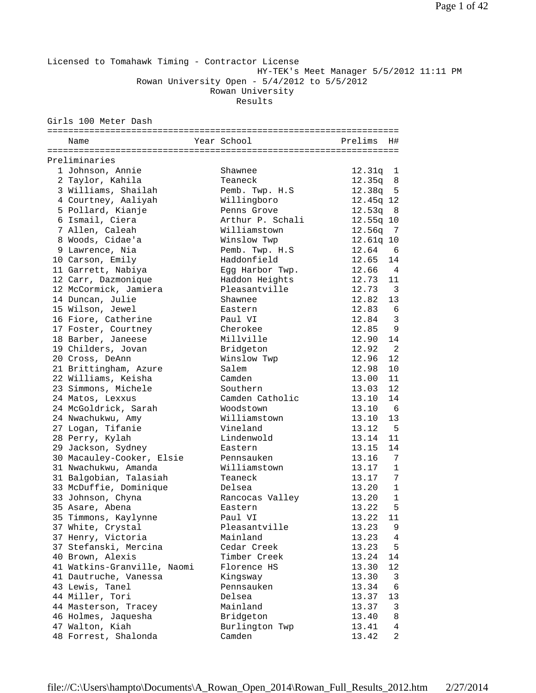Licensed to Tomahawk Timing - Contractor License HY-TEK's Meet Manager 5/5/2012 11:11 PM Rowan University Open - 5/4/2012 to 5/5/2012 Rowan University

Results

Girls 100 Meter Dash

| Name                        | Year School      | Prelims H# |                |
|-----------------------------|------------------|------------|----------------|
|                             |                  |            |                |
| Preliminaries               |                  |            |                |
| 1 Johnson, Annie            | Shawnee          | 12.31q 1   |                |
| 2 Taylor, Kahila            | Teaneck          | 12.35q 8   |                |
| 3 Williams, Shailah         | Pemb. Twp. H.S   | $12.38q$ 5 |                |
| 4 Courtney, Aaliyah         | Willingboro      | 12.45q 12  |                |
| 5 Pollard, Kianje           | Penns Grove      | 12.53q     | - 8            |
| 6 Ismail, Ciera             | Arthur P. Schali | 12.55q 10  |                |
| 7 Allen, Caleah             | Williamstown     | 12.56q     | - 7            |
| 8 Woods, Cidae'a            | Winslow Twp      | 12.61q 10  |                |
| 9 Lawrence, Nia             | Pemb. Twp. H.S   | 12.64      | 6              |
| 10 Carson, Emily            | Haddonfield      | 12.65      | 14             |
| 11 Garrett, Nabiya          | Egg Harbor Twp.  | 12.66 4    |                |
| 12 Carr, Dazmonique         | Haddon Heights   | 12.73 11   |                |
| 12 McCormick, Jamiera       | Pleasantville    | $12.73$ 3  |                |
| 14 Duncan, Julie            | Shawnee          | 12.82      | 13             |
| 15 Wilson, Jewel            | Eastern          | 12.83      | - 6            |
| 16 Fiore, Catherine         | Paul VI          | 12.84      | 3              |
| 17 Foster, Courtney         | Cherokee         | 12.85      | 9              |
| 18 Barber, Janeese          | Millville        | 12.90      | 14             |
| 19 Childers, Jovan          | Bridgeton        | 12.92      | $\overline{2}$ |
| 20 Cross, DeAnn             | Winslow Twp      | 12.96      | 12             |
| 21 Brittingham, Azure       | Salem            | 12.98      | 10             |
| 22 Williams, Keisha         | Camden           | 13.00      | 11             |
| 23 Simmons, Michele         | Southern         | 13.03      | 12             |
| 24 Matos, Lexxus            | Camden Catholic  | 13.10      | 14             |
| 24 McGoldrick, Sarah        | Woodstown        | 13.10      | 6              |
| 24 Nwachukwu, Amy           | Williamstown     | 13.10      | 13             |
| 27 Logan, Tifanie           | Vineland         | $13.12$ 5  |                |
| 28 Perry, Kylah             | Lindenwold       | 13.14      | 11             |
| 29 Jackson, Sydney          | Eastern          | 13.15      | 14             |
| 30 Macauley-Cooker, Elsie   | Pennsauken       | 13.16      | 7              |
| 31 Nwachukwu, Amanda        | Williamstown     | 13.17      | 1              |
| 31 Balgobian, Talasiah      | Teaneck          | 13.17      | 7              |
| 33 McDuffie, Dominique      | Delsea           | 13.20      | 1              |
| 33 Johnson, Chyna           | Rancocas Valley  | 13.20      | $\mathbf{1}$   |
| 35 Asare, Abena             | Eastern          | 13.22      | 5              |
| 35 Timmons, Kaylynne        | Paul VI          | 13.22 11   |                |
| 37 White, Crystal           | Pleasantville    | 13.23      | 9              |
| 37 Henry, Victoria          | Mainland         | 13.23      | $\overline{4}$ |
| 37 Stefanski, Mercina       | Cedar Creek      | 13.23      | 5              |
| 40 Brown, Alexis            | Timber Creek     | 13.24      | 14             |
| 41 Watkins-Granville, Naomi | Florence HS      | 13.30      | 12             |
| 41 Dautruche, Vanessa       | Kingsway         | 13.30      | 3              |
| 43 Lewis, Tanel             | Pennsauken       | 13.34      | 6              |
| 44 Miller, Tori             | Delsea           | 13.37      | 13             |
| 44 Masterson, Tracey        | Mainland         | 13.37      | 3              |
| 46 Holmes, Jaquesha         | Bridgeton        | 13.40      | 8              |
| 47 Walton, Kiah             | Burlington Twp   | 13.41      | 4              |
| 48 Forrest, Shalonda        | Camden           | 13.42      | $\overline{2}$ |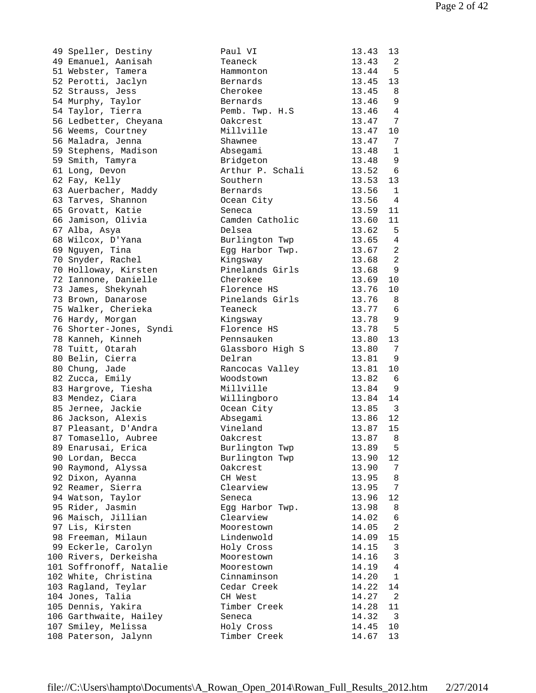| 49 Speller, Destiny     | Paul VI          | 13.43 | 13                       |
|-------------------------|------------------|-------|--------------------------|
| 49 Emanuel, Aanisah     | Teaneck          | 13.43 | 2                        |
| 51 Webster, Tamera      | Hammonton        | 13.44 | 5                        |
| 52 Perotti, Jaclyn      | Bernards         | 13.45 | 13                       |
| 52 Strauss, Jess        | Cherokee         | 13.45 | - 8                      |
| 54 Murphy, Taylor       | Bernards         | 13.46 | 9                        |
| 54 Taylor, Tierra       | Pemb. Twp. H.S   | 13.46 | 4                        |
| 56 Ledbetter, Cheyana   | Oakcrest         | 13.47 | 7                        |
| 56 Weems, Courtney      | Millville        | 13.47 | 10                       |
| 56 Maladra, Jenna       | Shawnee          | 13.47 | 7                        |
| 59 Stephens, Madison    | Absegami         | 13.48 | $\mathbf{1}$             |
| 59 Smith, Tamyra        | Bridgeton        | 13.48 | 9                        |
| 61 Long, Devon          | Arthur P. Schali | 13.52 | 6                        |
| 62 Fay, Kelly           | Southern         | 13.53 | 13                       |
| 63 Auerbacher, Maddy    | Bernards         | 13.56 | 1                        |
| 63 Tarves, Shannon      | Ocean City       | 13.56 | 4                        |
| 65 Grovatt, Katie       | Seneca           | 13.59 | 11                       |
| 66 Jamison, Olivia      | Camden Catholic  | 13.60 | 11                       |
| 67 Alba, Asya           | Delsea           | 13.62 | 5                        |
| 68 Wilcox, D'Yana       | Burlington Twp   | 13.65 | 4                        |
| 69 Nguyen, Tina         | Egg Harbor Twp.  | 13.67 | $\overline{2}$           |
| 70 Snyder, Rachel       | Kingsway         | 13.68 | $\overline{2}$           |
| 70 Holloway, Kirsten    | Pinelands Girls  | 13.68 | 9                        |
| 72 Iannone, Danielle    | Cherokee         | 13.69 | 10                       |
| 73 James, Shekynah      | Florence HS      | 13.76 | 10                       |
| 73 Brown, Danarose      | Pinelands Girls  | 13.76 | 8                        |
| 75 Walker, Cherieka     | Teaneck          | 13.77 | 6                        |
| 76 Hardy, Morgan        | Kingsway         | 13.78 | 9                        |
| 76 Shorter-Jones, Syndi | Florence HS      | 13.78 | 5                        |
| 78 Kanneh, Kinneh       | Pennsauken       | 13.80 | 13                       |
| 78 Tuitt, Otarah        | Glassboro High S | 13.80 | 7                        |
| 80 Belin, Cierra        | Delran           | 13.81 | 9                        |
| 80 Chung, Jade          | Rancocas Valley  | 13.81 | 10                       |
| 82 Zucca, Emily         | Woodstown        | 13.82 | 6                        |
| 83 Hargrove, Tiesha     | Millville        | 13.84 | 9                        |
| 83 Mendez, Ciara        | Willingboro      | 13.84 | 14                       |
| 85 Jernee, Jackie       | Ocean City       | 13.85 | $\overline{\phantom{a}}$ |
| 86 Jackson, Alexis      | Absegami         | 13.86 | 12                       |
| 87 Pleasant, D'Andra    | Vineland         | 13.87 | 15                       |
| 87 Tomasello, Aubree    | Oakcrest         | 13.87 | 8                        |
| 89 Enarusai, Erica      | Burlington Twp   | 13.89 | 5                        |
| 90 Lordan, Becca        | Burlington Twp   | 13.90 | 12                       |
| 90 Raymond, Alyssa      | Oakcrest         | 13.90 | 7                        |
| 92 Dixon, Ayanna        | CH West          | 13.95 | 8                        |
| 92 Reamer, Sierra       | Clearview        | 13.95 | 7                        |
| 94 Watson, Taylor       | Seneca           | 13.96 | 12                       |
| 95 Rider, Jasmin        | Egg Harbor Twp.  | 13.98 | 8                        |
| 96 Maisch, Jillian      | Clearview        | 14.02 | 6                        |
| 97 Lis, Kirsten         | Moorestown       | 14.05 | 2                        |
| 98 Freeman, Milaun      | Lindenwold       | 14.09 | 15                       |
| 99 Eckerle, Carolyn     | Holy Cross       | 14.15 | 3                        |
| 100 Rivers, Derkeisha   | Moorestown       | 14.16 | $\mathbf{3}$             |
| 101 Soffronoff, Natalie | Moorestown       | 14.19 | $\overline{4}$           |
| 102 White, Christina    | Cinnaminson      | 14.20 | $\mathbf{1}$             |
| 103 Ragland, Teylar     | Cedar Creek      | 14.22 | 14                       |
| 104 Jones, Talia        | CH West          | 14.27 | 2                        |
| 105 Dennis, Yakira      | Timber Creek     | 14.28 | 11                       |
| 106 Garthwaite, Hailey  | Seneca           | 14.32 | 3                        |
| 107 Smiley, Melissa     | Holy Cross       | 14.45 | $10 \,$                  |
| 108 Paterson, Jalynn    | Timber Creek     | 14.67 | 13                       |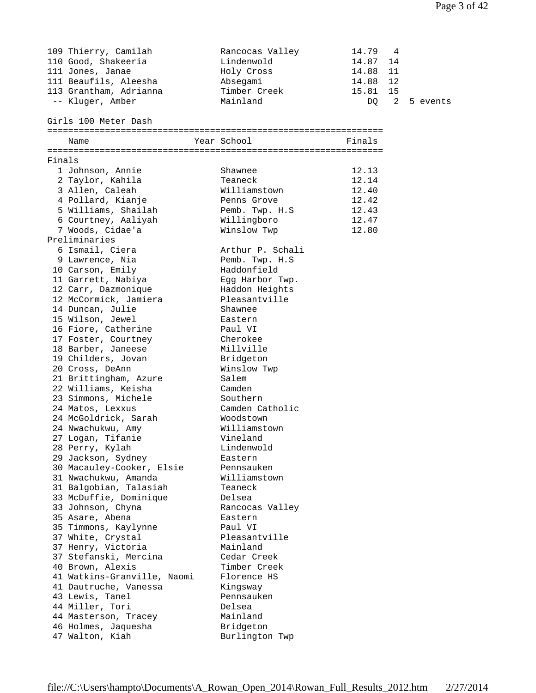|        | 109 Thierry, Camilah<br>110 Good, Shakeeria<br>111 Jones, Janae<br>111 Beaufils, Aleesha<br>113 Grantham, Adrianna<br>-- Kluger, Amber<br>Girls 100 Meter Dash | Rancocas Valley<br>Lindenwold<br>Holy Cross<br>Absegami<br>Timber Creek<br>Mainland | 14.79<br>14.87<br>14.88<br>14.88<br>15.81<br>DQ. | 4<br>14<br>11<br>12<br>15<br>2 | 5 events |
|--------|----------------------------------------------------------------------------------------------------------------------------------------------------------------|-------------------------------------------------------------------------------------|--------------------------------------------------|--------------------------------|----------|
|        | Name                                                                                                                                                           | Year School                                                                         | Finals                                           |                                |          |
|        |                                                                                                                                                                |                                                                                     |                                                  |                                |          |
| Finals |                                                                                                                                                                | Shawnee                                                                             |                                                  |                                |          |
|        | 1 Johnson, Annie<br>2 Taylor, Kahila                                                                                                                           | Teaneck                                                                             | 12.13<br>12.14                                   |                                |          |
|        | 3 Allen, Caleah                                                                                                                                                | Williamstown                                                                        | 12.40                                            |                                |          |
|        | 4 Pollard, Kianje                                                                                                                                              | Penns Grove                                                                         | 12.42                                            |                                |          |
|        | 5 Williams, Shailah                                                                                                                                            | Pemb. Twp. H.S                                                                      | 12.43                                            |                                |          |
|        | 6 Courtney, Aaliyah                                                                                                                                            | Willingboro                                                                         | 12.47                                            |                                |          |
|        | 7 Woods, Cidae'a                                                                                                                                               | Winslow Twp                                                                         | 12.80                                            |                                |          |
|        | Preliminaries                                                                                                                                                  |                                                                                     |                                                  |                                |          |
|        | 6 Ismail, Ciera                                                                                                                                                | Arthur P. Schali                                                                    |                                                  |                                |          |
|        | 9 Lawrence, Nia                                                                                                                                                | Pemb. Twp. H.S                                                                      |                                                  |                                |          |
|        | 10 Carson, Emily                                                                                                                                               | Haddonfield                                                                         |                                                  |                                |          |
|        | 11 Garrett, Nabiya                                                                                                                                             | Egg Harbor Twp.                                                                     |                                                  |                                |          |
|        | 12 Carr, Dazmonique                                                                                                                                            | Haddon Heights<br>Pleasantville                                                     |                                                  |                                |          |
|        | 12 McCormick, Jamiera<br>14 Duncan, Julie                                                                                                                      | Shawnee                                                                             |                                                  |                                |          |
|        | 15 Wilson, Jewel                                                                                                                                               | Eastern                                                                             |                                                  |                                |          |
|        | 16 Fiore, Catherine                                                                                                                                            | Paul VI                                                                             |                                                  |                                |          |
|        | 17 Foster, Courtney                                                                                                                                            | Cherokee                                                                            |                                                  |                                |          |
|        | 18 Barber, Janeese                                                                                                                                             | Millville                                                                           |                                                  |                                |          |
|        | 19 Childers, Jovan                                                                                                                                             | Bridgeton                                                                           |                                                  |                                |          |
|        | 20 Cross, DeAnn                                                                                                                                                | Winslow Twp                                                                         |                                                  |                                |          |
|        | 21 Brittingham, Azure                                                                                                                                          | Salem                                                                               |                                                  |                                |          |
|        | 22 Williams, Keisha                                                                                                                                            | Camden                                                                              |                                                  |                                |          |
|        | 23 Simmons, Michele                                                                                                                                            | Southern                                                                            |                                                  |                                |          |
|        | 24 Matos, Lexxus                                                                                                                                               | Camden Catholic                                                                     |                                                  |                                |          |
|        | 24 McGoldrick, Sarah                                                                                                                                           | Woodstown                                                                           |                                                  |                                |          |
|        | 24 Nwachukwu, Amy                                                                                                                                              | Williamstown                                                                        |                                                  |                                |          |
|        | 27 Logan, Tifanie                                                                                                                                              | Vineland<br>Lindenwold                                                              |                                                  |                                |          |
|        | 28 Perry, Kylah<br>29 Jackson, Sydney                                                                                                                          | Eastern                                                                             |                                                  |                                |          |
|        | 30 Macauley-Cooker, Elsie                                                                                                                                      | Pennsauken                                                                          |                                                  |                                |          |
|        | 31 Nwachukwu, Amanda                                                                                                                                           | Williamstown                                                                        |                                                  |                                |          |
|        | 31 Balgobian, Talasiah                                                                                                                                         | Teaneck                                                                             |                                                  |                                |          |
|        | 33 McDuffie, Dominique                                                                                                                                         | Delsea                                                                              |                                                  |                                |          |
|        | 33 Johnson, Chyna                                                                                                                                              | Rancocas Valley                                                                     |                                                  |                                |          |
|        | 35 Asare, Abena                                                                                                                                                | Eastern                                                                             |                                                  |                                |          |
|        | 35 Timmons, Kaylynne                                                                                                                                           | Paul VI                                                                             |                                                  |                                |          |
|        | 37 White, Crystal                                                                                                                                              | Pleasantville                                                                       |                                                  |                                |          |
|        | 37 Henry, Victoria                                                                                                                                             | Mainland                                                                            |                                                  |                                |          |
|        | 37 Stefanski, Mercina                                                                                                                                          | Cedar Creek                                                                         |                                                  |                                |          |
|        | 40 Brown, Alexis                                                                                                                                               | Timber Creek                                                                        |                                                  |                                |          |
|        | 41 Watkins-Granville, Naomi<br>41 Dautruche, Vanessa                                                                                                           | Florence HS                                                                         |                                                  |                                |          |
|        | 43 Lewis, Tanel                                                                                                                                                | Kingsway<br>Pennsauken                                                              |                                                  |                                |          |
|        | 44 Miller, Tori                                                                                                                                                | Delsea                                                                              |                                                  |                                |          |
|        | 44 Masterson, Tracey                                                                                                                                           | Mainland                                                                            |                                                  |                                |          |
|        | 46 Holmes, Jaquesha                                                                                                                                            | Bridgeton                                                                           |                                                  |                                |          |
|        | 47 Walton, Kiah                                                                                                                                                | Burlington Twp                                                                      |                                                  |                                |          |
|        |                                                                                                                                                                |                                                                                     |                                                  |                                |          |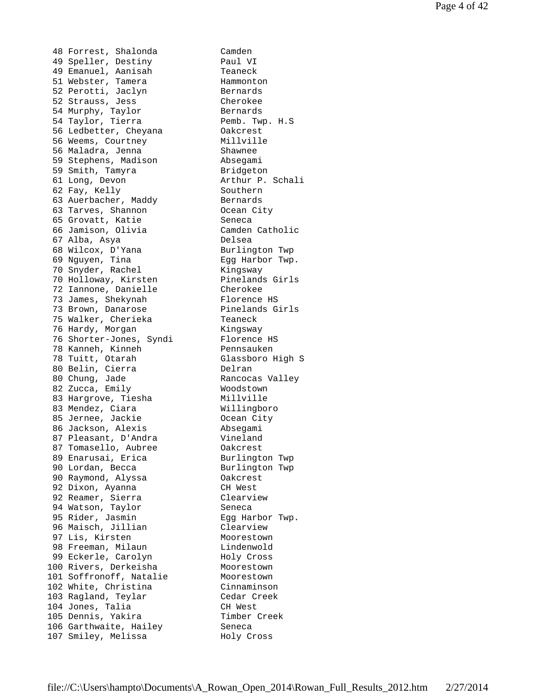48 Forrest, Shalonda Camden 49 Speller, Destiny Paul VI 49 Emanuel, Aanisah Teaneck 51 Webster, Tamera **Hammonton** 52 Perotti, Jaclyn Bernards 52 Strauss, Jess Cherokee 54 Murphy, Taylor **Bernards**  54 Taylor, Tierra Pemb. Twp. H.S 56 Ledbetter, Cheyana Oakcrest 56 Weems, Courtney Millville 56 Maladra, Jenna Shawnee 59 Stephens, Madison Absegami 59 Smith, Tamyra Bridgeton 61 Long, Devon Arthur P. Schali 62 Fay, Kelly Southern 63 Auerbacher, Maddy Bernards 63 Tarves, Shannon Ocean City 65 Grovatt, Katie Seneca 66 Jamison, Olivia Camden Catholic 67 Alba, Asya Delsea 68 Wilcox, D'Yana Burlington Twp 69 Nguyen, Tina Egg Harbor Twp. 70 Snyder, Rachel Kingsway 70 Holloway, Kirsten Pinelands Girls 72 Iannone, Danielle Cherokee 73 James, Shekynah Mandara Plorence HS 73 Brown, Danarose **Pinelands Girls**  75 Walker, Cherieka Teaneck 76 Hardy, Morgan **Kingsway** 76 Shorter-Jones, Syndi Florence HS 78 Kanneh, Kinneh Pennsauken 78 Tuitt, Otarah Glassboro High S 80 Belin, Cierra Delran 80 Chung, Jade Rancocas Valley 82 Zucca, Emily Moodstown 83 Hargrove, Tiesha Millville 83 Mendez, Ciara (Willingboro 85 Jernee, Jackie Coopan City 86 Jackson, Alexis Absegami 87 Pleasant, D'Andra Vineland 87 Tomasello, Aubree Oakcrest 89 Enarusai, Erica Burlington Twp 90 Lordan, Becca Burlington Twp 90 Raymond, Alyssa Oakcrest 92 Dixon, Ayanna CH West 92 Reamer, Sierra Clearview 94 Watson, Taylor Seneca 95 Rider, Jasmin Egg Harbor Twp. 96 Maisch, Jillian Clearview 97 Lis, Kirsten Moorestown 98 Freeman, Milaun and Lindenwold 99 Eckerle, Carolyn Holy Cross 100 Rivers, Derkeisha Moorestown 101 Soffronoff, Natalie Moorestown 102 White, Christina Cinnaminson 103 Ragland, Teylar Contain Cedar Creek 104 Jones, Talia CH West 105 Dennis, Yakira Timber Creek 106 Garthwaite, Hailey Seneca 107 Smiley, Melissa and Holy Cross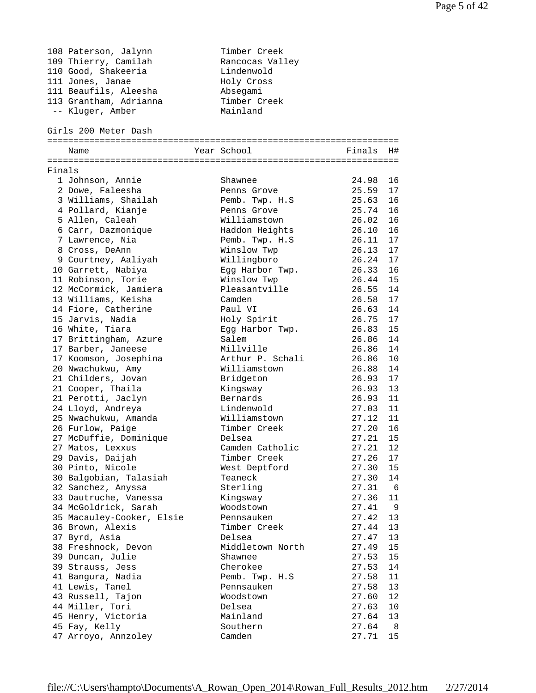|        | 108 Paterson, Jalynn      | Timber Creek     |           |     |
|--------|---------------------------|------------------|-----------|-----|
|        | 109 Thierry, Camilah      | Rancocas Valley  |           |     |
|        | 110 Good, Shakeeria       | Lindenwold       |           |     |
|        | 111 Jones, Janae          | Holy Cross       |           |     |
|        | 111 Beaufils, Aleesha     | Absegami         |           |     |
|        | 113 Grantham, Adrianna    | Timber Creek     |           |     |
|        | -- Kluger, Amber          | Mainland         |           |     |
|        |                           |                  |           |     |
|        | Girls 200 Meter Dash      |                  |           |     |
|        | Name                      | Year School      | Finals H# |     |
|        |                           |                  |           |     |
| Finals |                           |                  |           |     |
|        | 1 Johnson, Annie          | Shawnee          | 24.98     | 16  |
|        | 2 Dowe, Faleesha          | Penns Grove      | 25.59     | 17  |
|        | 3 Williams, Shailah       | Pemb. Twp. H.S   | 25.63     | 16  |
|        | 4 Pollard, Kianje         | Penns Grove      | 25.74     | 16  |
|        | 5 Allen, Caleah           | Williamstown     | 26.02     | 16  |
|        | 6 Carr, Dazmonique        | Haddon Heights   | 26.10     | 16  |
|        | 7 Lawrence, Nia           | Pemb. Twp. H.S   | 26.11     | 17  |
|        | 8 Cross, DeAnn            | Winslow Twp      | 26.13     | 17  |
|        | 9 Courtney, Aaliyah       | Willingboro      | 26.24     | 17  |
|        | 10 Garrett, Nabiya        | Egg Harbor Twp.  | 26.33     | 16  |
|        | 11 Robinson, Torie        | Winslow Twp      | 26.44     | 15  |
|        | 12 McCormick, Jamiera     | Pleasantville    | 26.55     | 14  |
|        | 13 Williams, Keisha       | Camden           | 26.58     | 17  |
|        | 14 Fiore, Catherine       | Paul VI          | 26.63     | 14  |
|        | 15 Jarvis, Nadia          | Holy Spirit      | 26.75     | 17  |
|        | 16 White, Tiara           | Egg Harbor Twp.  | 26.83     | 15  |
|        | 17 Brittingham, Azure     | Salem            | 26.86     | 14  |
|        | 17 Barber, Janeese        | Millville        | 26.86     | 14  |
|        |                           | Arthur P. Schali | 26.86     | 10  |
|        | 17 Koomson, Josephina     |                  |           |     |
|        | 20 Nwachukwu, Amy         | Williamstown     | 26.88     | 14  |
|        | 21 Childers, Jovan        | Bridgeton        | 26.93     | 17  |
|        | 21 Cooper, Thaila         | Kingsway         | 26.93     | 13  |
|        | 21 Perotti, Jaclyn        | Bernards         | 26.93     | 11  |
|        | 24 Lloyd, Andreya         | Lindenwold       | 27.03     | 11  |
|        | 25 Nwachukwu, Amanda      | Williamstown     | 27.12     | 11  |
|        | 26 Furlow, Paige          | Timber Creek     | 27.20     | 16  |
|        | 27 McDuffie, Dominique    | Delsea           | 27.21 15  |     |
|        | 27 Matos, Lexxus          | Camden Catholic  | 27.21     | 12  |
|        | 29 Davis, Daijah          | Timber Creek     | 27.26     | 17  |
|        | 30 Pinto, Nicole          | West Deptford    | 27.30     | 15  |
|        | 30 Balgobian, Talasiah    | Teaneck          | 27.30     | 14  |
|        | 32 Sanchez, Anyssa        | Sterling         | 27.31     | - 6 |
|        | 33 Dautruche, Vanessa     | Kingsway         | 27.36     | 11  |
|        | 34 McGoldrick, Sarah      | Woodstown        | 27.41     | - 9 |
|        | 35 Macauley-Cooker, Elsie | Pennsauken       | 27.42     | 13  |
|        | 36 Brown, Alexis          | Timber Creek     | 27.44     | 13  |
|        | 37 Byrd, Asia             | Delsea           | 27.47     | 13  |
|        | 38 Freshnock, Devon       | Middletown North | 27.49     | 15  |
|        | 39 Duncan, Julie          | Shawnee          | 27.53     | 15  |
|        | 39 Strauss, Jess          | Cherokee         | 27.53     | 14  |
|        | 41 Bangura, Nadia         | Pemb. Twp. H.S   | 27.58     | 11  |
|        | 41 Lewis, Tanel           | Pennsauken       | 27.58     | 13  |
|        | 43 Russell, Tajon         | Woodstown        | 27.60     | 12  |
|        | 44 Miller, Tori           | Delsea           | 27.63     | 10  |
|        | 45 Henry, Victoria        | Mainland         | 27.64     | 13  |
|        | 45 Fay, Kelly             | Southern         | 27.64     | - 8 |
|        | 47 Arroyo, Annzoley       | Camden           | 27.71     | 15  |
|        |                           |                  |           |     |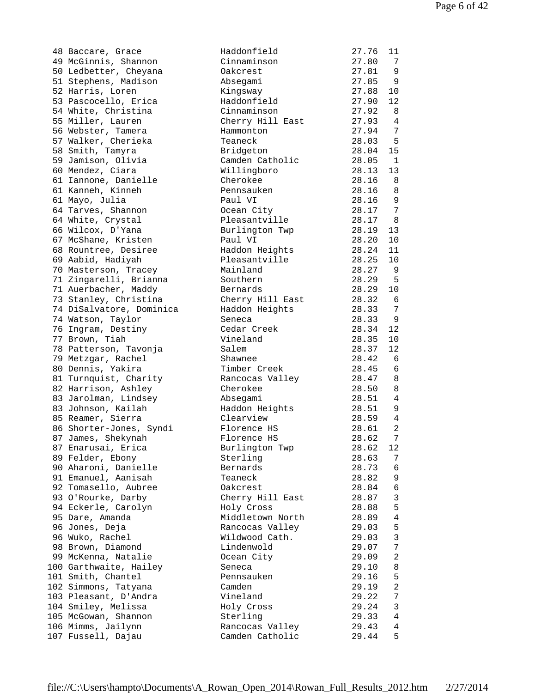| 48 Baccare, Grace                            | Haddonfield          | 27.76          | 11                               |
|----------------------------------------------|----------------------|----------------|----------------------------------|
| 49 McGinnis, Shannon                         | Cinnaminson          | 27.80          | 7                                |
| 50 Ledbetter, Cheyana                        | Oakcrest             | 27.81          | 9                                |
| 51 Stephens, Madison                         | Absegami             | 27.85          | 9                                |
| 52 Harris, Loren                             | Kingsway             | 27.88          | 10                               |
| 53 Pascocello, Erica                         | Haddonfield          | 27.90          | 12                               |
| 54 White, Christina                          | Cinnaminson          | 27.92          | 8                                |
| 55 Miller, Lauren                            | Cherry Hill East     | 27.93          | 4                                |
| 56 Webster, Tamera                           | Hammonton            | 27.94          | $7\phantom{.0}$                  |
| 57 Walker, Cherieka                          | Teaneck              | 28.03          | $5^{\circ}$                      |
| 58 Smith, Tamyra                             | Bridgeton            | 28.04          | 15                               |
| 59 Jamison, Olivia                           | Camden Catholic      | 28.05          | $\mathbf{1}$                     |
| 60 Mendez, Ciara                             | Willingboro          | 28.13          | 13                               |
| 61 Iannone, Danielle                         | Cherokee             | 28.16          | 8                                |
| 61 Kanneh, Kinneh                            | Pennsauken           | 28.16          | 8                                |
| 61 Mayo, Julia                               | Paul VI              | 28.16          | 9                                |
| 64 Tarves, Shannon                           | Ocean City           | 28.17          | $7\phantom{.0}$                  |
| 64 White, Crystal                            | Pleasantville        | 28.17          | - 8                              |
| 66 Wilcox, D'Yana                            | Burlington Twp       | 28.19          | 13                               |
| 67 McShane, Kristen                          | Paul VI              | 28.20          | 10                               |
| 68 Rountree, Desiree                         | Haddon Heights       | 28.24          | 11                               |
| 69 Aabid, Hadiyah                            | Pleasantville        | 28.25          | 10                               |
| 70 Masterson, Tracey                         | Mainland             | 28.27          | -9                               |
| 71 Zingarelli, Brianna                       | Southern             | 28.29          | - 5                              |
| 71 Auerbacher, Maddy                         | Bernards             | 28.29          | 10                               |
| 73 Stanley, Christina                        | Cherry Hill East     | 28.32          | 6                                |
| 74 DiSalvatore, Dominica                     | Haddon Heights       | 28.33          | $7\phantom{.0}$                  |
| 74 Watson, Taylor                            | Seneca               | 28.33          | 9                                |
| 76 Ingram, Destiny                           | Cedar Creek          | 28.34          | 12                               |
| 77 Brown, Tiah                               | Vineland             | 28.35          | 10                               |
| 78 Patterson, Tavonja                        | Salem                | 28.37          | 12                               |
| 79 Metzgar, Rachel                           | Shawnee              | 28.42          | - 6                              |
| 80 Dennis, Yakira                            | Timber Creek         | 28.45          | 6                                |
| 81 Turnquist, Charity                        | Rancocas Valley      | 28.47          | 8                                |
| 82 Harrison, Ashley                          | Cherokee             | 28.50          | 8                                |
| 83 Jarolman, Lindsey                         | Absegami             | 28.51          | 4                                |
| 83 Johnson, Kailah                           | Haddon Heights       | 28.51          | 9                                |
| 85 Reamer, Sierra                            | Clearview            | 28.59          | $\overline{4}$                   |
| 86 Shorter-Jones, Syndi                      | Florence HS          | 28.61          | 2                                |
| 87 James, Shekynah                           | Florence HS          | 28.62          | $7\phantom{.}$                   |
| 87 Enarusai, Erica                           | Burlington Twp       | 28.62          | 12                               |
| 89 Felder, Ebony                             | Sterling             | 28.63          | 7                                |
| 90 Aharoni, Danielle                         | Bernards             | 28.73          | 6                                |
| 91 Emanuel, Aanisah                          | Teaneck              | 28.82          | 9                                |
| 92 Tomasello, Aubree                         | Oakcrest             | 28.84          | $\sqrt{6}$                       |
| 93 O'Rourke, Darby                           | Cherry Hill East     | 28.87          | $\mathfrak{Z}$                   |
| 94 Eckerle, Carolyn                          | Holy Cross           | 28.88          | 5                                |
| 95 Dare, Amanda                              | Middletown North     | 28.89          | $\overline{4}$                   |
| 96 Jones, Deja                               | Rancocas Valley      | 29.03          | 5<br>$\mathbf{3}$                |
| 96 Wuko, Rachel                              | Wildwood Cath.       | 29.03          |                                  |
| 98 Brown, Diamond                            | Lindenwold           | 29.07          | $7\phantom{.}$<br>$\overline{a}$ |
| 99 McKenna, Natalie                          | Ocean City           | 29.09          |                                  |
| 100 Garthwaite, Hailey<br>101 Smith, Chantel | Seneca               | 29.10<br>29.16 | 8<br>5                           |
| 102 Simmons, Tatyana                         | Pennsauken<br>Camden | 29.19          | $\overline{a}$                   |
| 103 Pleasant, D'Andra                        | Vineland             | 29.22          | 7                                |
| 104 Smiley, Melissa                          | Holy Cross           | 29.24          | 3                                |
| 105 McGowan, Shannon                         | Sterling             | 29.33          | 4                                |
| 106 Mimms, Jailynn                           | Rancocas Valley      | 29.43          | 4                                |
| 107 Fussell, Dajau                           | Camden Catholic      | 29.44          | 5                                |
|                                              |                      |                |                                  |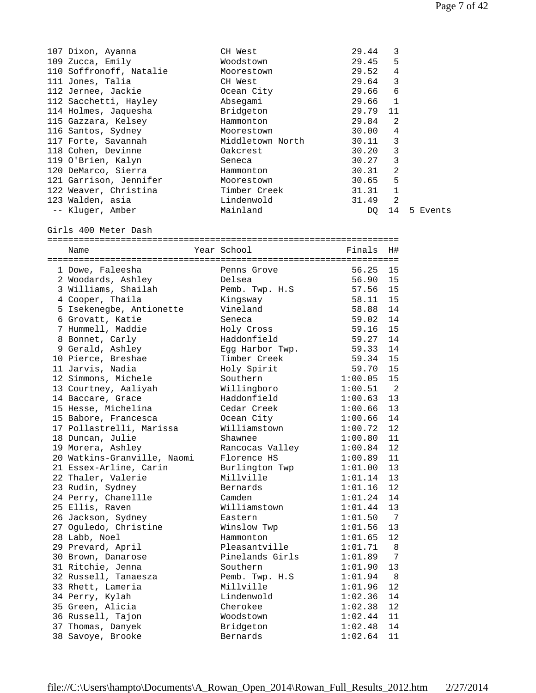| 107 Dixon, Ayanna           | CH West          | 29.44    | 3                          |          |
|-----------------------------|------------------|----------|----------------------------|----------|
| 109 Zucca, Emily            | Woodstown        | 29.45    | 5                          |          |
| 110 Soffronoff, Natalie     | Moorestown       | 29.52    | 4                          |          |
| 111 Jones, Talia            | CH West          | 29.64    | 3                          |          |
| 112 Jernee, Jackie          | Ocean City       | 29.66    | 6                          |          |
| 112 Sacchetti, Hayley       | Absegami         | 29.66    | 1                          |          |
| 114 Holmes, Jaquesha        | Bridgeton        | 29.79    | 11                         |          |
| 115 Gazzara, Kelsey         | Hammonton        | 29.84    | $\overline{a}$             |          |
| 116 Santos, Sydney          | Moorestown       | 30.00    | $\overline{4}$             |          |
| 117 Forte, Savannah         | Middletown North | 30.11    | 3                          |          |
| 118 Cohen, Devinne          | Oakcrest         | 30.20    | 3                          |          |
| 119 O'Brien, Kalyn          | Seneca           | 30.27    | 3                          |          |
|                             |                  | 30.31    | 2                          |          |
| 120 DeMarco, Sierra         | Hammonton        |          |                            |          |
| 121 Garrison, Jennifer      | Moorestown       | 30.65    | 5                          |          |
| 122 Weaver, Christina       | Timber Creek     | 31.31    | $\mathbf{1}$               |          |
| 123 Walden, asia            | Lindenwold       | 31.49    | 2                          |          |
| -- Kluger, Amber            | Mainland         | DQ       | 14                         | 5 Events |
| Girls 400 Meter Dash        |                  |          |                            |          |
| Name                        | Year School      | Finals   | H#                         |          |
|                             |                  |          |                            |          |
| 1 Dowe, Faleesha            | Penns Grove      | 56.25    | 15                         |          |
| 2 Woodards, Ashley          | Delsea           | 56.90 15 |                            |          |
| 3 Williams, Shailah         | Pemb. Twp. H.S   | 57.56    | 15                         |          |
| 4 Cooper, Thaila            | Kingsway         | 58.11    | 15                         |          |
| 5 Isekenegbe, Antionette    | Vineland         | 58.88    | 14                         |          |
| 6 Grovatt, Katie            | Seneca           | 59.02    | 14                         |          |
| 7 Hummell, Maddie           | Holy Cross       | 59.16    | 15                         |          |
| 8 Bonnet, Carly             | Haddonfield      | 59.27    | 14                         |          |
| 9 Gerald, Ashley            | Egg Harbor Twp.  | 59.33    | 14                         |          |
| 10 Pierce, Breshae          | Timber Creek     | 59.34    | 15                         |          |
|                             |                  |          |                            |          |
| 11 Jarvis, Nadia            | Holy Spirit      | 59.70    | 15                         |          |
| 12 Simmons, Michele         | Southern         | 1:00.05  | 15                         |          |
| 13 Courtney, Aaliyah        | Willingboro      | 1:00.51  | $\overline{\phantom{0}}^2$ |          |
| 14 Baccare, Grace           | Haddonfield      | 1:00.63  | 13                         |          |
| 15 Hesse, Michelina         | Cedar Creek      | 1:00.66  | 13                         |          |
| 15 Babore, Francesca        | Ocean City       | 1:00.66  | 14                         |          |
| 17 Pollastrelli, Marissa    | Williamstown     | 1:00.72  | 12                         |          |
| 18 Duncan, Julie            | Shawnee          | 1:00.80  | 11                         |          |
| 19 Morera, Ashley           | Rancocas Valley  | 1:00.84  | 12                         |          |
| 20 Watkins-Granville, Naomi | Florence HS      | 1:00.89  | 11                         |          |
| 21 Essex-Arline, Carin      | Burlington Twp   | 1:01.00  | 13                         |          |
| 22 Thaler, Valerie          | Millville        | 1:01.14  | 13                         |          |
| 23 Rudin, Sydney            | Bernards         | 1:01.16  | 12                         |          |
| 24 Perry, Chanellle         | Camden           | 1:01.24  | 14                         |          |
| 25 Ellis, Raven             | Williamstown     | 1:01.44  | 13                         |          |
|                             |                  |          | $\overline{7}$             |          |
| 26 Jackson, Sydney          | Eastern          | 1:01.50  |                            |          |
| 27 Oguledo, Christine       | Winslow Twp      | 1:01.56  | 13                         |          |
| 28 Labb, Noel               | Hammonton        | 1:01.65  | 12                         |          |
| 29 Prevard, April           | Pleasantville    | 1:01.71  | 8                          |          |
| 30 Brown, Danarose          | Pinelands Girls  | 1:01.89  | 7                          |          |
| 31 Ritchie, Jenna           | Southern         | 1:01.90  | 13                         |          |
| 32 Russell, Tanaesza        | Pemb. Twp. H.S   | 1:01.94  | 8                          |          |
| 33 Rhett, Lameria           | Millville        | 1:01.96  | 12                         |          |
| 34 Perry, Kylah             | Lindenwold       | 1:02.36  | 14                         |          |
| 35 Green, Alicia            | Cherokee         | 1:02.38  | 12                         |          |
| 36 Russell, Tajon           | Woodstown        | 1:02.44  | 11                         |          |
| 37 Thomas, Danyek           | Bridgeton        | 1:02.48  | 14                         |          |
| 38 Savoye, Brooke           | Bernards         | 1:02.64  | $11\,$                     |          |
|                             |                  |          |                            |          |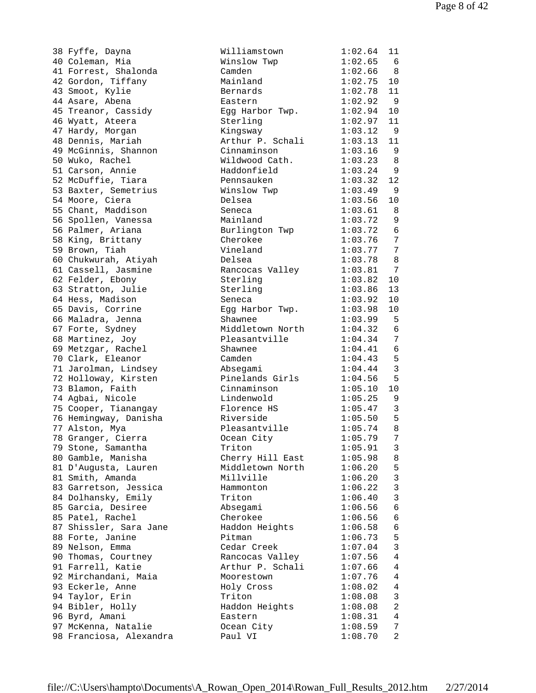|    | 38 Fyffe, Dayna                                    |
|----|----------------------------------------------------|
|    | 40 Coleman, Mia                                    |
|    | 41 Forrest, Shalonda                               |
|    | 42 Gordon, Tiffany                                 |
|    | 43 Smoot, Kylie                                    |
|    | 44 Asare, Abena                                    |
|    |                                                    |
|    | 45 Treanor, Cassidy<br>46 Wyatt, Ateera            |
|    |                                                    |
|    | 47 Hardy, Morgan                                   |
|    | 48 Dennis, Mariah                                  |
|    | 49 McGinnis, Shannon                               |
|    | 50 Wuko, Rachel                                    |
|    | 51 Carson, Annie                                   |
|    | 52 McDuffie, Tiara                                 |
|    | 53 Baxter, Semetrius                               |
|    |                                                    |
|    | 54 Moore, Ciera<br>55 Chant, Maddison              |
|    | 56 Spollen, Vanessa                                |
|    | 56 Palmer, Ariana                                  |
| 58 | King, Brittany                                     |
|    |                                                    |
|    | 59 Brown, Tiah                                     |
|    | 60 Chukwurah, Atiyah                               |
|    | 61 Cassell, Jasmine                                |
|    | 62 Felder, Ebony                                   |
|    | 63 Stratton, Julie                                 |
|    | 64 Hess, Madison                                   |
|    | 65 Davis, Corrine                                  |
|    | 66 Maladra, Jenna                                  |
|    | 67 Forte, Sydney                                   |
|    | 68 Martinez, Joy                                   |
|    | 69 Metzgar, Rachel                                 |
|    | 70 Clark, Eleanor                                  |
|    | 71 Jarolman, Lindsey<br>72 Holloway, Kirsten       |
|    |                                                    |
| 73 | Blamon, Faith                                      |
|    | 74 Agbai, Nicole                                   |
|    | 75 Cooper, Tianangay                               |
|    | 76 Hemingway, Danisha                              |
|    | 77 Alston, Mya                                     |
| 78 | Granger, Cierra                                    |
|    |                                                    |
|    | 79 Stone, Samantha                                 |
|    | 80 Gamble, Manisha                                 |
| 81 | D'Augusta, Lauren                                  |
|    | 81 Smith, Amanda                                   |
|    | 83 Garretson, Jessica                              |
|    | 84 Dolhansky, Emily                                |
|    | 85 Garcia, Desiree                                 |
|    | 85 Patel, Rachel                                   |
|    | 87 Shissler, Sara Jane                             |
|    | 88 Forte, Janine                                   |
| 89 |                                                    |
| 90 | Nelson, Emma<br>Thomas, Courtney<br>Farrell, Katie |
| 91 |                                                    |
|    | 92 Mirchandani, Maia                               |
|    | 93 Eckerle, Anne                                   |
|    | 94 Taylor, Erin                                    |
|    | 94 Bibler, Holly                                   |
|    | 96 Byrd, Amani                                     |
|    |                                                    |
|    | 97 McKenna, Natalie<br>98 Franciosa, Alexandra     |
|    |                                                    |

| 38 Fyffe, Dayna                         | Williamstown     | 1:02.64     | 11              |
|-----------------------------------------|------------------|-------------|-----------------|
| 40 Coleman, Mia                         | Winslow Twp      | 1:02.65     | 6               |
| 41 Forrest, Shalonda                    | Camden           | 1:02.66     | 8 <sup>8</sup>  |
| 42 Gordon, Tiffany                      | Mainland         | 1:02.75     | 10              |
| 43 Smoot, Kylie                         | Bernards         | 1:02.78     | 11              |
| 44 Asare, Abena                         | Eastern          | 1:02.92     | - 9             |
| 45 Treanor, Cassidy                     | Egg Harbor Twp.  | 1:02.94     | 10              |
| 46 Wyatt, Ateera                        | Sterling         | 1:02.97     | 11              |
| 47 Hardy, Morgan                        | Kingsway         | 1:03.12     | $\overline{9}$  |
| 48 Dennis, Mariah                       | Arthur P. Schali | 1:03.13     | 11              |
| 49 McGinnis, Shannon                    | Cinnaminson      | 1:03.16     | - 9             |
| 50 Wuko, Rachel                         | Wildwood Cath.   | 1:03.23 8   |                 |
| 51 Carson, Annie                        | Haddonfield      | $1:03.24$ 9 |                 |
| 52 McDuffie, Tiara                      | Pennsauken       | 1:03.32     | 12              |
|                                         |                  |             |                 |
| 53 Baxter, Semetrius<br>54 Moore, Ciera | Winslow Twp      | $1:03.49$ 9 |                 |
|                                         | Delsea           | 1:03.56     | 10              |
| 55 Chant, Maddison                      | Seneca           | 1:03.61 8   |                 |
| 56 Spollen, Vanessa                     | Mainland         | 1:03.72     | 9               |
| 56 Palmer, Ariana                       | Burlington Twp   | 1:03.72     | $6\overline{6}$ |
| 58 King, Brittany                       | Cherokee         | 1:03.76     | $\overline{7}$  |
| 59 Brown, Tiah                          | Vineland         | 1:03.7777   |                 |
| 60 Chukwurah, Atiyah                    | Delsea           | 1:03.78     | - 8             |
| 61 Cassell, Jasmine                     | Rancocas Valley  | 1:03.81     | $\overline{7}$  |
| 62 Felder, Ebony                        | Sterling         | 1:03.82     | 10              |
| 63 Stratton, Julie                      | Sterling         | 1:03.86     | 13              |
| 64 Hess, Madison                        | Seneca           | 1:03.92     | 10              |
| 65 Davis, Corrine                       | Egg Harbor Twp.  | 1:03.98     | 10              |
| 66 Maladra, Jenna                       | Shawnee          | 1:03.99 5   |                 |
| 67 Forte, Sydney                        | Middletown North | 1:04.32 6   |                 |
| 68 Martinez, Joy                        | Pleasantville    | 1:04.34     | 7               |
| 69 Metzgar, Rachel                      | Shawnee          | 1:04.41     | 6               |
| 70 Clark, Eleanor                       | Camden           | 1:04.43     | 5               |
| 71 Jarolman, Lindsey                    | Absegami         | 1:04.44     | $\overline{3}$  |
| 72 Holloway, Kirsten                    | Pinelands Girls  | 1:04.56     | 5               |
| 73 Blamon, Faith                        | Cinnaminson      | 1:05.10     | 10              |
| 74 Agbai, Nicole                        | Lindenwold       | 1:05.25     | 9               |
| 75 Cooper, Tianangay                    | Florence HS      | 1:05.47     | $\overline{3}$  |
| 76 Hemingway, Danisha                   | Riverside        | 1:05.50 5   |                 |
| 77 Alston, Mya                          | Pleasantville    | 1:05.74 8   |                 |
| 78 Granger, Cierra                      | Ocean City       | 1:05.79     | $\sqrt{ }$      |
| 79 Stone, Samantha                      | Triton           | 1:05.91     | 3               |
| 80 Gamble, Manisha                      | Cherry Hill East | 1:05.98     | 8               |
| 81 D'Augusta, Lauren                    | Middletown North | 1:06.20     | 5               |
| 81 Smith, Amanda                        | Millville        | 1:06.20     | $\mathbf{3}$    |
|                                         |                  |             | $\mathfrak{Z}$  |
| 83 Garretson, Jessica                   | Hammonton        | 1:06.22     |                 |
| 84 Dolhansky, Emily                     | Triton           | 1:06.40     | $\mathbf{3}$    |
| 85 Garcia, Desiree                      | Absegami         | 1:06.56     | 6               |
| 85 Patel, Rachel                        | Cherokee         | 1:06.56     | 6               |
| 87 Shissler, Sara Jane                  | Haddon Heights   | 1:06.58     | 6               |
| 88 Forte, Janine                        | Pitman           | 1:06.73     | 5               |
| 89 Nelson, Emma                         | Cedar Creek      | 1:07.04     | $\mathfrak{Z}$  |
| 90 Thomas, Courtney                     | Rancocas Valley  | 1:07.56     | 4               |
| 91 Farrell, Katie                       | Arthur P. Schali | 1:07.66     | 4               |
| 92 Mirchandani, Maia                    | Moorestown       | 1:07.76     | 4               |
| 93 Eckerle, Anne                        | Holy Cross       | 1:08.02     | 4               |
| 94 Taylor, Erin                         | Triton           | 1:08.08     | 3               |
| 94 Bibler, Holly                        | Haddon Heights   | 1:08.08     | 2               |
| 96 Byrd, Amani                          | Eastern          | 1:08.31     | 4               |
| 97 McKenna, Natalie                     | Ocean City       | 1:08.59     | 7               |
| 98 Franciosa, Alexandra                 | Paul VI          | 1:08.70     | 2               |
|                                         |                  |             |                 |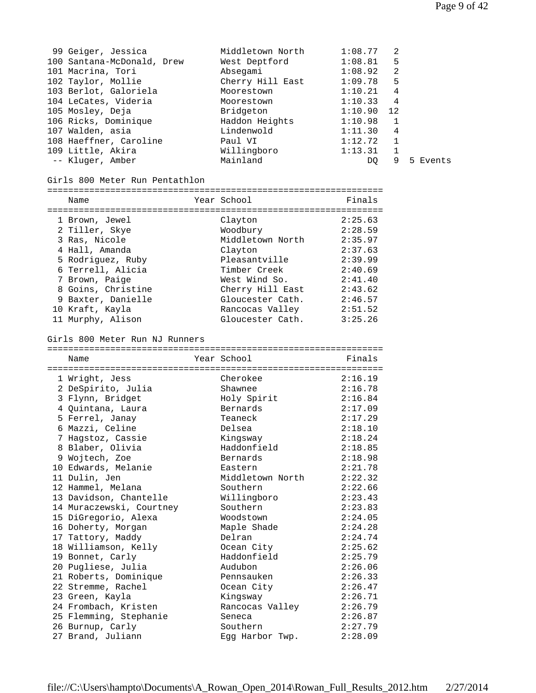| 99 Geiger, Jessica         | Middletown North | 1:08.77      | 2 |          |
|----------------------------|------------------|--------------|---|----------|
| 100 Santana-McDonald, Drew | West Deptford    | 1:08.81      | 5 |          |
| 101 Macrina, Tori          | Absegami         | 1:08.92      | 2 |          |
| 102 Taylor, Mollie         | Cherry Hill East | 1:09.78      | 5 |          |
| 103 Berlot, Galoriela      | Moorestown       | 1:10.21      | 4 |          |
| 104 LeCates, Videria       | Moorestown       | 1:10.33      | 4 |          |
| 105 Mosley, Deja           | Bridgeton        | $1:10.90$ 12 |   |          |
| 106 Ricks, Dominique       | Haddon Heights   | 1:10.98      | 1 |          |
| 107 Walden, asia           | Lindenwold       | 1:11.30      | 4 |          |
| 108 Haeffner, Caroline     | Paul VI          | 1:12.72      | 1 |          |
| 109 Little, Akira          | Willingboro      | 1:13.31      | 1 |          |
| -- Kluger, Amber           | Mainland         | DO           | 9 | 5 Events |
|                            |                  |              |   |          |

| Girls 800 Meter Run Pentathlon |                  |         |
|--------------------------------|------------------|---------|
| Name                           | Year School      | Finals  |
| 1 Brown, Jewel                 | Clayton          | 2:25.63 |
| 2 Tiller, Skye                 | Woodbury         | 2:28.59 |
| 3 Ras, Nicole                  | Middletown North | 2:35.97 |
| 4 Hall, Amanda                 | Clayton          | 2:37.63 |
| 5 Rodriguez, Ruby              | Pleasantville    | 2:39.99 |
| 6 Terrell, Alicia              | Timber Creek     | 2:40.69 |
| 7 Brown, Paige                 | West Wind So.    | 2:41.40 |
| 8 Goins, Christine             | Cherry Hill East | 2:43.62 |
| 9 Baxter, Danielle             | Gloucester Cath. | 2:46.57 |
| 10 Kraft, Kayla                | Rancocas Valley  | 2:51.52 |

11 Murphy, Alison Gloucester Cath. 3:25.26

## Girls 800 Meter Run NJ Runners

| ============================= | ============================ |         |
|-------------------------------|------------------------------|---------|
| Name                          | Year School                  | Finals  |
|                               |                              |         |
| 1 Wright, Jess                | Cherokee                     | 2:16.19 |
| 2 DeSpirito, Julia            | Shawnee                      | 2:16.78 |
| 3 Flynn, Bridget              | Holy Spirit                  | 2:16.84 |
| 4 Quintana, Laura             | Bernards                     | 2:17.09 |
| 5 Ferrel, Janay               | Teaneck                      | 2:17.29 |
| 6 Mazzi, Celine               | Delsea                       | 2:18.10 |
| 7 Haqstoz, Cassie             | Kingsway                     | 2:18.24 |
| 8 Blaber, Olivia              | Haddonfield                  | 2:18.85 |
| 9 Wojtech, Zoe                | Bernards                     | 2:18.98 |
| 10 Edwards, Melanie           | Eastern                      | 2:21.78 |
| 11 Dulin, Jen                 | Middletown North             | 2:22.32 |
| 12 Hammel, Melana             | Southern                     | 2:22.66 |
| 13 Davidson, Chantelle        | Willingboro                  | 2:23.43 |
| 14 Muraczewski, Courtney      | Southern                     | 2:23.83 |
| 15 DiGregorio, Alexa          | Woodstown                    | 2:24.05 |
| 16 Doherty, Morgan            | Maple Shade                  | 2:24.28 |
| 17 Tattory, Maddy             | Delran                       | 2:24.74 |
| 18 Williamson, Kelly          | Ocean City                   | 2:25.62 |
| 19 Bonnet, Carly              | Haddonfield                  | 2:25.79 |
| 20 Pugliese, Julia            | Audubon                      | 2:26.06 |
| 21 Roberts, Dominique         | Pennsauken                   | 2:26.33 |
| 22 Stremme, Rachel            | Ocean City                   | 2:26.47 |
| 23 Green, Kayla               | Kingsway                     | 2:26.71 |
| 24 Frombach, Kristen          | Rancocas Valley              | 2:26.79 |
| 25 Flemming, Stephanie        | Seneca                       | 2:26.87 |
| 26 Burnup, Carly              | Southern                     | 2:27.79 |
| 27 Brand, Juliann             | Eqq Harbor Twp.              | 2:28.09 |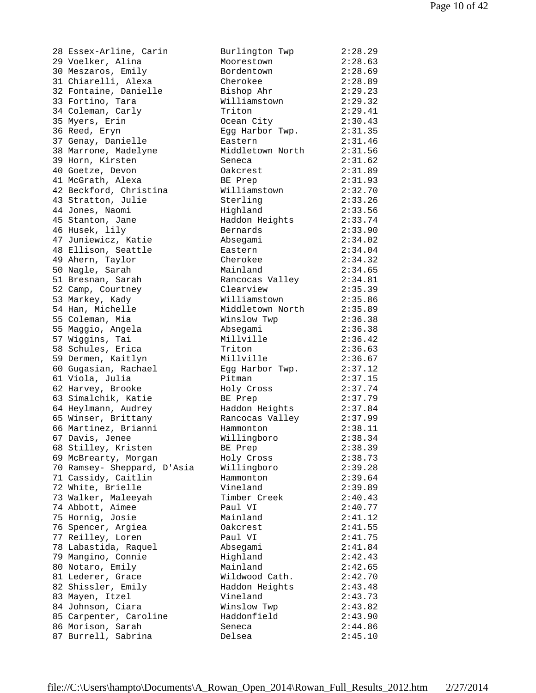28 Essex-Arline, Carin 29 Voelker, Alina 30 Meszaros, Emily 31 Chiarelli, Alexa 32 Fontaine, Danielle 33 Fortino, Tara 34 Coleman, Carly 35 Myers, Erin 36 Reed, Eryn 37 Genay, Danielle 38 Marrone, Madelyne 39 Horn, Kirsten 40 Goetze, Devon 41 McGrath, Alexa 42 Beckford, Christina 43 Stratton, Julie 44 Jones, Naomi 45 Stanton, Jane 46 Husek, lily 47 Juniewicz, Katie 48 Ellison, Seattle 49 Ahern, Taylor 50 Nagle, Sarah 51 Bresnan, Sarah 52 Camp, Courtney 53 Markey, Kady 54 Han, Michelle 55 Coleman, Mia 55 Maggio, Angela 57 Wiggins, Tai 58 Schules, Erica 59 Dermen, Kaitlyn 60 Gugasian, Rachael 61 Viola, Julia 62 Harvey, Brooke 63 Simalchik, Katie 64 Heylmann, Audrey 65 Winser, Brittany 66 Martinez, Brianni 67 Davis, Jenee 68 Stilley, Kristen 69 McBrearty, Morgan 70 Ramsey- Sheppard, D'Asia 71 Cassidy, Caitlin 72 White, Brielle 73 Walker, Maleeyah 74 Abbott, Aimee 75 Hornig, Josie 76 Spencer, Argiea 77 Reilley, Loren 78 Labastida, Raquel 79 Mangino, Connie 80 Notaro, Emily 81 Lederer, Grace 82 Shissler, Emily 83 Mayen, Itzel 84 Johnson, Ciara 85 Carpenter, Caroline 86 Morison, Sarah 87 Burrell, Sabrina

| Burlington Twp   | 2:28.29 |
|------------------|---------|
| Moorestown       | 2:28.63 |
| Bordentown       | 2:28.69 |
| Cherokee         | 2:28.89 |
| Bishop Ahr       | 2:29.23 |
| Williamstown     | 2:29.32 |
| Triton           | 2:29.41 |
|                  |         |
| Ocean City       | 2:30.43 |
| Egg Harbor Twp.  | 2:31.35 |
| Eastern          | 2:31.46 |
| Middletown North | 2:31.56 |
| Seneca           | 2:31.62 |
| Oakcrest         | 2:31.89 |
| BE Prep          | 2:31.93 |
| Williamstown     | 2:32.70 |
| Sterling         | 2:33.26 |
| Highland         | 2:33.56 |
| Haddon Heights   | 2:33.74 |
| Bernards         | 2:33.90 |
|                  |         |
| Absegami         | 2:34.02 |
| Eastern          | 2:34.04 |
| Cherokee         | 2:34.32 |
| Mainland         | 2:34.65 |
| Rancocas Valley  | 2:34.81 |
| Clearview        | 2:35.39 |
| Williamstown     | 2:35.86 |
| Middletown North | 2:35.89 |
| Winslow Twp      | 2:36.38 |
| Absegami         | 2:36.38 |
| Millville        | 2:36.42 |
| Triton           | 2:36.63 |
| Millville        |         |
|                  | 2:36.67 |
| Egg Harbor Twp.  | 2:37.12 |
| Pitman           | 2:37.15 |
| Holy Cross       | 2:37.74 |
| BE Prep          | 2:37.79 |
| Haddon Heights   | 2:37.84 |
| Rancocas Valley  | 2:37.99 |
| Hammonton        | 2:38.11 |
| Willingboro      | 2:38.34 |
| BE Prep          | 2:38.39 |
| Holy Cross       | 2:38.73 |
| Willingboro      | 2:39.28 |
| Hammonton        | 2:39.64 |
|                  |         |
| Vineland         | 2:39.89 |
| Timber Creek     | 2:40.43 |
| Paul VI          | 2:40.77 |
| Mainland         | 2:41.12 |
| Oakcrest         | 2:41.55 |
| Paul VI          | 2:41.75 |
| Absegami         | 2:41.84 |
| Highland         | 2:42.43 |
| Mainland         | 2:42.65 |
| Wildwood Cath.   | 2:42.70 |
| Haddon Heights   | 2:43.48 |
| Vineland         | 2:43.73 |
| Winslow Twp      | 2:43.82 |
|                  | 2:43.90 |
| Haddonfield      |         |
| Seneca           | 2:44.86 |
| Delsea           | 2:45.10 |
|                  |         |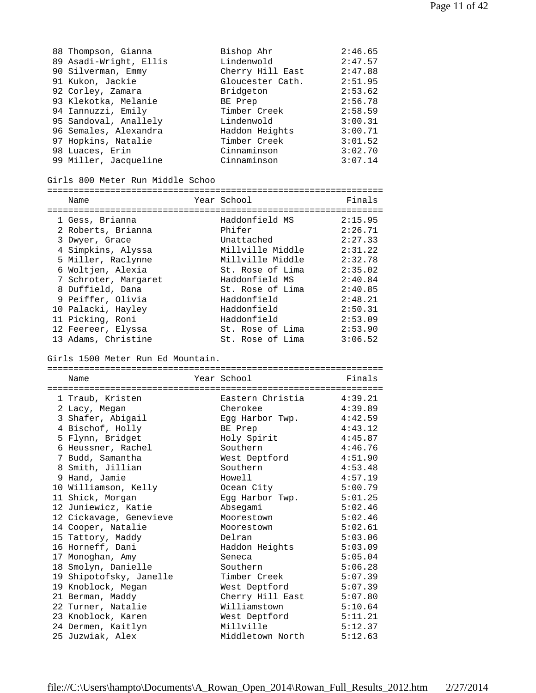| 88 Thompson, Gianna    | Bishop Ahr       | 2:46.65 |
|------------------------|------------------|---------|
| 89 Asadi-Wright, Ellis | Lindenwold       | 2:47.57 |
| 90 Silverman, Emmy     | Cherry Hill East | 2:47.88 |
| 91 Kukon, Jackie       | Gloucester Cath. | 2:51.95 |
| 92 Corley, Zamara      | Bridgeton        | 2:53.62 |
| 93 Klekotka, Melanie   | BE Prep          | 2:56.78 |
| 94 Iannuzzi, Emily     | Timber Creek     | 2:58.59 |
| 95 Sandoval, Anallely  | Lindenwold       | 3:00.31 |
| 96 Semales, Alexandra  | Haddon Heights   | 3:00.71 |
| 97 Hopkins, Natalie    | Timber Creek     | 3:01.52 |
| 98 Luaces, Erin        | Cinnaminson      | 3:02.70 |
| 99 Miller, Jacqueline  | Cinnaminson      | 3:07.14 |

| Girls 800 Meter Run Middle Schoo                        |                                        |                               |
|---------------------------------------------------------|----------------------------------------|-------------------------------|
| Name                                                    | Year School                            | Finals                        |
| 1 Gess, Brianna<br>2 Roberts, Brianna<br>3 Dwyer, Grace | Haddonfield MS<br>Phifer<br>Unattached | 2:15.95<br>2:26.71<br>2:27.33 |
| 4 Simpkins, Alyssa<br>5 Miller, Raclynne                | Millville Middle<br>Millville Middle   | 2:31.22<br>2:32.78            |
| 6 Woltjen, Alexia<br>7 Schroter, Margaret               | St. Rose of Lima<br>Haddonfield MS     | 2:35.02<br>2:40.84            |
| 8 Duffield, Dana<br>9 Peiffer, Olivia                   | St. Rose of Lima<br>Haddonfield        | 2:40.85<br>2:48.21            |
| 10 Palacki, Hayley<br>11 Picking, Roni                  | Haddonfield<br>Haddonfield             | 2:50.31<br>2:53.09            |
| 12 Feereer, Elyssa                                      | St. Rose of Lima                       | 2:53.90                       |

13 Adams, Christine St. Rose of Lima 3:06.52

Girls 1500 Meter Run Ed Mountain.

| Name                               |  | Year School              | Finals  |  |  |
|------------------------------------|--|--------------------------|---------|--|--|
| ---------------------------------- |  | ----------------------   |         |  |  |
| 1 Traub, Kristen                   |  | Eastern Christia 4:39.21 |         |  |  |
| 2 Lacy, Megan                      |  | Cherokee                 | 4:39.89 |  |  |
| 3 Shafer, Abigail                  |  | Egg Harbor Twp.          | 4:42.59 |  |  |
| 4 Bischof, Holly                   |  | BE Prep                  | 4:43.12 |  |  |
| 5 Flynn, Bridget                   |  | Holy Spirit              | 4:45.87 |  |  |
| 6 Heussner, Rachel                 |  | Southern                 | 4:46.76 |  |  |
| 7 Budd, Samantha                   |  | West Deptford            | 4:51.90 |  |  |
| 8 Smith, Jillian                   |  | Southern                 | 4:53.48 |  |  |
| 9 Hand, Jamie                      |  | Howell                   | 4:57.19 |  |  |
| 10 Williamson, Kelly               |  | Ocean City               | 5:00.79 |  |  |
| 11 Shick, Morgan                   |  | Egg Harbor Twp.          | 5:01.25 |  |  |
| 12 Juniewicz, Katie                |  | Absegami                 | 5:02.46 |  |  |
| 12 Cickavage, Genevieve            |  | Moorestown               | 5:02.46 |  |  |
| 14 Cooper, Natalie                 |  | Moorestown               | 5:02.61 |  |  |
| 15 Tattory, Maddy                  |  | Delran                   | 5:03.06 |  |  |
| 16 Horneff, Dani                   |  | Haddon Heights           | 5:03.09 |  |  |
| 17 Monoghan, Amy                   |  | Seneca                   | 5:05.04 |  |  |
| 18 Smolyn, Danielle                |  | Southern                 | 5:06.28 |  |  |
| 19 Shipotofsky, Janelle            |  | Timber Creek             | 5:07.39 |  |  |
| 19 Knoblock, Megan                 |  | West Deptford            | 5:07.39 |  |  |
| 21 Berman, Maddy                   |  | Cherry Hill East         | 5:07.80 |  |  |
| 22 Turner, Natalie                 |  | Williamstown             | 5:10.64 |  |  |
| 23 Knoblock, Karen                 |  | West Deptford            | 5:11.21 |  |  |
| 24 Dermen, Kaitlyn                 |  | Millville                | 5:12.37 |  |  |
| 25 Juzwiak, Alex                   |  | Middletown North         | 5:12.63 |  |  |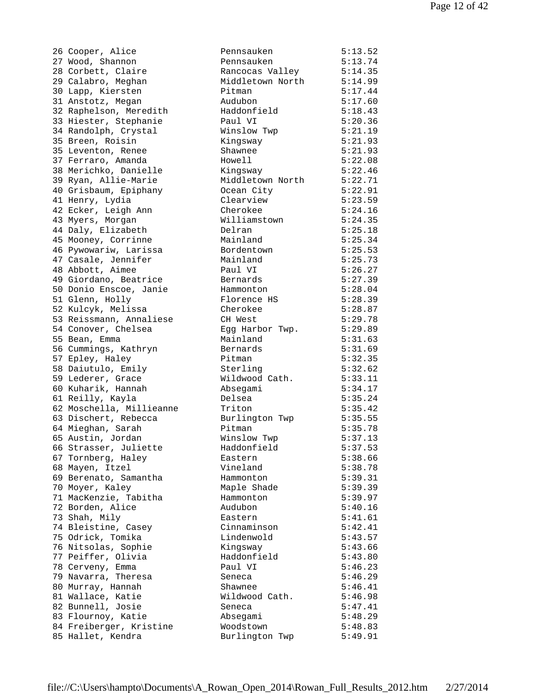26 Cooper, Alice 27 Wood, Shannon 28 Corbett, Claire 29 Calabro, Meghan 30 Lapp, Kiersten 31 Anstotz, Megan 32 Raphelson, Meredith 33 Hiester, Stephanie 34 Randolph, Crystal 35 Breen, Roisin 35 Leventon, Renee 37 Ferraro, Amanda 38 Merichko, Danielle 39 Ryan, Allie-Marie 40 Grisbaum, Epiphany 41 Henry, Lydia 42 Ecker, Leigh Ann 43 Myers, Morgan 44 Daly, Elizabeth 45 Mooney, Corrinne 46 Pywowariw, Larissa 47 Casale, Jennifer 48 Abbott, Aimee 49 Giordano, Beatrice 50 Donio Enscoe, Janie 51 Glenn, Holly 52 Kulcyk, Melissa 53 Reissmann, Annaliese 54 Conover, Chelsea 55 Bean, Emma 56 Cummings, Kathryn 57 Epley, Haley 58 Daiutulo, Emily 59 Lederer, Grace 60 Kuharik, Hannah 61 Reilly, Kayla 62 Moschella, Millieanne 63 Dischert, Rebecca 64 Mieghan, Sarah 65 Austin, Jordan 66 Strasser, Juliette 67 Tornberg, Haley 68 Mayen, Itzel 69 Berenato, Samantha 70 Moyer, Kaley 71 MacKenzie, Tabitha 72 Borden, Alice 73 Shah, Mily 74 Bleistine, Casey 75 Odrick, Tomika 76 Nitsolas, Sophie 77 Peiffer, Olivia 78 Cerveny, Emma 79 Navarra, Theresa 80 Murray, Hannah 81 Wallace, Katie 82 Bunnell, Josie 83 Flournoy, Katie 84 Freiberger, Kristine 85 Hallet, Kendra

| Pennsauken       | 5:13.52 |
|------------------|---------|
| Pennsauken       | 5:13.74 |
| Rancocas Valley  | 5:14.35 |
| Middletown North | 5:14.99 |
| Pitman           | 5:17.44 |
| Audubon          | 5:17.60 |
| Haddonfield      | 5:18.43 |
| Paul VI          | 5:20.36 |
|                  |         |
| Winslow Twp      | 5:21.19 |
| Kingsway         | 5:21.93 |
| Shawnee          | 5:21.93 |
| Howell           | 5:22.08 |
| Kingsway         | 5:22.46 |
| Middletown North | 5:22.71 |
| Ocean City       | 5:22.91 |
| Clearview        | 5:23.59 |
| Cherokee         | 5:24.16 |
| Williamstown     | 5:24.35 |
| Delran           | 5:25.18 |
| Mainland         | 5:25.34 |
| Bordentown       | 5:25.53 |
| Mainland         | 5:25.73 |
| Paul VI          | 5:26.27 |
|                  |         |
| Bernards         | 5:27.39 |
| Hammonton        | 5:28.04 |
| Florence HS      | 5:28.39 |
| Cherokee         | 5:28.87 |
| CH West          | 5:29.78 |
| Egg Harbor Twp.  | 5:29.89 |
| Mainland         | 5:31.63 |
| Bernards         | 5:31.69 |
| Pitman           | 5:32.35 |
| Sterling         | 5:32.62 |
| Wildwood Cath.   | 5:33.11 |
| Absegami         | 5:34.17 |
| Delsea           | 5:35.24 |
| Triton           | 5:35.42 |
| Burlington Twp   | 5:35.55 |
| Pitman           | 5:35.78 |
| Winslow Twp      | 5:37.13 |
| Haddonfield      | 5:37.53 |
| Eastern          | 5:38.66 |
| Vineland         | 5:38.78 |
| Hammonton        | 5:39.31 |
| Maple Shade      | 5:39.39 |
| Hammonton        | 5:39.97 |
|                  |         |
| Audubon          | 5:40.16 |
| Eastern          | 5:41.61 |
| Cinnaminson      | 5:42.41 |
| Lindenwold       | 5:43.57 |
| Kingsway         | 5:43.66 |
| Haddonfield      | 5:43.80 |
| Paul VI          | 5:46.23 |
| Seneca           | 5:46.29 |
| Shawnee          | 5:46.41 |
| Wildwood Cath.   | 5:46.98 |
| Seneca           | 5:47.41 |
| Absegami         | 5:48.29 |
| Woodstown        | 5:48.83 |
| Burlington Twp   | 5:49.91 |
|                  |         |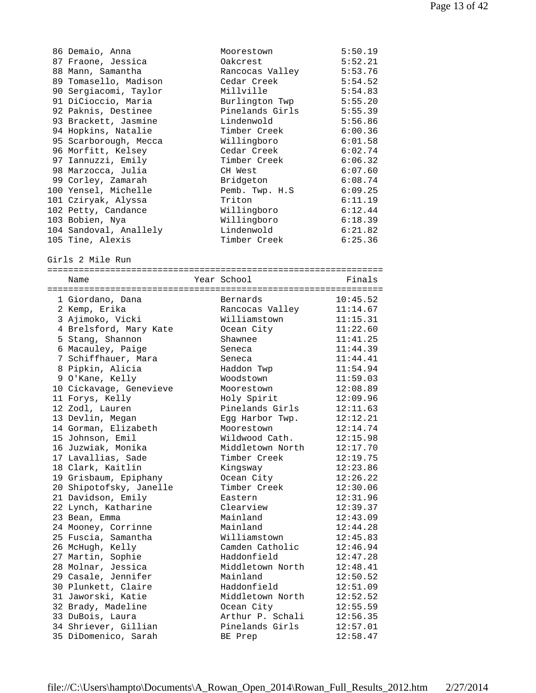| 86 Demaio, Anna         | Moorestown       | 5:50.19  |
|-------------------------|------------------|----------|
| 87 Fraone, Jessica      | Oakcrest         | 5:52.21  |
| 88 Mann, Samantha       | Rancocas Valley  | 5:53.76  |
| 89 Tomasello, Madison   | Cedar Creek      | 5:54.52  |
| 90 Sergiacomi, Taylor   | Millville        | 5:54.83  |
| 91 DiCioccio, Maria     | Burlington Twp   | 5:55.20  |
| 92 Paknis, Destinee     | Pinelands Girls  | 5:55.39  |
| 93 Brackett, Jasmine    | Lindenwold       | 5:56.86  |
| 94 Hopkins, Natalie     | Timber Creek     | 6:00.36  |
| 95 Scarborough, Mecca   | Willingboro      | 6:01.58  |
| 96 Morfitt, Kelsey      | Cedar Creek      | 6:02.74  |
| 97 Iannuzzi, Emily      | Timber Creek     | 6:06.32  |
| 98 Marzocca, Julia      | CH West          | 6:07.60  |
| 99 Corley, Zamarah      | Bridgeton        | 6:08.74  |
| 100 Yensel, Michelle    | Pemb. Twp. H.S   | 6:09.25  |
|                         | Triton           | 6:11.19  |
| 101 Cziryak, Alyssa     |                  | 6:12.44  |
| 102 Petty, Candance     | Willingboro      |          |
| 103 Bobien, Nya         | Willingboro      | 6:18.39  |
| 104 Sandoval, Anallely  | Lindenwold       | 6:21.82  |
| 105 Tine, Alexis        | Timber Creek     | 6:25.36  |
|                         |                  |          |
| Girls 2 Mile Run        |                  |          |
| Name                    | Year School      | Finals   |
|                         |                  |          |
| 1 Giordano, Dana        | Bernards         | 10:45.52 |
| 2 Kemp, Erika           | Rancocas Valley  | 11:14.67 |
| 3 Ajimoko, Vicki        | Williamstown     | 11:15.31 |
| 4 Brelsford, Mary Kate  | Ocean City       | 11:22.60 |
| 5 Stang, Shannon        | Shawnee          | 11:41.25 |
| 6 Macauley, Paige       | Seneca           | 11:44.39 |
| 7 Schiffhauer, Mara     | Seneca           | 11:44.41 |
| 8 Pipkin, Alicia        | Haddon Twp       | 11:54.94 |
| 9 O'Kane, Kelly         | Woodstown        | 11:59.03 |
|                         | Moorestown       | 12:08.89 |
| 10 Cickavage, Genevieve |                  |          |
| 11 Forys, Kelly         | Holy Spirit      | 12:09.96 |
| 12 Zodl, Lauren         | Pinelands Girls  | 12:11.63 |
| 13 Devlin, Megan        | Egg Harbor Twp.  | 12:12.21 |
| 14 Gorman, Elizabeth    | Moorestown       | 12:14.74 |
| 15 Johnson, Emil        | Wildwood Cath.   | 12:15.98 |
| 16 Juzwiak, Monika      | Middletown North | 12:17.70 |
| 17 Lavallias, Sade      | Timber Creek     | 12:19.75 |
| 18 Clark, Kaitlin       | Kingsway         | 12:23.86 |
| 19 Grisbaum, Epiphany   | Ocean City       | 12:26.22 |
| 20 Shipotofsky, Janelle | Timber Creek     | 12:30.06 |
| 21 Davidson, Emily      | Eastern          | 12:31.96 |
| 22 Lynch, Katharine     | Clearview        | 12:39.37 |
| 23 Bean, Emma           | Mainland         | 12:43.09 |
| 24 Mooney, Corrinne     | Mainland         | 12:44.28 |
| 25 Fuscia, Samantha     | Williamstown     | 12:45.83 |
| 26 McHugh, Kelly        | Camden Catholic  | 12:46.94 |
| 27 Martin, Sophie       | Haddonfield      | 12:47.28 |
| 28 Molnar, Jessica      | Middletown North | 12:48.41 |
| 29 Casale, Jennifer     | Mainland         | 12:50.52 |
| 30 Plunkett, Claire     | Haddonfield      | 12:51.09 |
| 31 Jaworski, Katie      | Middletown North | 12:52.52 |
| 32 Brady, Madeline      | Ocean City       | 12:55.59 |
| 33 DuBois, Laura        | Arthur P. Schali | 12:56.35 |
| 34 Shriever, Gillian    | Pinelands Girls  | 12:57.01 |
| 35 DiDomenico, Sarah    | BE Prep          | 12:58.47 |
|                         |                  |          |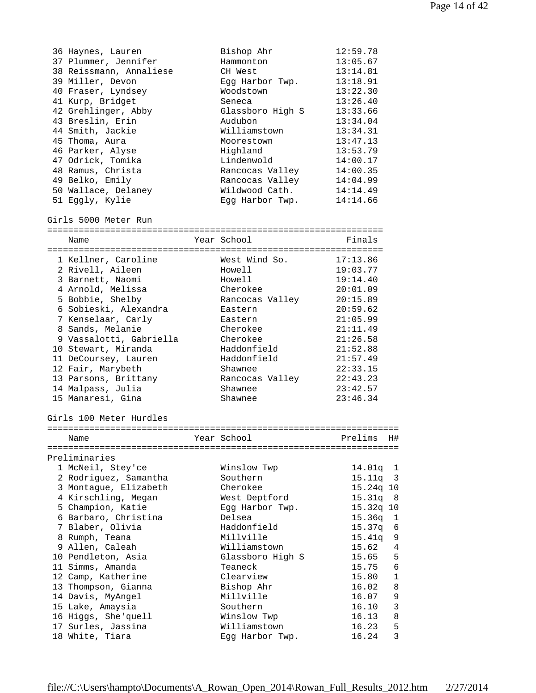| 36 Haynes, Lauren       | Bishop Ahr              | 12:59.78  |              |
|-------------------------|-------------------------|-----------|--------------|
| 37 Plummer, Jennifer    | Hammonton               | 13:05.67  |              |
| 38 Reissmann, Annaliese | CH West                 | 13:14.81  |              |
| 39 Miller, Devon        | Egg Harbor Twp.         | 13:18.91  |              |
| 40 Fraser, Lyndsey      | Woodstown               | 13:22.30  |              |
| 41 Kurp, Bridget        | Seneca                  | 13:26.40  |              |
| 42 Grehlinger, Abby     | Glassboro High S        | 13:33.66  |              |
| 43 Breslin, Erin        | Audubon                 | 13:34.04  |              |
| 44 Smith, Jackie        | Williamstown            | 13:34.31  |              |
| 45 Thoma, Aura          | Moorestown              | 13:47.13  |              |
| 46 Parker, Alyse        | Highland                | 13:53.79  |              |
| 47 Odrick, Tomika       | Lindenwold              | 14:00.17  |              |
| 48 Ramus, Christa       | Rancocas Valley         | 14:00.35  |              |
| 49 Belko, Emily         | Rancocas Valley         | 14:04.99  |              |
| 50 Wallace, Delaney     | Wildwood Cath.          | 14:14.49  |              |
| 51 Eggly, Kylie         | Egg Harbor Twp.         | 14:14.66  |              |
| Girls 5000 Meter Run    |                         |           |              |
|                         |                         |           |              |
| Name                    | Year School             | Finals    |              |
|                         |                         |           |              |
| 1 Kellner, Caroline     | West Wind So.           | 17:13.86  |              |
| 2 Rivell, Aileen        | Howell                  | 19:03.77  |              |
| 3 Barnett, Naomi        | Howell                  | 19:14.40  |              |
| 4 Arnold, Melissa       | Cherokee                | 20:01.09  |              |
| 5 Bobbie, Shelby        | Rancocas Valley         | 20:15.89  |              |
| 6 Sobieski, Alexandra   | Eastern                 | 20:59.62  |              |
| 7 Kenselaar, Carly      | Eastern                 | 21:05.99  |              |
| 8 Sands, Melanie        | Cherokee                | 21:11.49  |              |
| 9 Vassalotti, Gabriella | Cherokee                | 21:26.58  |              |
| 10 Stewart, Miranda     | Haddonfield             | 21:52.88  |              |
| 11 DeCoursey, Lauren    | Haddonfield             | 21:57.49  |              |
| 12 Fair, Marybeth       | Shawnee                 | 22:33.15  |              |
| 13 Parsons, Brittany    | Rancocas Valley         | 22:43.23  |              |
| 14 Malpass, Julia       | Shawnee                 | 23:42.57  |              |
| 15 Manaresi, Gina       | Shawnee                 | 23:46.34  |              |
| Girls 100 Meter Hurdles |                         |           |              |
|                         |                         |           |              |
| Name                    | Year School             | Prelims   | H#           |
|                         |                         |           |              |
| Preliminaries           |                         |           |              |
| 1 McNeil, Stey'ce       | Winslow Twp             | 14.01q    | $\mathbf{1}$ |
| 2 Rodriguez, Samantha   | Southern                | 15.11q    | 3            |
| 3 Montaque, Elizabeth   | Cherokee                | 15.24q 10 |              |
| 4 Kirschling, Megan     | West Deptford           | 15.31q    | 8            |
| 5 Champion, Katie       | Egg Harbor Twp.         | 15.32q 10 |              |
| 6 Barbaro, Christina    | Delsea                  | 15.36q    | 1            |
| 7 Blaber, Olivia        | Haddonfield             | 15.37q    | 6            |
| 8 Rumph, Teana          | Millville               | 15.41q    | 9            |
| 9 Allen, Caleah         | Williamstown            | 15.62     | $\sqrt{4}$   |
| 10 Pendleton, Asia      | Glassboro High S        | 15.65     | 5            |
| 11 Simms, Amanda        | Teaneck                 | 15.75     | 6            |
| 12 Camp, Katherine      | Clearview               | 15.80     | $\mathbf 1$  |
|                         |                         | 16.02     | 8            |
| 13 Thompson, Gianna     | Bishop Ahr<br>Millville |           |              |
| 14 Davis, MyAngel       |                         | 16.07     | $\mathsf 9$  |
| 15 Lake, Amaysia        | Southern                | 16.10     | $\mathbf{3}$ |
| 16 Higgs, She'quell     | Winslow Twp             | 16.13     | 8            |
| 17 Surles, Jassina      | Williamstown            | 16.23     | 5            |
| 18 White, Tiara         | Egg Harbor Twp.         | 16.24     | 3            |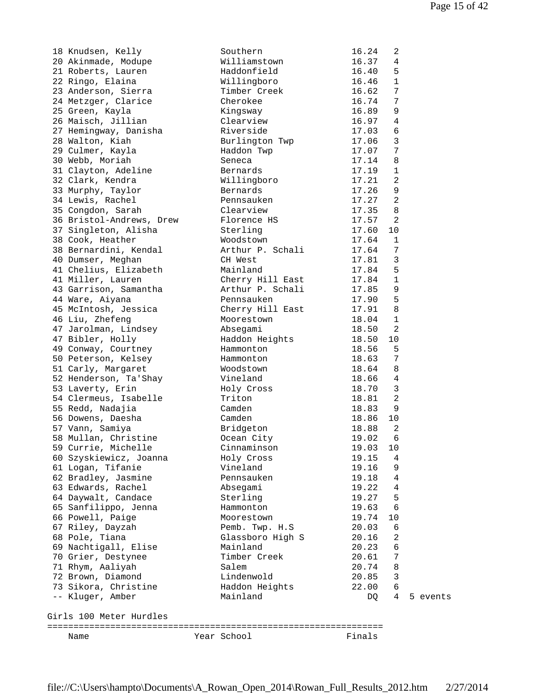| 18 Knudsen, Kelly                             | Southern                | 16.24          | 2                 |          |
|-----------------------------------------------|-------------------------|----------------|-------------------|----------|
| 20 Akinmade, Modupe                           | Williamstown            | 16.37          | $\overline{4}$    |          |
| 21 Roberts, Lauren                            | Haddonfield             | 16.40          | 5                 |          |
| 22 Ringo, Elaina                              | Willingboro             | 16.46          | 1                 |          |
| 23 Anderson, Sierra                           | Timber Creek            | 16.62          | 7                 |          |
| 24 Metzger, Clarice                           | Cherokee                | 16.74          | 7                 |          |
| 25 Green, Kayla                               | Kingsway                | 16.89          | 9                 |          |
| 26 Maisch, Jillian                            | Clearview               | 16.97          | $\overline{4}$    |          |
| 27 Hemingway, Danisha                         | Riverside               | 17.03          | $\epsilon$        |          |
| 28 Walton, Kiah                               | Burlington Twp          | 17.06          | $\mathbf{3}$      |          |
| 29 Culmer, Kayla                              | Haddon Twp              | 17.07          | 7                 |          |
| 30 Webb, Moriah                               | Seneca                  | 17.14          | 8<br>$\mathbf{1}$ |          |
| 31 Clayton, Adeline                           | Bernards                | 17.19<br>17.21 | $\overline{a}$    |          |
| 32 Clark, Kendra                              | Willingboro<br>Bernards | 17.26          | 9                 |          |
| 33 Murphy, Taylor<br>34 Lewis, Rachel         | Pennsauken              | 17.27          | $\overline{2}$    |          |
|                                               | Clearview               | 17.35          | $\,8\,$           |          |
| 35 Congdon, Sarah<br>36 Bristol-Andrews, Drew | Florence HS             | 17.57          | $\overline{a}$    |          |
| 37 Singleton, Alisha                          | Sterling                | 17.60          | 10                |          |
| 38 Cook, Heather                              | Woodstown               | 17.64          | 1                 |          |
| 38 Bernardini, Kendal                         | Arthur P. Schali        | 17.64          | 7                 |          |
| 40 Dumser, Meghan                             | CH West                 | 17.81          | 3                 |          |
| 41 Chelius, Elizabeth                         | Mainland                | 17.84          | 5                 |          |
| 41 Miller, Lauren                             | Cherry Hill East        | 17.84          | $\mathbf{1}$      |          |
| 43 Garrison, Samantha                         | Arthur P. Schali        | 17.85          | 9                 |          |
| 44 Ware, Aiyana                               | Pennsauken              | 17.90          | 5                 |          |
| 45 McIntosh, Jessica                          | Cherry Hill East        | 17.91          | 8                 |          |
| 46 Liu, Zhefeng                               | Moorestown              | 18.04          | $1\,$             |          |
| 47 Jarolman, Lindsey                          | Absegami                | 18.50          | $\overline{2}$    |          |
| 47 Bibler, Holly                              | Haddon Heights          | 18.50          | 10                |          |
| 49 Conway, Courtney                           | Hammonton               | 18.56          | 5                 |          |
| 50 Peterson, Kelsey                           | Hammonton               | 18.63          | 7                 |          |
| 51 Carly, Margaret                            | Woodstown               | 18.64          | 8                 |          |
| 52 Henderson, Ta'Shay                         | Vineland                | 18.66          | $\sqrt{4}$        |          |
| 53 Laverty, Erin                              | Holy Cross              | 18.70          | 3                 |          |
| 54 Clermeus, Isabelle                         | Triton                  | 18.81          | $\overline{a}$    |          |
| 55 Redd, Nadajia                              | Camden                  | 18.83          | 9                 |          |
| 56 Dowens, Daesha                             | Camden                  | 18.86          | 10                |          |
| 57 Vann, Samiya                               | Bridgeton               | 18.88          | $\overline{2}$    |          |
| 58 Mullan, Christine                          | Ocean City              | 19.02          | 6                 |          |
| 59 Currie, Michelle                           | Cinnaminson             | 19.03          | 10                |          |
| 60 Szyskiewicz, Joanna                        | Holy Cross              | 19.15          | 4                 |          |
| 61 Logan, Tifanie                             | Vineland                | 19.16          | 9                 |          |
| 62 Bradley, Jasmine                           | Pennsauken              | 19.18          | $\overline{4}$    |          |
| 63 Edwards, Rachel                            | Absegami                | 19.22          | 4                 |          |
| 64 Daywalt, Candace                           | Sterling                | 19.27          | 5                 |          |
| 65 Sanfilippo, Jenna                          | Hammonton               | 19.63          | 6                 |          |
| 66 Powell, Paige                              | Moorestown              | 19.74          | 10                |          |
| 67 Riley, Dayzah                              | Pemb. Twp. H.S          | 20.03          | 6                 |          |
| 68 Pole, Tiana                                | Glassboro High S        | 20.16          | 2                 |          |
| 69 Nachtigall, Elise                          | Mainland                | 20.23          | 6                 |          |
| 70 Grier, Destynee                            | Timber Creek            | 20.61          | 7                 |          |
| 71 Rhym, Aaliyah                              | Salem                   | 20.74          | 8                 |          |
| 72 Brown, Diamond                             | Lindenwold              | 20.85          | 3                 |          |
| 73 Sikora, Christine                          | Haddon Heights          | 22.00          | 6                 |          |
| -- Kluger, Amber                              | Mainland                | DQ.            | 4                 | 5 events |
| Girls 100 Meter Hurdles                       |                         |                |                   |          |
|                                               |                         |                |                   |          |
| Name                                          | Year School             | Finals         |                   |          |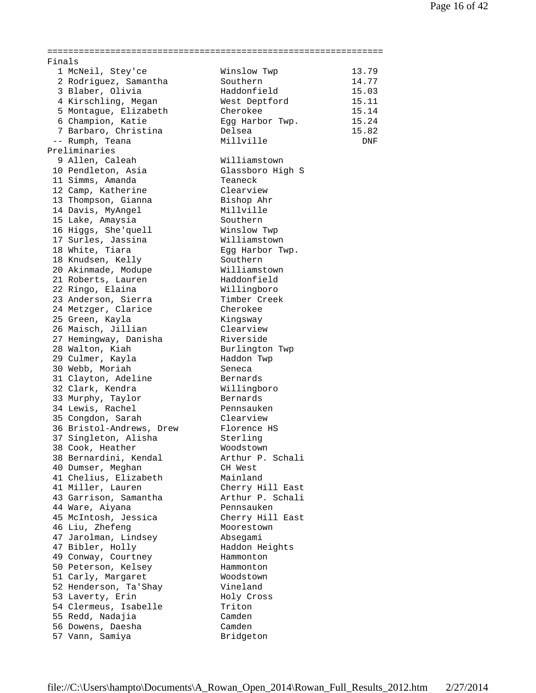| 'inals |                          |                  |            |
|--------|--------------------------|------------------|------------|
|        | 1 McNeil, Stey'ce        | Winslow Twp      | 13.79      |
|        | 2 Rodriguez, Samantha    | Southern         | 14.77      |
|        | 3 Blaber, Olivia         | Haddonfield      | 15.03      |
|        | 4 Kirschling, Megan      | West Deptford    | 15.11      |
|        | 5 Montague, Elizabeth    | Cherokee         | 15.14      |
|        | 6 Champion, Katie        | Egg Harbor Twp.  | 15.24      |
|        | 7 Barbaro, Christina     | Delsea           | 15.82      |
|        | -- Rumph, Teana          | Millville        | <b>DNF</b> |
|        | reliminaries             |                  |            |
|        | 9 Allen, Caleah          | Williamstown     |            |
|        | 10 Pendleton, Asia       | Glassboro High S |            |
|        | 11 Simms, Amanda         | Teaneck          |            |
|        | 12 Camp, Katherine       | Clearview        |            |
|        | 13 Thompson, Gianna      | Bishop Ahr       |            |
|        | 14 Davis, MyAngel        | Millville        |            |
|        | 15 Lake, Amaysia         | Southern         |            |
|        | 16 Higgs, She'quell      | Winslow Twp      |            |
|        | 17 Surles, Jassina       | Williamstown     |            |
|        | 18 White, Tiara          | Egg Harbor Twp.  |            |
|        | 18 Knudsen, Kelly        | Southern         |            |
|        | 20 Akinmade, Modupe      | Williamstown     |            |
|        | 21 Roberts, Lauren       | Haddonfield      |            |
|        | 22 Ringo, Elaina         | Willingboro      |            |
|        | 23 Anderson, Sierra      | Timber Creek     |            |
|        | 24 Metzger, Clarice      | Cherokee         |            |
|        | 25 Green, Kayla          | Kingsway         |            |
|        | 26 Maisch, Jillian       | Clearview        |            |
|        | 27 Hemingway, Danisha    | Riverside        |            |
|        | 28 Walton, Kiah          | Burlington Twp   |            |
|        | 29 Culmer, Kayla         | Haddon Twp       |            |
|        | 30 Webb, Moriah          | Seneca           |            |
|        | 31 Clayton, Adeline      | Bernards         |            |
|        | 32 Clark, Kendra         | Willingboro      |            |
|        | 33 Murphy, Taylor        | Bernards         |            |
|        | 34 Lewis, Rachel         | Pennsauken       |            |
|        | 35 Congdon, Sarah        | Clearview        |            |
|        | 36 Bristol-Andrews, Drew | Florence HS      |            |
|        | 37 Singleton, Alisha     | Sterling         |            |
|        | 38 Cook, Heather         | Woodstown        |            |
|        | 38 Bernardini, Kendal    | Arthur P. Schali |            |
|        | 40 Dumser, Meghan        | CH West          |            |
|        | 41 Chelius, Elizabeth    | Mainland         |            |
|        | 41 Miller, Lauren        | Cherry Hill East |            |
|        | 43 Garrison, Samantha    | Arthur P. Schali |            |
|        | 44 Ware, Aiyana          | Pennsauken       |            |
|        | 45 McIntosh, Jessica     | Cherry Hill East |            |
|        | 46 Liu, Zhefeng          | Moorestown       |            |
|        | 47 Jarolman, Lindsey     | Absegami         |            |
|        | 47 Bibler, Holly         | Haddon Heights   |            |
|        | 49 Conway, Courtney      | Hammonton        |            |
|        | 50 Peterson, Kelsey      | Hammonton        |            |
|        | 51 Carly, Margaret       | Woodstown        |            |
|        | 52 Henderson, Ta'Shay    | Vineland         |            |
|        | 53 Laverty, Erin         | Holy Cross       |            |
|        | 54 Clermeus, Isabelle    | Triton           |            |
|        | 55 Redd, Nadajia         | Camden           |            |
|        | 56 Dowens, Daesha        | Camden           |            |
|        | 57 Vann, Samiya          | Bridgeton        |            |
|        |                          |                  |            |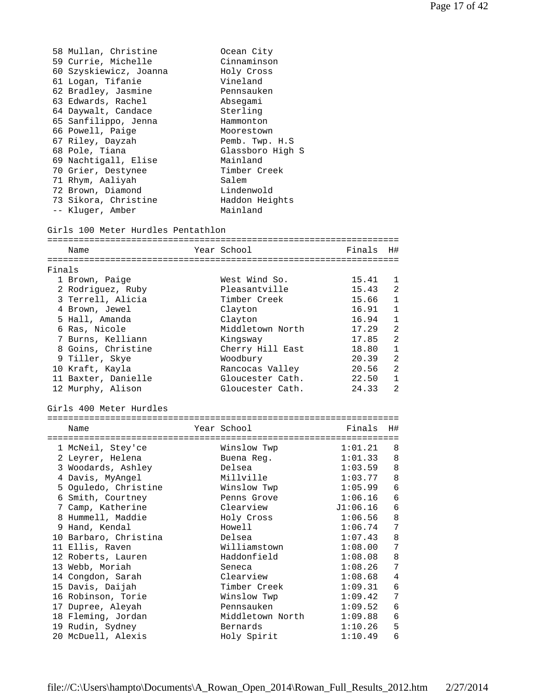|        | 58 Mullan, Christine               | Ocean City       |          |                |
|--------|------------------------------------|------------------|----------|----------------|
|        | 59 Currie, Michelle                | Cinnaminson      |          |                |
|        | 60 Szyskiewicz, Joanna             | Holy Cross       |          |                |
|        | 61 Logan, Tifanie                  | Vineland         |          |                |
|        | 62 Bradley, Jasmine                | Pennsauken       |          |                |
|        | 63 Edwards, Rachel                 | Absegami         |          |                |
|        | 64 Daywalt, Candace                | Sterling         |          |                |
|        | 65 Sanfilippo, Jenna               | Hammonton        |          |                |
|        | 66 Powell, Paige                   | Moorestown       |          |                |
|        | 67 Riley, Dayzah                   | Pemb. Twp. H.S   |          |                |
|        | 68 Pole, Tiana                     | Glassboro High S |          |                |
|        |                                    |                  |          |                |
|        | 69 Nachtigall, Elise               | Mainland         |          |                |
|        | 70 Grier, Destynee                 | Timber Creek     |          |                |
|        | 71 Rhym, Aaliyah                   | Salem            |          |                |
|        | 72 Brown, Diamond                  | Lindenwold       |          |                |
|        | 73 Sikora, Christine               | Haddon Heights   |          |                |
|        | -- Kluger, Amber                   | Mainland         |          |                |
|        | Girls 100 Meter Hurdles Pentathlon |                  |          |                |
|        | Name                               | Year School      | Finals   | H#             |
|        |                                    |                  |          |                |
| Finals |                                    |                  |          |                |
|        | 1 Brown, Paige                     | West Wind So.    | 15.41    | 1              |
|        |                                    | Pleasantville    | 15.43    | 2              |
|        | 2 Rodriguez, Ruby                  |                  |          |                |
|        | 3 Terrell, Alicia                  | Timber Creek     | 15.66    | 1              |
|        | 4 Brown, Jewel                     | Clayton          | 16.91    | 1              |
|        | 5 Hall, Amanda                     | Clayton          | 16.94    | 1              |
|        | 6 Ras, Nicole                      | Middletown North | 17.29    | 2              |
|        | 7 Burns, Kelliann                  | Kingsway         | 17.85    | 2              |
|        | 8 Goins, Christine                 | Cherry Hill East | 18.80    | 1              |
|        | 9 Tiller, Skye                     | Woodbury         | 20.39    | $\overline{a}$ |
|        | 10 Kraft, Kayla                    | Rancocas Valley  | 20.56    | 2              |
|        | 11 Baxter, Danielle                | Gloucester Cath. | 22.50    | $\mathbf{1}$   |
|        | 12 Murphy, Alison                  | Gloucester Cath. | 24.33    | 2              |
|        | Girls 400 Meter Hurdles            |                  |          |                |
|        | Name                               | Year School      | Finals   | H#             |
|        |                                    |                  |          |                |
|        | 1 McNeil, Stey'ce                  | Winslow Twp      | 1:01.21  | 8              |
|        | 2 Leyrer, Helena                   | Buena Reg.       | 1:01.33  | 8              |
|        | 3 Woodards, Ashley                 | Delsea           | 1:03.59  | 8              |
|        |                                    | Millville        | 1:03.77  |                |
|        | 4 Davis, MyAngel                   |                  |          | 8              |
|        | 5 Oguledo, Christine               | Winslow Twp      | 1:05.99  | 6              |
|        | 6 Smith, Courtney                  | Penns Grove      | 1:06.16  | 6              |
|        | 7 Camp, Katherine                  | Clearview        | J1:06.16 | 6              |
|        | 8 Hummell, Maddie                  | Holy Cross       | 1:06.56  | 8              |
|        | 9 Hand, Kendal                     | Howell           | 1:06.74  | 7              |
|        | 10 Barbaro, Christina              | Delsea           | 1:07.43  | 8              |
|        | 11 Ellis, Raven                    | Williamstown     | 1:08.00  | 7              |
|        | 12 Roberts, Lauren                 | Haddonfield      | 1:08.08  | 8              |
|        | 13 Webb, Moriah                    | Seneca           | 1:08.26  | 7              |
|        | 14 Congdon, Sarah                  | Clearview        | 1:08.68  | 4              |
|        | 15 Davis, Daijah                   | Timber Creek     | 1:09.31  | 6              |
|        | 16 Robinson, Torie                 | Winslow Twp      | 1:09.42  | 7              |
|        | 17 Dupree, Aleyah                  | Pennsauken       | 1:09.52  | 6              |
|        | 18 Fleming, Jordan                 | Middletown North | 1:09.88  | 6              |
|        | 19 Rudin, Sydney                   | Bernards         | 1:10.26  | 5              |
|        | 20 McDuell, Alexis                 | Holy Spirit      | 1:10.49  | 6              |
|        |                                    |                  |          |                |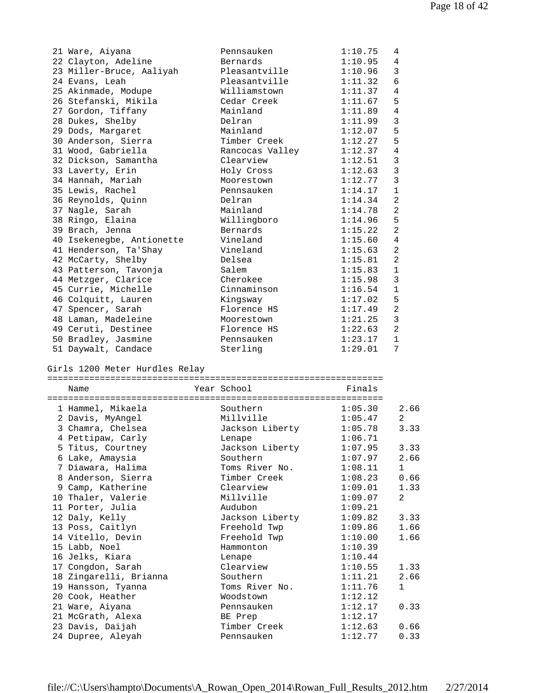| 21 Ware, Aiyana           | Pennsauken      | 1:10.75 | 4              |
|---------------------------|-----------------|---------|----------------|
| 22 Clayton, Adeline       | Bernards        | 1:10.95 | 4              |
| 23 Miller-Bruce, Aaliyah  | Pleasantville   | 1:10.96 | 3              |
| 24 Evans, Leah            | Pleasantville   | 1:11.32 | 6              |
| 25 Akinmade, Modupe       | Williamstown    | 1:11.37 | 4              |
| 26 Stefanski, Mikila      | Cedar Creek     | 1:11.67 | 5              |
| 27 Gordon, Tiffany        | Mainland        | 1:11.89 | 4              |
| 28 Dukes, Shelby          | Delran          | 1:11.99 | $\mathbf{3}$   |
| 29 Dods, Margaret         | Mainland        | 1:12.07 | 5              |
| 30 Anderson, Sierra       | Timber Creek    | 1:12.27 | 5              |
| 31 Wood, Gabriella        | Rancocas Valley | 1:12.37 | $\overline{4}$ |
| 32 Dickson, Samantha      | Clearview       | 1:12.51 | $\mathbf{3}$   |
| 33 Laverty, Erin          | Holy Cross      | 1:12.63 | $\overline{3}$ |
| 34 Hannah, Mariah         | Moorestown      | 1:12.77 | $\overline{3}$ |
| 35 Lewis, Rachel          | Pennsauken      | 1:14.17 | $\mathbf 1$    |
| 36 Reynolds, Quinn        | Delran          | 1:14.34 | 2              |
| 37 Nagle, Sarah           | Mainland        | 1:14.78 | 2              |
| 38 Ringo, Elaina          | Willingboro     | 1:14.96 | 5              |
| 39 Brach, Jenna           | Bernards        | 1:15.22 | $\overline{2}$ |
| 40 Isekenegbe, Antionette | Vineland        | 1:15.60 | $\overline{4}$ |
| 41 Henderson, Ta'Shay     | Vineland        | 1:15.63 | 2              |
| 42 McCarty, Shelby        | Delsea          | 1:15.81 | $\overline{2}$ |
| 43 Patterson, Tavonja     | Salem           | 1:15.83 | $\mathbf{1}$   |
| 44 Metzger, Clarice       | Cherokee        | 1:15.98 | $\mathfrak{Z}$ |
| 45 Currie, Michelle       | Cinnaminson     | 1:16.54 | $\mathbf{1}$   |
| 46 Colquitt, Lauren       | Kingsway        | 1:17.02 | 5              |
| 47 Spencer, Sarah         | Florence HS     | 1:17.49 | $\overline{2}$ |
| 48 Laman, Madeleine       | Moorestown      | 1:21.25 | $\overline{3}$ |
| 49 Ceruti, Destinee       | Florence HS     | 1:22.63 | 2              |
| 50 Bradley, Jasmine       | Pennsauken      | 1:23.17 | $\mathbf{1}$   |
| 51 Daywalt, Candace       | Sterling        | 1:29.01 | 7              |

Girls 1200 Meter Hurdles Relay

| Name                   |  | Year School        | Finals  |                |  |  |
|------------------------|--|--------------------|---------|----------------|--|--|
|                        |  | ------------------ |         |                |  |  |
| 1 Hammel, Mikaela      |  | Southern           | 1:05.30 | 2.66           |  |  |
| 2 Davis, MyAngel       |  | Millville          | 1:05.47 | 2              |  |  |
| 3 Chamra, Chelsea      |  | Jackson Liberty    | 1:05.78 | 3.33           |  |  |
| 4 Pettipaw, Carly      |  | Lenape             | 1:06.71 |                |  |  |
| 5 Titus, Courtney      |  | Jackson Liberty    | 1:07.95 | 3.33           |  |  |
| 6 Lake, Amaysia        |  | Southern           | 1:07.97 | 2.66           |  |  |
| 7 Diawara, Halima      |  | Toms River No.     | 1:08.11 | $\mathbf{1}$   |  |  |
| 8 Anderson, Sierra     |  | Timber Creek       | 1:08.23 | 0.66           |  |  |
| 9 Camp, Katherine      |  | Clearview          | 1:09.01 | 1.33           |  |  |
| 10 Thaler, Valerie     |  | Millville          | 1:09.07 | $\overline{2}$ |  |  |
| 11 Porter, Julia       |  | Audubon            | 1:09.21 |                |  |  |
| 12 Daly, Kelly         |  | Jackson Liberty    | 1:09.82 | 3.33           |  |  |
| 13 Poss, Caitlyn       |  | Freehold Twp       | 1:09.86 | 1.66           |  |  |
| 14 Vitello, Devin      |  | Freehold Twp       | 1:10.00 | 1.66           |  |  |
| 15 Labb, Noel          |  | Hammonton          | 1:10.39 |                |  |  |
| 16 Jelks, Kiara        |  | Lenape             | 1:10.44 |                |  |  |
| 17 Congdon, Sarah      |  | Clearview          | 1:10.55 | 1.33           |  |  |
| 18 Zingarelli, Brianna |  | Southern           | 1:11.21 | 2.66           |  |  |
| 19 Hansson, Tyanna     |  | Toms River No.     | 1:11.76 | $\mathbf{1}$   |  |  |
| 20 Cook, Heather       |  | Woodstown          | 1:12.12 |                |  |  |
| 21 Ware, Aiyana        |  | Pennsauken         | 1:12.17 | 0.33           |  |  |
| 21 McGrath, Alexa      |  | BE Prep            | 1:12.17 |                |  |  |
| 23 Davis, Daijah       |  | Timber Creek       | 1:12.63 | 0.66           |  |  |
| 24 Dupree, Aleyah      |  | Pennsauken         | 1:12.77 | 0.33           |  |  |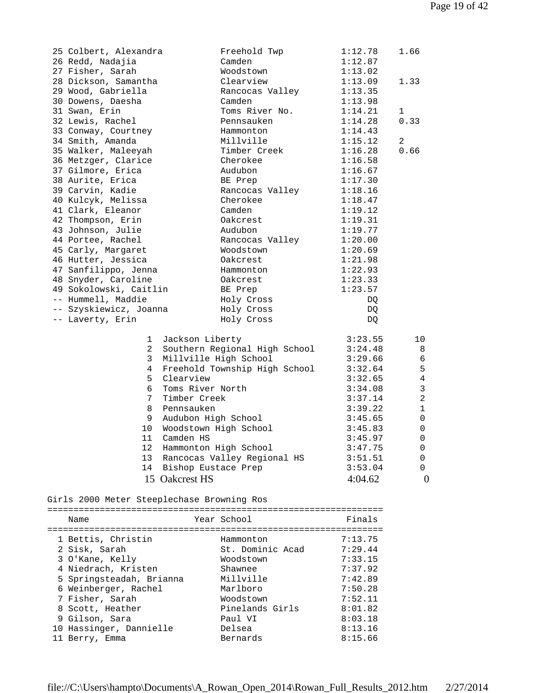| 25 Colbert, Alexandra  | Freehold Twp                  | 1:12.78 | 1.66           |
|------------------------|-------------------------------|---------|----------------|
| 26 Redd, Nadajia       | Camden                        | 1:12.87 |                |
| 27 Fisher, Sarah       | Woodstown                     | 1:13.02 |                |
| 28 Dickson, Samantha   | Clearview                     | 1:13.09 | 1.33           |
| 29 Wood, Gabriella     | Rancocas Valley               | 1:13.35 |                |
| 30 Dowens, Daesha      | Camden                        | 1:13.98 |                |
| 31 Swan, Erin          | Toms River No.                | 1:14.21 | $\mathbf 1$    |
| 32 Lewis, Rachel       | Pennsauken                    | 1:14.28 | 0.33           |
| 33 Conway, Courtney    | Hammonton                     | 1:14.43 |                |
| 34 Smith, Amanda       | Millville                     | 1:15.12 | 2              |
| 35 Walker, Maleeyah    | Timber Creek                  | 1:16.28 | 0.66           |
| 36 Metzger, Clarice    | Cherokee                      | 1:16.58 |                |
| 37 Gilmore, Erica      | Audubon                       | 1:16.67 |                |
| 38 Aurite, Erica       | BE Prep                       | 1:17.30 |                |
| 39 Carvin, Kadie       | Rancocas Valley               | 1:18.16 |                |
| 40 Kulcyk, Melissa     | Cherokee                      | 1:18.47 |                |
| 41 Clark, Eleanor      | Camden                        | 1:19.12 |                |
| 42 Thompson, Erin      | Oakcrest                      | 1:19.31 |                |
| 43 Johnson, Julie      | Audubon                       | 1:19.77 |                |
| 44 Portee, Rachel      | Rancocas Valley               | 1:20.00 |                |
| 45 Carly, Margaret     | Woodstown                     | 1:20.69 |                |
| 46 Hutter, Jessica     | Oakcrest                      | 1:21.98 |                |
| 47 Sanfilippo, Jenna   | Hammonton                     | 1:22.93 |                |
| 48 Snyder, Caroline    | Oakcrest                      | 1:23.33 |                |
| 49 Sokolowski, Caitlin | BE Prep                       | 1:23.57 |                |
| -- Hummell, Maddie     | Holy Cross                    | DQ      |                |
| -- Szyskiewicz, Joanna | Holy Cross                    | DQ      |                |
| -- Laverty, Erin       | Holy Cross                    | DQ.     |                |
| $\mathbf{1}$           | Jackson Liberty               | 3:23.55 | 10             |
| $\overline{a}$         | Southern Regional High School | 3:24.48 | 8              |
| 3                      | Millville High School         | 3:29.66 | 6              |
| 4                      | Freehold Township High School | 3:32.64 | 5              |
| 5                      | Clearview                     | 3:32.65 | 4              |
| 6                      | Toms River North              | 3:34.08 | 3              |
| $7^{\circ}$            | Timber Creek                  | 3:37.14 | $\overline{a}$ |
| 8                      | Pennsauken                    | 3:39.22 | $\mathbf{1}$   |
| 9                      | Audubon High School           | 3:45.65 | 0              |
| 10                     | Woodstown High School         | 3:45.83 | 0              |
| 11                     | Camden HS                     | 3:45.97 | 0              |
| 12 <sup>°</sup>        | Hammonton High School         | 3:47.75 | 0              |
| 13                     | Rancocas Valley Regional HS   | 3:51.51 | 0              |
| 14                     | Bishop Eustace Prep           | 3:53.04 | 0              |
|                        | 15 Oakcrest HS                | 4:04.62 | $\overline{0}$ |

Girls 2000 Meter Steeplechase Browning Ros

| Name                     | Year School      | Finals  |
|--------------------------|------------------|---------|
|                          |                  |         |
| 1 Bettis, Christin       | Hammonton        | 7:13.75 |
| 2 Sisk, Sarah            | St. Dominic Acad | 7:29.44 |
| 3 O'Kane, Kelly          | Woodstown        | 7:33.15 |
| 4 Niedrach, Kristen      | Shawnee          | 7:37.92 |
| 5 Springsteadah, Brianna | Millville        | 7:42.89 |
| 6 Weinberger, Rachel     | Marlboro         | 7:50.28 |
| 7 Fisher, Sarah          | Woodstown        | 7:52.11 |
| 8 Scott, Heather         | Pinelands Girls  | 8:01.82 |
| 9 Gilson, Sara           | Paul VI          | 8:03.18 |
| 10 Hassinger, Dannielle  | Delsea           | 8:13.16 |
| 11 Berry, Emma           | Bernards         | 8:15.66 |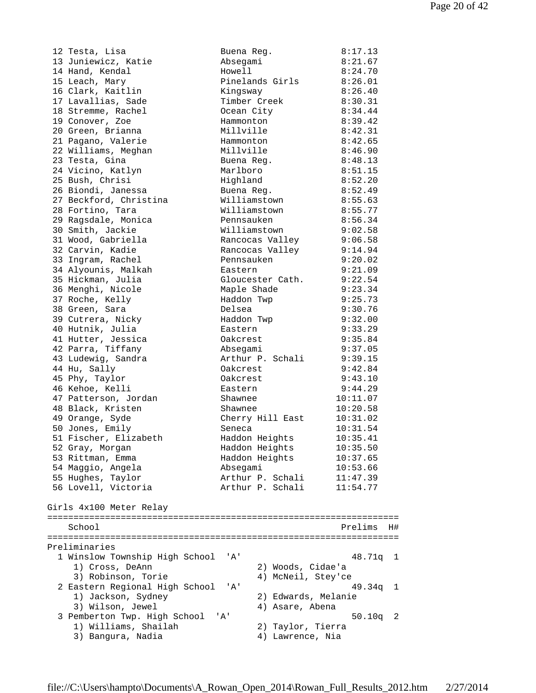12 Testa, Lisa Buena Reg. 8:17.13 13 Juniewicz, Katie Absegami 8:21.67 14 Hand, Kendal Howell 8:24.70 15 Leach, Mary Pinelands Girls 8:26.01 16 Clark, Kaitlin Kingsway 8:26.40 17 Lavallias, Sade Timber Creek 8:30.31 18 Stremme, Rachel Ocean City 8:34.44 19 Conover, Zoe Hammonton 8:39.42 20 Green, Brianna Millville 8:42.31 21 Pagano, Valerie Hammonton 8:42.65 22 Williams, Meghan Millville 8:46.90 23 Testa, Gina Buena Reg. 8:48.13 24 Vicino, Katlyn Marlboro 8:51.15 25 Bush, Chrisi Highland 8:52.20 26 Biondi, Janessa Buena Reg. 8:52.49 27 Beckford, Christina Williamstown 8:55.63 28 Fortino, Tara Williamstown 8:55.77 29 Ragsdale, Monica Pennsauken 8:56.34 30 Smith, Jackie Williamstown 9:02.58 31 Wood, Gabriella Rancocas Valley 9:06.58 32 Carvin, Kadie Rancocas Valley 9:14.94 33 Ingram, Rachel Pennsauken 9:20.02 34 Alyounis, Malkah Eastern 9:21.09 35 Hickman, Julia Gloucester Cath. 9:22.54 36 Menghi, Nicole Maple Shade 9:23.34 37 Roche, Kelly Haddon Twp 9:25.73 38 Green, Sara Delsea 9:30.76 39 Cutrera, Nicky Haddon Twp 9:32.00 40 Hutnik, Julia Eastern 9:33.29 41 Hutter, Jessica Oakcrest 9:35.84 42 Parra, Tiffany Absegami 9:37.05 43 Ludewig, Sandra Arthur P. Schali 9:39.15 44 Hu, Sally Oakcrest 9:42.84 45 Phy, Taylor Oakcrest 9:43.10 46 Kehoe, Kelli Eastern 9:44.29 47 Patterson, Jordan Shawnee 10:11.07 48 Black, Kristen Shawnee 10:20.58 49 Orange, Syde Cherry Hill East 10:31.02 50 Jones, Emily Seneca 10:31.54 51 Fischer, Elizabeth Haddon Heights 10:35.41 52 Gray, Morgan Haddon Heights 10:35.50 53 Rittman, Emma (Eddon Heights 10:37.65) 54 Maggio, Angela Absegami 10:53.66 55 Hughes, Taylor Arthur P. Schali 11:47.39 56 Lovell, Victoria Arthur P. Schali 11:54.77 Girls 4x100 Meter Relay =================================================================== School Prelims H# =================================================================== Preliminaries 1 Winslow Township High School 'A' 48.71q 1 1) Cross, DeAnn 2) Woods, Cidae'a 3) Robinson, Torie 4) McNeil, Stey'ce 2 Eastern Regional High School 'A' 49.34q 1 1) Jackson, Sydney 2) Edwards, Melanie<br>2) Wilson, Journal 2, Agaro Abona 3) Wilson, Jewel (4) Asare, Abena 3 Pemberton Twp. High School 'A' 50.10q 2 1) Williams, Shailah 2) Taylor, Tierra 3) Bangura, Nadia 4) Lawrence, Nia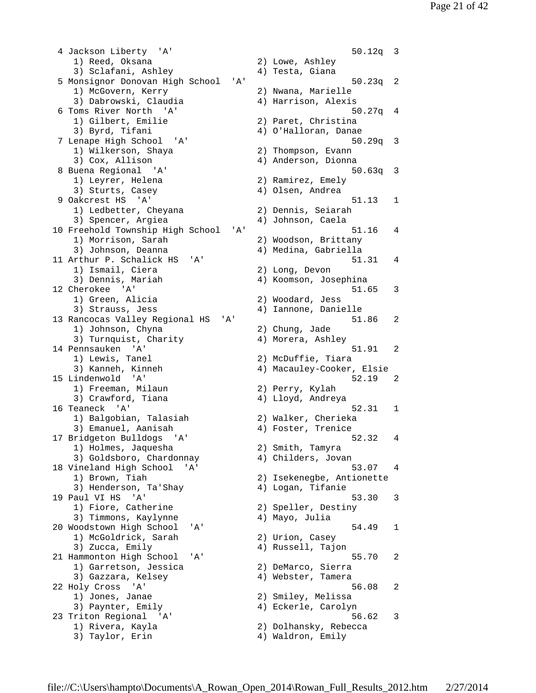4 Jackson Liberty 'A' 50.12q 3 1) Reed, Oksana 2) Lowe, Ashley 3) Sclafani, Ashley 4) Testa, Giana 5 Monsignor Donovan High School 'A' 50.23q 2 1) McGovern, Kerry 2) Nwana, Marielle 1, nedovern, nerr,<br>3) Dabrowski, Claudia (4) Harrison, Alexis 6 Toms River North 'A' 50.27q 4 3) Byrd, Tifani 4) O'Halloran, Danae 7 Lenape High School 'A' 50.29q 3 1) Wilkerson, Shaya 2) Thompson, Evann 3) Cox, Allison (4) Anderson, Dionna 8 Buena Regional 'A' 50.63q 3 8 Buena Regional 'A'<br>
1) Leyrer, Helena (2) Ramirez, Emely<br>
3) Sturts Casev (4) Olsen Andrea 3) Sturts, Casey (4) Olsen, Andrea 9 Oakcrest HS 'A' 51.13 1 1) Ledbetter, Cheyana 2) Dennis, Seiarah 3) Spencer, Argiea (4) Johnson, Caela 10 Freehold Township High School 'A' 51.16 4<br>1) Morrison, Sarah 2) Woodson, Brittany 1) Morrison, Sarah 3) Johnson, Deanna (4) Medina, Gabriella 11 Arthur P. Schalick HS 'A' 51.31 4 1) Ismail, Ciera 2) Long, Devon 3) Dennis, Mariah (4) Koomson, Josephina 12 Cherokee 'A' 51.65 3<br>1) Green, Alicia (2) Woodard, Jess 3) Strauss, Jess 4) Iannone, Danielle 13 Rancocas Valley Regional HS 'A' 51.86 2 1) Johnson, Chyna 2) Chung, Jade 3) Turnquist, Charity (4) Morera, Ashley 14 Pennsauken 'A' 51.91 2 1) Lewis, Tanel 2) McDuffie, Tiara<br>3) Kanneh, Kinneh 2) Macauley-Cooker,<br>1.indenwold 'A' 3) Kanneh, Kinneh 4) Macauley-Cooker, Elsie 15 Lindenwold 'A' 52.19 2 1) Freeman, Milaun 2) Perry, Kylah 3) Crawford, Tiana (4) Lloyd, Andreya 16 Teaneck 'A' 52.31 1 1) Balgobian, Talasiah 2) Walker, Cherieka 3) Emanuel, Aanisah (4) Foster, Trenice 17 Bridgeton Bulldogs 'A' 52.32 4 1) Holmes, Jaquesha 2) Smith, Tamyra 3) Goldsboro, Chardonnay 4) Childers, Jovan 18 Vineland High School 'A' 53.07 4 1) Brown, Tiah 2) Isekenegbe, Antionette 3) Henderson, Ta'Shay (4) Logan, Tifanie 19 Paul VI HS 'A' 53.30 3 1) Fiore, Catherine 12) Speller, Destiny 3) Timmons, Kaylynne 4) Mayo, Julia 20 Woodstown High School 'A' 54.49 1 1) McGoldrick, Sarah 2) Urion, Casey 3) Zucca, Emily (4) Russell, Tajon 21 Hammonton High School 'A' 55.70 2 1) Garretson, Jessica<br>3) Gazzara, Kelsey 22 Holy Cross 'A' 56.08 2 1) Jones, Janae 2) Smiley, Melissa 3) Paynter, Emily 4) Eckerle, Carolyn 23 Triton Regional 'A' 56.62 3 1) Rivera, Kayla 2) Dolhansky, Rebecca 3) Taylor, Erin 1997 (2008) 4 Maldron, Emily

2) Paret, Christina 2) Woodard, Jess 2) DeMarco, Sierra<br>4) Webster, Tamera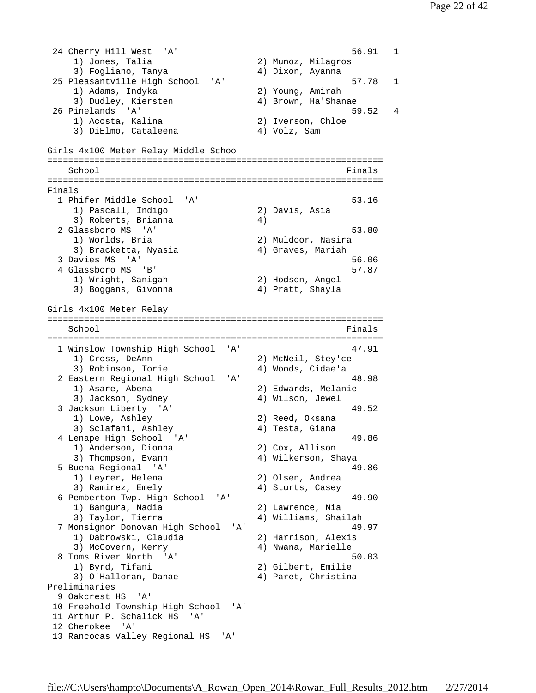24 Cherry Hill West 'A' 56.91 1 1) Jones, Talia 2) Munoz, Milagros 3) Fogliano, Tanya 4) Dixon, Ayanna 25 Pleasantville High School 'A' 57.78 1 1) Adams, Indyka 2) Young, Amirah 3) Dudley, Kiersten (4) Brown, Ha'Shanae<br>31 Brown, Ha'Shanae 26 Pinelands 'A' 59.52 4 1) Acosta, Kalina 2) Iverson, Chloe 3) DiElmo, Cataleena 4) Volz, Sam Girls 4x100 Meter Relay Middle Schoo ================================================================ School Finals ================================================================ Finals 1 Phifer Middle School 'A' 53.16 1) Pascall, Indigo 2) Davis, Asia 3) Roberts, Brianna 4) 2 Glassboro MS 'A' 53.80<br>1) Worlds, Bria 32 Muldoor, Nasira 1) Worlds, Bria (2) Muldoor, Nasira<br>3) Bracketta, Nyasia (2) 4) Graves, Mariah 3) Bracketta, Nyasia 3 Davies MS 'A' 56.06 4 Glassboro MS 'B' 57.87 1) Wright, Sanigah 2) Hodson, Angel 3) Boggans, Givonna (4) Pratt, Shayla Girls 4x100 Meter Relay ================================================================ School **Finals** ================================================================ 1 Winslow Township High School 'A' 47.91<br>1) Cross, DeAnn 2) McNeil, Stey'ce 1) Cross, DeAnn 2) McNeil, Stey'ce 3) Robinson, Torie 4) Woods, Cidae'a 2 Eastern Regional High School 'A' 48.98 1) Asare, Abena 2) Edwards, Melanie 3) Jackson, Sydney (4) Wilson, Jewel 3 Jackson Liberty 'A' 49.52 1) Lowe, Ashley 2) Reed, Oksana 3) Sclafani, Ashley (4) Testa, Giana 4 Lenape High School 'A' 49.86<br>
1) Anderson, Dionna 2) Cox, Allison<br>
2) Cox, Allison 1) Anderson, Dionna 3) Thompson, Evann 4) Wilkerson, Shaya 5 Buena Regional 'A' 49.86 1) Leyrer, Helena 2) Olsen, Andrea 3) Ramirez, Emely (4) Sturts, Casey 6 Pemberton Twp. High School 'A' 49.90 1) Bangura, Nadia 2) Lawrence, Nia 3) Taylor, Tierra (4) Williams, Shailah 7 Monsignor Donovan High School 'A' 49.97 1) Dabrowski, Claudia 2) Harrison, Alexis 3) McGovern, Kerry (1988) 4) Nwana, Marielle 8 Toms River North 'A' 8 Toms River North 'A' 50.03 1) Byrd, Tifani 2) Gilbert, Emilie 3) O'Halloran, Danae  $\begin{pmatrix} 4 \end{pmatrix}$  Paret, Christina Preliminaries 9 Oakcrest HS 'A' 10 Freehold Township High School 'A' 11 Arthur P. Schalick HS 'A' 12 Cherokee 'A' 13 Rancocas Valley Regional HS 'A'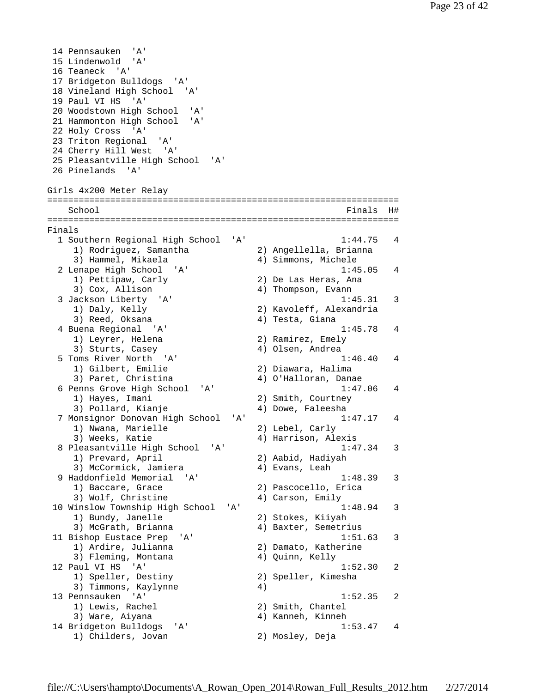14 Pennsauken 'A' 15 Lindenwold 'A' 16 Teaneck 'A' 17 Bridgeton Bulldogs 'A' 18 Vineland High School 'A' 19 Paul VI HS 'A' 20 Woodstown High School 'A' 21 Hammonton High School 'A' 22 Holy Cross 'A' 23 Triton Regional 'A' 24 Cherry Hill West 'A' 25 Pleasantville High School 'A' 26 Pinelands 'A' Girls 4x200 Meter Relay =================================================================== School **Finals** H# =================================================================== Finals 1 Southern Regional High School 'A' 1:44.75 4 1) Rodriguez, Samantha 2) Angellella, Brianna 3) Hammel, Mikaela 4) Simmons, Michele 2 Lenape High School 'A' 1:45.05 4 1) Pettipaw, Carly 2) De Las Heras, Ana 3) Cox, Allison 4) Thompson, Evann 3 Jackson Liberty 'A' 1:45.31 3 1) Daly, Kelly 2) Kavoleff, Alexandria 3) Reed, Oksana (3) 4) Testa, Giana 4 Buena Regional 'A' 1:45.78 4 1) Leyrer, Helena 2) Ramirez, Emely 3) Sturts, Casey (4) Olsen, Andrea 5 Toms River North 'A' 1:46.40 4 1) Gilbert, Emilie 2) Diawara, Halima 3) Paret, Christina (4) O'Halloran, Danae 6 Penns Grove High School 'A' 1:47.06 4 1) Hayes, Imani 2) Smith, Courtney 3) Pollard, Kianje 1988 (4) Dowe, Faleesha 7 Monsignor Donovan High School 'A' 1:47.17 4 1) Nwana, Marielle 2) Lebel, Carly 3) Weeks, Katie  $4)$  Harrison, Alexis 8 Pleasantville High School 'A' 1:47.34 3<br>1) Prevard, April 2) Aabid, Hadiyah 1) Prevard, April 3) McCormick, Jamiera (4) Evans, Leah 9 Haddonfield Memorial 'A' 1:48.39 3 1) Baccare, Grace 2) Pascocello, Erica 3) Wolf, Christine 4) Carson, Emily 10 Winslow Township High School 'A' 1:48.94 3 1) Bundy, Janelle 2) Stokes, Kiiyah 3) McGrath, Brianna (4) Baxter, Semetrius 11 Bishop Eustace Prep 'A' 1:51.63 3 1) Ardire, Julianna 2) Damato, Katherine 3) Fleming, Montana (4) Quinn, Kelly 12 Paul VI HS 'A' 1:52.30 2<br>1) Speller, Destiny 2) Speller, Kimesha 2) Speller, Kimesha 3) Timmons, Kaylynne  $4)$  13 Pennsauken 'A' 1:52.35 2 1) Lewis, Rachel 2) Smith, Chantel 3) Ware, Aiyana (4) Kanneh, Kinneh 14 Bridgeton Bulldogs 'A' 1:53.47 4 1) Childers, Jovan 2) Mosley, Deja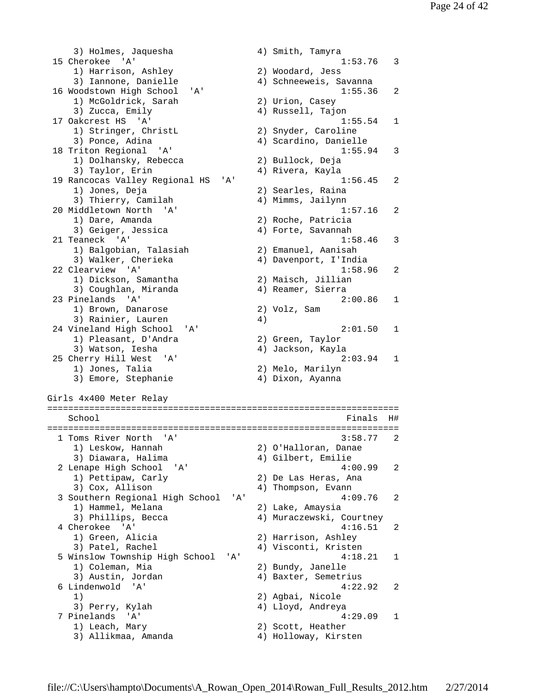3) Holmes, Jaquesha (4) Smith, Tamyra 15 Cherokee 'A' 1:53.76 3 1) Harrison, Ashley 2) Woodard, Jess 3) Iannone, Danielle 4) Schneeweis, Savanna 16 Woodstown High School 'A' 1:55.36 2 1) McGoldrick, Sarah 2) Urion, Casey 3) Zucca, Emily 19 (4) Russell, Tajon 17 Oakcrest HS 'A' 1:55.54 1 1) Stringer, ChristL 2) Snyder, Caroline 3) Ponce, Adina 4) Scardino, Danielle 18 Triton Regional 'A' 1:55.94 3 1) Dolhansky, Rebecca 2) Bullock, Deja 3) Taylor, Erin 4) Rivera, Kayla 19 Rancocas Valley Regional HS 'A' 1:56.45 2 1) Jones, Deja 2) Searles, Raina 3) Thierry, Camilah 4) Mimms, Jailynn 20 Middletown North 'A' 1:57.16 2 1) Dare, Amanda 2) Roche, Patricia 3) Geiger, Jessica (4) Forte, Savannah 21 Teaneck 'A' 1:58.46 3 1) Balgobian, Talasiah 2) Emanuel, Aanisah 3) Walker, Cherieka 4) Davenport, I'India 22 Clearview 'A' 1:58.96 2 1) Dickson, Samantha 2) Maisch, Jillian 3) Coughlan, Miranda (4) Reamer, Sierra 23 Pinelands 'A' 2:00.86 1 1) Brown, Danarose 2) Volz, Sam 3) Rainier, Lauren (1948) 24 Vineland High School 'A' 2:01.50 1 1) Pleasant, D'Andra 2) Green, Taylor 3) Watson, Iesha (4) Jackson, Kayla 25 Cherry Hill West 'A' 2:03.94 1 1) Jones, Talia 2) Melo, Marilyn 3) Emore, Stephanie (4) Dixon, Ayanna Girls 4x400 Meter Relay =================================================================== School **Finals H**# =================================================================== 1 Toms River North 'A' 2) O'Halloran, Danae<br>4) Gilbert, Emilie 1) Leskow, Hannah<br>3) Diawara, Halima 2 Lenape High School 'A' 4:00.99 2 1) Pettipaw, Carly 2) De Las Heras, Ana 3) Cox, Allison (4) Thompson, Evann 3 Southern Regional High School 'A' 4:09.76 2 1) Hammel, Melana 2) Lake, Amaysia 3) Phillips, Becca 4) Muraczewski, Courtney 4 Cherokee 'A' 4:16.51 2 1) Green, Alicia 2) Harrison, Ashley 3) Patel, Rachel (4) Visconti, Kristen 5 Winslow Township High School 'A' 4:18.21 1 1) Coleman, Mia 2) Bundy, Janelle 3) Austin, Jordan (4) Baxter, Semetrius 6 Lindenwold 'A' 4:22.92 2 1) 2) Agbai, Nicole 3) Perry, Kylah 4) Lloyd, Andreya 7 Pinelands 'A' 4:29.09 1 1) Leach, Mary 2) Scott, Heather 3) Allikmaa, Amanda 4) Holloway, Kirsten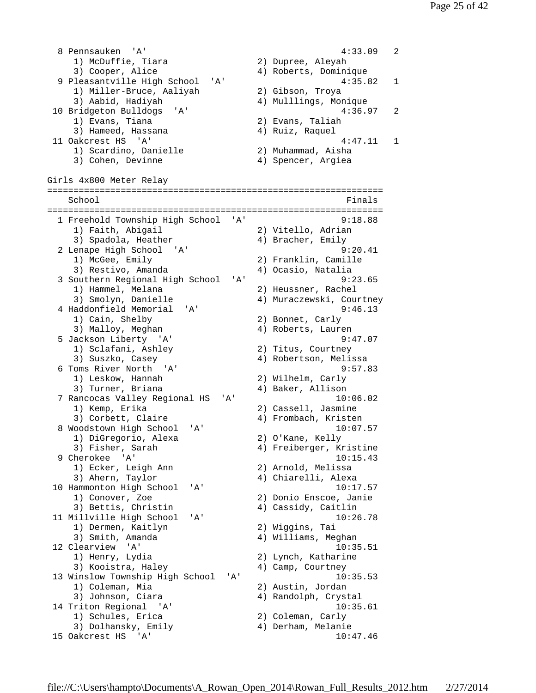8 Pennsauken 'A' 4:33.09 2 1) McDuffie, Tiara 2) Dupree, Aleyah 3) Cooper, Alice 4) Roberts, Dominique 9 Pleasantville High School 'A' 4:35.82 1<br>1) Miller-Bruce, Aaliyah 2) Gibson, Troya 1) Miller-Bruce, Aaliyah 2) Gibson, Troya 3) Aabid, Hadiyah 4) Mulllings, Monique 10 Bridgeton Bulldogs 'A' 4:36.97 2 1) Evans, Tiana 2) Evans, Taliah 1) Evans, Tiana (2) Evans, Taliah<br>3) Hameed, Hassana (4) Ruiz, Raquel 11 Oakcrest HS 'A' 4:47.11 1 1) Scardino, Danielle 2) Muhammad, Aisha 3) Cohen, Devinne (4) Spencer, Argiea Girls 4x800 Meter Relay ================================================================ School **Finals** ================================================================ 1 Freehold Township High School 'A' 9:18.88 1) Faith, Abigail 2) Vitello, Adrian 3) Spadola, Heather (4) Bracher, Emily 2 Lenape High School 'A' 9:20.41 1) McGee, Emily 2) Franklin, Camille 3) Restivo, Amanda (4) Ocasio, Natalia 3 Southern Regional High School 'A' 9:23.65 1) Hammel, Melana 2) Heussner, Rachel 3) Smolyn, Danielle 4) Muraczewski, Courtney 4 Haddonfield Memorial 'A' 9:46.13 1) Cain, Shelby 2) Bonnet, Carly 3) Malloy, Meghan (4) Roberts, Lauren 5 Jackson Liberty 'A' 9:47.07<br>1) Sclafani, Ashley 2) Titus, Courtney<br>2) Susake Casey (1993) 2) Titus, Courtney<br>(2) Tibertson, Melic 3) Suszko, Casey 4) Robertson, Melissa 6 Toms River North 'A' 9:57.83 1) Leskow, Hannah 2) Wilhelm, Carly 3) Turner, Briana (4) Baker, Allison 7 Rancocas Valley Regional HS 'A' 10:06.02 1) Kemp, Erika 2) Cassell, Jasmine 3) Corbett, Claire (4) Frombach, Kristen 8 Woodstown High School 'A' 10:07.57<br>1) DiGregorio, Alexa 2) O'Kane, Kelly 1) DiGregorio, Alexa 3) Fisher, Sarah 4) Freiberger, Kristine 9 Cherokee 'A' 10:15.43 1) Ecker, Leigh Ann 2) Arnold, Melissa 3) Ahern, Taylor 4) Chiarelli, Alexa 10 Hammonton High School 'A' 10:17.57 1) Conover, Zoe 2) Donio Enscoe, Janie<br>2) Donio Enscoe, Janie 3) Bettis, Christin 4) Cassidy, Caitlin 11 Millville High School 'A' 10:26.78 1) Dermen, Kaitlyn 2) Wiggins, Tai 3) Smith, Amanda (4) Williams, Meghan 12 Clearview 'A' 10:35.51 1) Henry, Lydia 2) Lynch, Katharine 3) Kooistra, Haley (4) Camp, Courtney 13 Winslow Township High School 'A' 10:35.53 1) Coleman, Mia 2) Austin, Jordan 3) Johnson, Ciara (4) Randolph, Crystal 14 Triton Regional 'A' 10:35.61 1) Schules, Erica 2) Coleman, Carly 3) Dolhansky, Emily 4) Derham, Melanie 15 Oakcrest HS 'A' 10:47.46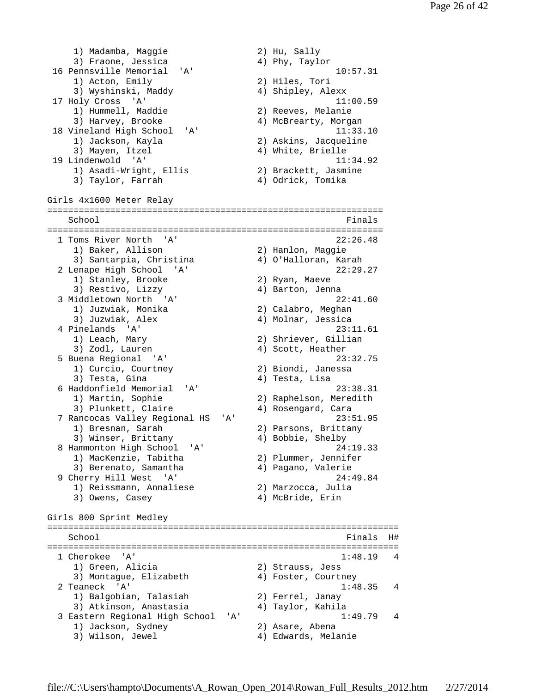1) Madamba, Maggie 2) Hu, Sally 3) Fraone, Jessica 4) Phy, Taylor 16 Pennsville Memorial 'A' 10:57.31<br>1) Acton, Emily 2) Hiles, Tori 1) Acton, Emily 3) Wyshinski, Maddy 4) Shipley, Alexx 17 Holy Cross 'A' 11:00.59 HOIY Cross A<br>1) Hummell, Maddie 2) Reeves, Melanie<br>1) MaProarty Morg 3) Harvey, Brooke 4) McBrearty, Morgan 18 Vineland High School 'A' 11:33.10<br>18 Vineland High School 'A' 11:33.10<br>19 Jackson, Kayla 2) Askins, Jacqueline 1) Jackson, Kayla<br>2) Hackson, Jac 3) Mayen, Itzel 4) White, Brielle<br>19 Lindenwold 'A' 11 19 Lindenwold 'A' 11:34.92 1) Asadi-Wright, Ellis 2) Brackett, Jasmine 3) Taylor, Farrah 4) Odrick, Tomika Girls 4x1600 Meter Relay ================================================================ School Finals and School Finals and School Finals and School Finals and School Finals and School Finals and School Finals and School Finals and School Finals and School Finals and School Finals and School Finals and School ================================================================ 1 Toms River North 'A' 22:26.48 1) Baker, Allison 2) Hanlon, Maggie 3) Santarpia, Christina 4) O'Halloran, Karah 2 Lenape High School 'A' 22:29.27 1) Stanley, Brooke 2) Ryan, Maeve 3) Restivo, Lizzy 4) Barton, Jenna 3 Middletown North 'A' 22:41.60 1) Juzwiak, Monika 2) Calabro, Meghan 3) Juzwiak, Alex 4) Molnar, Jessica 4 Pinelands 'A' 23:11.61 1) Leach, Mary 2) Shriever, Gillian<br>3) Zodl, Lauren 3, 2001, 2001, 2001, 2001, 2001, 2001, 2001, 2012, 2013, 2014 3) Zodl, Lauren 5 Buena Regional 'A' 23:32.75 1) Curcio, Courtney 3) Testa, Gina (3) Testa, Lisa 6 Haddonfield Memorial 'A' 23:38.31 1) Martin, Sophie 2) Raphelson, Meredith 3) Plunkett, Claire (4) Rosengard, Cara 7 Rancocas Valley Regional HS 'A' 23:51.95 1) Bresnan, Sarah 2) Parsons, Brittany<br>2) External Distances of the Al-Bobbie Sholby 3) Winser, Brittany 4) Bobbie, Shelby 8 Hammonton High School 'A' 24:19.33<br>1) MacKenzie, Tabitha 2) Plummer, Jennifer 1) MacKenzie, Tabitha 3) Berenato, Samantha 4) Pagano, Valerie 9 Cherry Hill West 'A' 24:49.84 1) Reissmann, Annaliese 2) Marzocca, Julia 3) Owens, Casey (4) McBride, Erin Girls 800 Sprint Medley =================================================================== School and the set of the set of the set of the set of the set of the set of the set of the set of the set of the set of the set of the set of the set of the set of the set of the set of the set of the set of the set of th =================================================================== 1 Cherokee 'A' 1:48.19 4 1) Green, Alicia 2) Strauss, Jess 3) Montague, Elizabeth 4) Foster, Courtney 2 Teaneck 'A' 1:48.35 4 1) Balgobian, Talasiah 2) Ferrel, Janay 3) Atkinson, Anastasia 4) Taylor, Kahila 3 Eastern Regional High School 'A' 1:49.79 4 1) Jackson, Sydney 2) Asare, Abena 3) Wilson, Jewel 4) Edwards, Melanie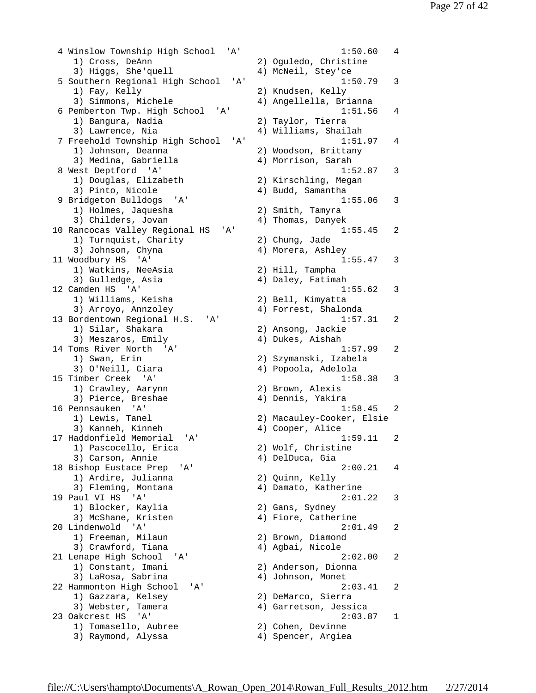4 Winslow Township High School 'A' 1:50.60 4 1) Cross, DeAnn 2) Oguledo, Christine 3) Higgs, She'quell 4) McNeil, Stey'ce 5 Southern Regional High School 'A' 1:50.79 3 1) Fay, Kelly 2) Knudsen, Kelly 3) Simmons, Michele 4) Angellella, Brianna 6 Pemberton Twp. High School 'A' 1:51.56 4 1) Bangura, Nadia 2) Taylor, Tierra 3) Lawrence, Nia 4) Williams, Shailah 7 Freehold Township High School 'A' 1:51.97 4 1) Johnson, Deanna 2) Woodson, Brittany 3) Medina, Gabriella (4) Morrison, Sarah 8 West Deptford 'A' 1:52.87 3 1) Douglas, Elizabeth 2) Kirschling, Megan 3) Pinto, Nicole (4) Budd, Samantha 9 Bridgeton Bulldogs 'A' 1:55.06 3 1) Holmes, Jaquesha 2) Smith, Tamyra 3) Childers, Jovan (4) Thomas, Danyek 10 Rancocas Valley Regional HS 'A' 1:55.45 2 1) Turnquist, Charity 2) Chung, Jade 3) Johnson, Chyna (4) Morera, Ashley 11 Woodbury HS 'A' 1:55.47 3 1) Watkins, NeeAsia 2) Hill, Tampha 3) Gulledge, Asia 4) Daley, Fatimah 12 Camden HS 'A' 1:55.62 3 1) Williams, Keisha 2) Bell, Kimyatta 3) Arroyo, Annzoley 4) Forrest, Shalonda 13 Bordentown Regional H.S. 'A' 1:57.31 2 1) Silar, Shakara 2) Ansong, Jackie 3) Meszaros, Emily (4) Dukes, Aishah 14 Toms River North 'A' 1:57.99 2 1) Swan, Erin 2) Szymanski, Izabela 3) O'Neill, Ciara (4) Popoola, Adelola 15 Timber Creek 'A' 1:58.38 3 1) Crawley, Aarynn 2) Brown, Alexis 3) Pierce, Breshae 4) Dennis, Yakira 16 Pennsauken 'A' 1:58.45 2 1) Lewis, Tanel 2) Macauley-Cooker, Elsie 3) Kanneh, Kinneh (4) Cooper, Alice 17 Haddonfield Memorial 'A' 1:59.11 2 1) Pascocello, Erica 2) Wolf, Christine 3) Carson, Annie 4) DelDuca, Gia 18 Bishop Eustace Prep 'A' 2:00.21 4 1) Ardire, Julianna 2) Quinn, Kelly 3) Fleming, Montana (4) Damato, Katherine 19 Paul VI HS 'A' 2:01.22 3 1) Blocker, Kaylia 2) Gans, Sydney 3) McShane, Kristen 4) Fiore, Catherine 20 Lindenwold 'A' 2:01.49 2 1) Freeman, Milaun 2) Brown, Diamond 3) Crawford, Tiana (4) Agbai, Nicole 21 Lenape High School 'A' 2:02.00 2 1) Constant, Imani 2) Anderson, Dionna 3) LaRosa, Sabrina (4) Johnson, Monet 22 Hammonton High School 'A' 2:03.41 2 1) Gazzara, Kelsey (2) DeMarco, Sierra 3) Webster, Tamera 4) Garretson, Jessica 23 Oakcrest HS 'A' 2:03.87 1 1) Tomasello, Aubree 2) Cohen, Devinne 3) Raymond, Alyssa 4) Spencer, Argiea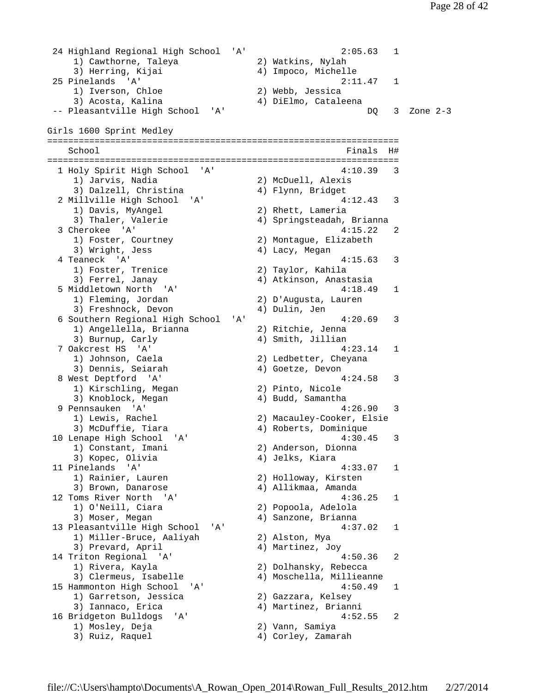```
 24 Highland Regional High School 'A' 2:05.63 1 
 1) Cawthorne, Taleya 2) Watkins, Nylah 
 3) Herring, Kijai 4) Impoco, Michelle 
 25 Pinelands 'A' 2:11.47 1 
 1) Iverson, Chloe 2) Webb, Jessica 
 3) Acosta, Kalina 4) DiElmo, Cataleena 
 -- Pleasantville High School 'A' DQ 3 Zone 2-3 
Girls 1600 Sprint Medley 
=================================================================== 
 School Finals H#
=================================================================== 
 1 Holy Spirit High School 'A' 4:<br>1) Jarvis, Nadia 2) McDuell, Alexis
 1) Jarvis, Nadia 2) McDuell, Alexis 
3) Dalzell, Christina (4) Flynn, Bridget
 2 Millville High School 'A' 4:12.43 3 
 1) Davis, MyAngel 2) Rhett, Lameria 
 3) Thaler, Valerie 4) Springsteadah, Brianna 
 3 Cherokee 'A' 4:15.22 2 
 1) Foster, Courtney 2) Montague, Elizabeth 
3) Wright, Jess (4) Lacy, Megan
 4 Teaneck 'A' 4:15.63 3 
 1) Foster, Trenice 2) Taylor, Kahila 
 3) Ferrel, Janay 4) Atkinson, Anastasia 
  5 Middletown North 'A' 4:18.49 1 
    1) Fleming, Jordan 2) D'Augusta, Lauren 
   3) Freshnock, Devon (4) Dulin, Jen
  6 Southern Regional High School 'A' 4:20.69 3 
    1) Angellella, Brianna 2) Ritchie, Jenna 
   3) Burnup, Carly 19, 2003 4) Smith, Jillian
 7 Oakcrest HS 'A' 4:23.14 1 
 1) Johnson, Caela 2) Ledbetter, Cheyana 
3) Dennis, Seiarah (4) Goetze, Devon
 8 West Deptford 'A' 4:24.58 3 
    1) Kirschling, Megan 2) Pinto, Nicole 
   3) Knoblock, Megan (4) Budd, Samantha
  9 Pennsauken 'A' 4:26.90 3 
 1) Lewis, Rachel 2) Macauley-Cooker, Elsie 
 3) McDuffie, Tiara 4) Roberts, Dominique 
10 Lenape High School 'A' 4:30.45 3<br>1) Constant, Imani 2) Anderson, Dionna
   1) Constant, Imani
   3) Kopec, Olivia (4) Jelks, Kiara
 11 Pinelands 'A' 4:33.07 1 
    1) Rainier, Lauren 2) Holloway, Kirsten 
   3) Brown, Danarose 4) Allikmaa, Amanda
 12 Toms River North 'A' 4:36.25 1 
    1) O'Neill, Ciara 2) Popoola, Adelola 
   3) Moser, Megan (3) 4) Sanzone, Brianna
13 Pleasantville High School 'A' 4:37.02 1<br>1) Miller-Bruce, Aaliyah 2) Alston, Mya
   1) Miller-Bruce, Aaliyah
    3) Prevard, April 4) Martinez, Joy 
 14 Triton Regional 'A' 4:50.36 2 
    1) Rivera, Kayla 2) Dolhansky, Rebecca 
   3) Clermeus, Isabelle
 15 Hammonton High School 'A' 4:50.49 1 
    1) Garretson, Jessica 2) Gazzara, Kelsey 
    3) Iannaco, Erica 4) Martinez, Brianni 
 16 Bridgeton Bulldogs 'A' 4:52.55 2 
    1) Mosley, Deja 2) Vann, Samiya 
   3) Ruiz, Raquel (4) Corley, Zamarah
```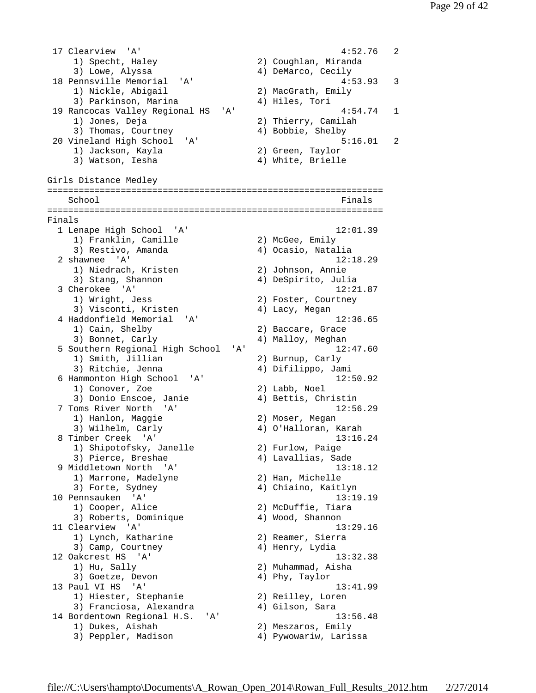17 Clearview 'A' 4:52.76 2 1) Specht, Haley 2) Coughlan, Miranda 3) Lowe, Alyssa 4) DeMarco, Cecily 18 Pennsville Memorial 'A' 4:53.93 3 1) Nickle, Abigail 2) MacGrath, Emily 3) Parkinson, Marina (4) Hiles, Tori 19 Rancocas Valley Regional HS 'A' 1 4:54.74 1 1) Jones, Deja 2) Thierry, Camilah 3) Thomas, Courtney (4) Bobbie, Shelby 20 Vineland High School 'A' 5:16.01 2 1) Jackson, Kayla 2) Green, Taylor 3) Watson, Iesha (4) White, Brielle Girls Distance Medley ================================================================ School **Finals** ================================================================ Finals 1 Lenape High School 'A' 12:01.39 1) Franklin, Camille 2) McGee, Emily 3) Restivo, Amanda 4) Ocasio, Natalia 2 shawnee 'A' 12:18.29 1) Niedrach, Kristen 2) Johnson, Annie 3) Stang, Shannon (4) DeSpirito, Julia 3 Cherokee 'A' 12:21.87<br>1) Wright, Jess 2) Foster, Courtney 2) Foster, Courtney z, roster, Cour<br>3) Visconti, Kristen (4) Lacy, Megan<br>Jaddonfield Memorial (11) 4 Haddonfield Memorial 'A' 12:36.65 1) Cain, Shelby 2) Baccare, Grace 3) Bonnet, Carly (4) Malloy, Meghan 5 Southern Regional High School 'A' 12:47.60<br>1) Smith, Jillian 2) Burnup, Carly 1) Smith, Jillian 3) Ritchie, Jenna 4) Difilippo, Jami 6 Hammonton High School 'A' 12:50.92 1) Conover, Zoe 2) Labb, Noel 3) Donio Enscoe, Janie  $\begin{array}{ccc} 4 & 4 & \text{Bettis, Christian} \\ 1 & 12.56 & \end{array}$  7 Toms River North 'A' 12:56.29 1) Hanlon, Maggie 2) Moser, Megan 3) Wilhelm, Carly 4) O'Halloran, Karah 8 Timber Creek 'A' 13:16.24 1) Shipotofsky, Janelle 2) Furlow, Paige 3) Pierce, Breshae 4) Lavallias, Sade 9 Middletown North 'A' 13:18.12 1) Marrone, Madelyne 2) Han, Michelle 3) Forte, Sydney (4) Chiaino, Kaitlyn 10 Pennsauken 'A' 13:19.19 1) Cooper, Alice 2) McDuffie, Tiara 3) Roberts, Dominique  $4)$  Wood, Shannon 11 Clearview 'A' 13:29.16 1) Lynch, Katharine 2) Reamer, Sierra 3) Camp, Courtney (4) Henry, Lydia 12 Oakcrest HS 'A' 13:32.38 1) Hu, Sally 2) Muhammad, Aisha 3) Goetze, Devon (4) Phy, Taylor 13 Paul VI HS 'A' 13:41.99 1) Hiester, Stephanie 2) Reilley, Loren 3) Franciosa, Alexandra 4) Gilson, Sara 14 Bordentown Regional H.S. 'A' 13:56.48 1) Dukes, Aishah 2) Meszaros, Emily 3) Peppler, Madison (4) Pywowariw, Larissa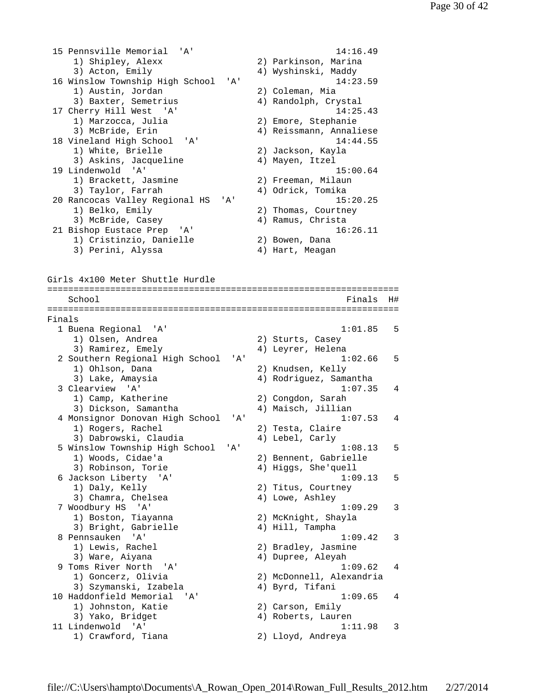15 Pennsville Memorial 'A' 14:16.49 1) Shipley, Alexx 2) Parkinson, Marina 3) Acton, Emily 19 (4) Wyshinski, Maddy 16 Winslow Township High School 'A' 14:23.59 1) Austin, Jordan 2) Coleman, Mia 1, Aubern, Seranne<br>3) Baxter, Semetrius (4) Randolph, Crystal 17 Cherry Hill West 'A' 14:25.43<br>1) Marzocca, Julia 2) Emore, Stephanie Cherry Arres<br>1) Marzocca, Julia 2014<br>2015 Empire 3) McBride, Erin 4) Reissmann, Annaliese 18 Vineland High School 'A' 14:44.55 1) White, Brielle 2) Jackson, Kayla<br>3) Askins, Jacqueline 2, Mayen, Itzel 3) Askins, Jacqueline 19 Lindenwold 'A' 15:00.64 1) Brackett, Jasmine 2) Freeman, Milaun 3) Taylor, Farrah (4) Odrick, Tomika 20 Rancocas Valley Regional HS 'A' 15:20.25 1) Belko, Emily 2) Thomas, Courtney 3) McBride, Casey 4) Ramus, Christa 21 Bishop Eustace Prep 'A' 16:26.11 1) Cristinzio, Danielle 2) Bowen, Dana 3) Perini, Alyssa (4) Hart, Meagan Girls 4x100 Meter Shuttle Hurdle =================================================================== School **Finals** H# =================================================================== Finals 1 Buena Regional 'A' 1:01.85 5 1) Olsen, Andrea 2) Sturts, Casey 3) Ramirez, Emely (4) Leyrer, Helena 2 Southern Regional High School 'A' 1:02.66 5 1) Ohlson, Dana 2) Knudsen, Kelly 3) Lake, Amaysia 4) Rodriguez, Samantha 3 Clearview 'A' 1:07.35 4 1) Camp, Katherine 2) Congdon, Sarah 3) Dickson, Samantha (4) Maisch, Jillian 4 Monsignor Donovan High School 'A' 1:07.53 4 1) Rogers, Rachel 2) Testa, Claire 3) Dabrowski, Claudia 4) Lebel, Carly 5 Winslow Township High School 'A' 1:08.13 5 1) Woods, Cidae'a 2) Bennent, Gabrielle 3) Robinson, Torie 4) Higgs, She'quell 6 Jackson Liberty 'A' 1:09.13 5 1) Daly, Kelly 2) Titus, Courtney 3) Chamra, Chelsea (4) Lowe, Ashley 7 Woodbury HS 'A' 1:09.29 3 1) Boston, Tiayanna 2) McKnight, Shayla 1) Boscon, Itayama<br>3) Bright, Gabrielle 4) Hill, Tampha<br>2) Bright, Tampha 8 Pennsauken 'A' 1:09.42 3 1) Lewis, Rachel 2) Bradley, Jasmine 3) Ware, Aiyana 4) Dupree, Aleyah 9 Toms River North 'A' 1:09.62 4<br>1) Goncerz, Olivia 2) McDonnell, Alexandria 2) McDonnell, Alexandria 3) Szymanski, Izabela 4) Byrd, Tifani 10 Haddonfield Memorial 'A' 1:09.65 4 1) Johnston, Katie 2) Carson, Emily 3) Yako, Bridget (4) Roberts, Lauren 11 Lindenwold 'A' 1:11.98 3<br>1) Crawford, Tiana 11 Crawford, Tiana 1) Crawford, Tiana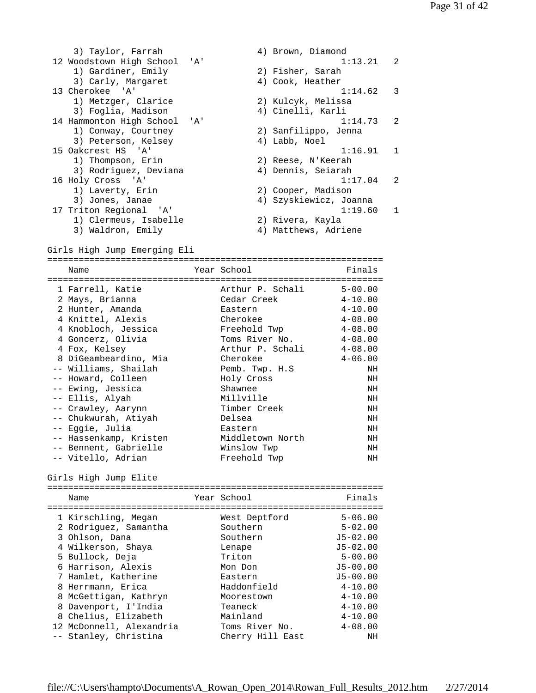3) Taylor, Farrah (4) Brown, Diamond 12 Woodstown High School 'A' 110 112 Woodstown High School 'A' 110 113.21 2<br>1) Gardiner, Emily 2) Fisher, Sarah 1) Gardiner, Emily 2) Fisher, Sarah 3) Carly, Margaret (4) Cook, Heather 13 Cherokee 'A' 1:14.62 3 1) Metzger, Clarice 2) Kulcyk, Melissa 3) Foglia, Madison 4) Cinelli, Karli 14 Hammonton High School 'A' 1:14.73 2 1) Conway, Courtney 2) Sanfilippo, Jenna 3) Peterson, Kelsey (4) Labb, Noel 15 Oakcrest HS 'A' 1:16.91 1 1) Thompson, Erin 2) Reese, N'Keerah 3) Rodriguez, Deviana 4) Dennis, Seiarah 16 Holy Cross 'A' 1:17.04 2 1) Laverty, Erin 2) Cooper, Madison 3) Jones, Janae 4) Szyskiewicz, Joanna 17 Triton Regional 'A' 1:19.60 1 1) Clermeus, Isabelle 2) Rivera, Kayla 3) Waldron, Emily 4) Matthews, Adriene Girls High Jump Emerging Eli ================================================================ Name **Year School** Prinals ================================================================ 1 Farrell, Katie Arthur P. Schali 5-00.00 2 Mays, Brianna Cedar Creek 4-10.00 2 Hunter, Amanda Eastern 4-10.00 4 Knittel, Alexis Cherokee 4-08.00 4 Knobloch, Jessica Freehold Twp 4-08.00 4 Goncerz, Olivia Toms River No. 4-08.00 4 Fox, Kelsey Arthur P. Schali 4-08.00 8 DiGeambeardino, Mia Cherokee 4-06.00 -- Williams, Shailah Pemb. Twp. H.S NH -- Howard, Colleen Holy Cross NH -- Ewing, Jessica Shawnee NH -- Ellis, Alyah Millville NH -- Crawley, Aarynn Timber Creek NH -- Chukwurah, Atiyah Delsea NH -- Eggie, Julia Eastern NH -- Hassenkamp, Kristen Middletown North NH -- Bennent, Gabrielle Winslow Twp NH -- Vitello, Adrian Freehold Twp NH Girls High Jump Elite ================================================================ Name **Year School** Finals ================================================================ 1 Kirschling, Megan West Deptford 5-06.00 2 Rodriguez, Samantha Southern 5-02.00 3 Ohlson, Dana Southern J5-02.00 4 Wilkerson, Shaya Lenape J5-02.00 5 Bullock, Deja Triton 5-00.00 6 Harrison, Alexis Mon Don J5-00.00 7 Hamlet, Katherine Eastern J5-00.00 8 Herrmann, Erica Haddonfield 4-10.00 8 McGettigan, Kathryn Moorestown 4-10.00 8 Davenport, I'India Teaneck 4-10.00 8 Chelius, Elizabeth Mainland 4-10.00 12 McDonnell, Alexandria Toms River No. 4-08.00 -- Stanley, Christina Cherry Hill East NH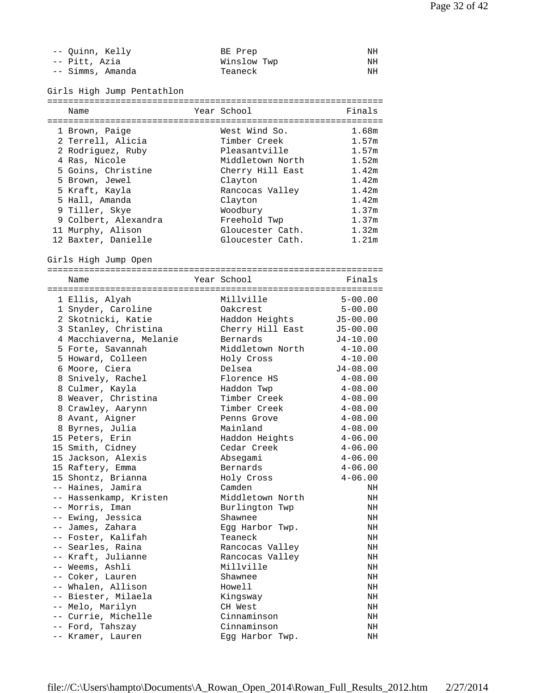| -- Quinn, Kelly  | BE Prep     | NΗ |
|------------------|-------------|----|
| -- Pitt, Azia    | Winslow Twp | NΗ |
| -- Simms, Amanda | Teaneck     | NΗ |

Girls High Jump Pentathlon

| Name                    | Year School      | Finals       |
|-------------------------|------------------|--------------|
|                         |                  |              |
| 1 Brown, Paige          | West Wind So.    | 1.68m        |
| 2 Terrell, Alicia       | Timber Creek     | 1.57m        |
| 2 Rodriguez, Ruby       | Pleasantville    | 1.57m        |
| 4 Ras, Nicole           | Middletown North | 1.52m        |
| 5 Goins, Christine      | Cherry Hill East | 1.42m        |
| 5 Brown, Jewel          | Clayton          | 1.42m        |
| 5 Kraft, Kayla          | Rancocas Valley  | 1.42m        |
| 5 Hall, Amanda          | Clayton          | 1.42m        |
| 9 Tiller, Skye          | Woodbury         | 1.37m        |
| 9 Colbert, Alexandra    | Freehold Twp     | 1.37m        |
| 11 Murphy, Alison       | Gloucester Cath. | 1.32m        |
| 12 Baxter, Danielle     | Gloucester Cath. | 1.21m        |
|                         |                  |              |
| Girls High Jump Open    |                  |              |
|                         |                  |              |
| Name                    | Year School      | Finals       |
|                         | Millville        | $5 - 00.00$  |
| 1 Ellis, Alyah          |                  | $5 - 00.00$  |
| 1 Snyder, Caroline      | Oakcrest         |              |
| 2 Skotnicki, Katie      | Haddon Heights   | $J5-00.00$   |
| 3 Stanley, Christina    | Cherry Hill East | $J5 - 00.00$ |
| 4 Macchiaverna, Melanie | Bernards         | $J4 - 10.00$ |
| 5 Forte, Savannah       | Middletown North | $4 - 10.00$  |
| 5 Howard, Colleen       | Holy Cross       | $4 - 10.00$  |
| 6 Moore, Ciera          | Delsea           | $J4 - 08.00$ |
| 8 Snively, Rachel       | Florence HS      | $4 - 08.00$  |
| 8 Culmer, Kayla         | Haddon Twp       | $4 - 08.00$  |
| 8 Weaver, Christina     | Timber Creek     | $4 - 08.00$  |
| 8 Crawley, Aarynn       | Timber Creek     | $4 - 08.00$  |
| 8 Avant, Aigner         | Penns Grove      | $4 - 08.00$  |
| 8 Byrnes, Julia         | Mainland         | $4 - 08.00$  |
| 15 Peters, Erin         | Haddon Heights   | $4 - 06.00$  |
| 15 Smith, Cidney        | Cedar Creek      | $4 - 06.00$  |
| 15 Jackson, Alexis      | Absegami         | $4 - 06.00$  |
| 15 Raftery, Emma        | Bernards         | $4 - 06.00$  |
| 15 Shontz, Brianna      | Holy Cross       | $4 - 06.00$  |
| -- Haines. Jamira       | Camden           | NH           |
| -- Hassenkamp, Kristen  | Middletown North | ΝH           |
| -- Morris, Iman         | Burlington Twp   | NH           |
| -- Ewing, Jessica       | Shawnee          | NH           |
| -- James, Zahara        | Egg Harbor Twp.  | ΝH           |
| -- Foster, Kalifah      | Teaneck          | ΝH           |
| -- Searles, Raina       | Rancocas Valley  | ΝH           |
| -- Kraft, Julianne      | Rancocas Valley  | ΝH           |
| -- Weems, Ashli         | Millville        | ΝH           |
| -- Coker, Lauren        | Shawnee          | NH           |
| -- Whalen, Allison      | Howell           | ΝH           |
| -- Biester, Milaela     | Kingsway         | NH           |
| -- Melo, Marilyn        | CH West          | ΝH           |
| -- Currie, Michelle     | Cinnaminson      | ΝH           |
| -- Ford, Tahszay        | Cinnaminson      | ΝH           |
| -- Kramer, Lauren       | Egg Harbor Twp.  | NH           |
|                         |                  |              |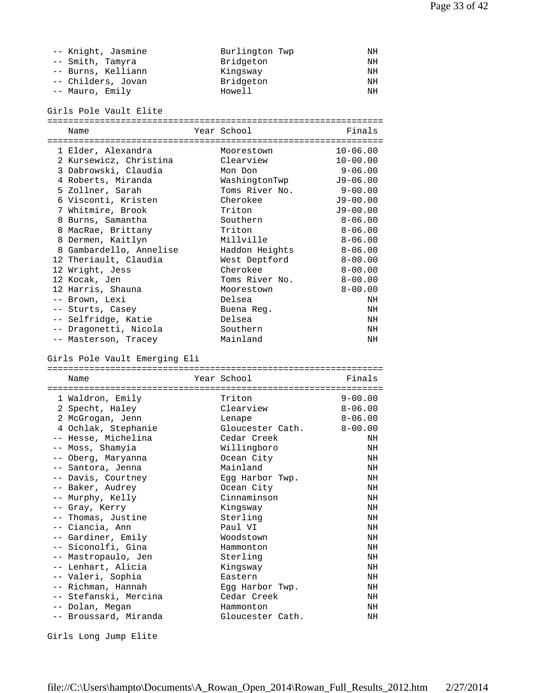| -- Knight, Jasmine | Burlington Twp | ΝH |
|--------------------|----------------|----|
| -- Smith, Tamyra   | Bridgeton      | ΝH |
| -- Burns, Kelliann | Kingsway       | ΝH |
| -- Childers, Jovan | Bridgeton      | ΝH |
| -- Mauro, Emily    | Howell         | NΗ |

Girls Pole Vault Elite

| Name                                                  | Year School                                | Finals       |
|-------------------------------------------------------|--------------------------------------------|--------------|
|                                                       |                                            |              |
| 1 Elder, Alexandra                                    | Moorestown                                 | $10 - 06.00$ |
| 2 Kursewicz, Christina                                | Clearview                                  | $10 - 00.00$ |
| 3 Dabrowski, Claudia                                  | Mon Don                                    | $9 - 06.00$  |
| 4 Roberts, Miranda                                    | WashingtonTwp                              | $J9 - 06.00$ |
| 5 Zollner, Sarah                                      | Toms River No.                             | $9 - 00.00$  |
| 6 Visconti, Kristen                                   | Cherokee                                   | $J9 - 00.00$ |
| 7 Whitmire, Brook                                     | Triton                                     | $J9 - 00.00$ |
| 8 Burns, Samantha                                     | Southern                                   | $8 - 06.00$  |
| 8 MacRae, Brittany                                    | Triton                                     | $8 - 06.00$  |
| 8 Dermen, Kaitlyn                                     | Millville                                  | $8 - 06.00$  |
| 8 Gambardello, Annelise                               | Haddon Heights                             | $8 - 06.00$  |
| 12 Theriault, Claudia                                 | West Deptford                              | $8 - 00.00$  |
| 12 Wright, Jess                                       | Cherokee                                   | $8 - 00.00$  |
| 12 Kocak, Jen                                         | Toms River No.                             | $8 - 00.00$  |
| 12 Harris, Shauna                                     | Moorestown                                 | $8 - 00.00$  |
| -- Brown, Lexi                                        | Delsea                                     | NH           |
| -- Sturts, Casey                                      | Buena Req.                                 | NH           |
| -- Selfridge, Katie                                   | Delsea                                     | NH           |
| -- Dragonetti, Nicola                                 | Southern                                   | NH           |
| -- Masterson, Tracey                                  | Mainland                                   | NH           |
| Girls Pole Vault Emerging Eli                         |                                            |              |
| Name                                                  | Year School                                | Finals       |
| =================================<br>1 Waldron, Emily | ================================<br>Triton | $9 - 00.00$  |
|                                                       |                                            |              |

| T MATALOU' FUITIA     | TETCOU           | 9-00.00     |
|-----------------------|------------------|-------------|
| 2 Specht, Haley       | Clearview        | $8 - 06.00$ |
| 2 McGrogan, Jenn      | Lenape           | $8 - 06.00$ |
| 4 Ochlak, Stephanie   | Gloucester Cath. | $8 - 00.00$ |
| -- Hesse, Michelina   | Cedar Creek      | NH          |
| -- Moss, Shamyia      | Willingboro      | NH          |
| -- Oberg, Maryanna    | Ocean City       | NH          |
| -- Santora, Jenna     | Mainland         | NH          |
| -- Davis, Courtney    | Egg Harbor Twp.  | NH          |
| -- Baker, Audrey      | Ocean City       | NH          |
| -- Murphy, Kelly      | Cinnaminson      | NH          |
| -- Gray, Kerry        | Kingsway         | NH          |
| -- Thomas, Justine    | Sterling         | NH          |
| -- Ciancia, Ann       | Paul VI          | NH          |
| -- Gardiner, Emily    | Woodstown        | NH          |
| -- Siconolfi, Gina    | Hammonton        | NH          |
| -- Mastropaulo, Jen   | Sterling         | NH          |
| -- Lenhart, Alicia    | Kingsway         | NH          |
| -- Valeri, Sophia     | Eastern          | NH          |
| -- Richman, Hannah    | Egg Harbor Twp.  | NH          |
| -- Stefanski, Mercina | Cedar Creek      | NH          |
| -- Dolan, Megan       | Hammonton        | NH          |
| -- Broussard, Miranda | Gloucester Cath. | NH          |
|                       |                  |             |

Girls Long Jump Elite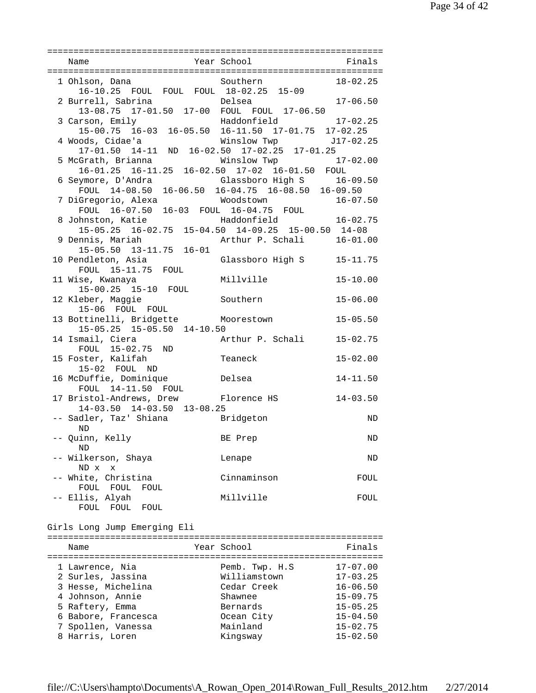|                                                                                   |                           | $18 - 02.25$                 |
|-----------------------------------------------------------------------------------|---------------------------|------------------------------|
|                                                                                   |                           |                              |
|                                                                                   |                           | $17 - 06.50$                 |
|                                                                                   |                           | $17 - 02.25$                 |
| 3 Carson, Emily<br>15-00.75 16-03 16-05.50 16-11.50 17-01.75 17-02.25             |                           |                              |
|                                                                                   | Winslow Twp J17-02.25     |                              |
|                                                                                   |                           |                              |
| 5 McGrath, Brianna<br>16-01.25 16-11.25 16-02.50 17-02 16-01.50 FOUL              | Winslow Twp 17-02.00      |                              |
| 6 Seymore, D'Andra<br>FOUL $14-08.50$ $16-06.50$ $16-04.75$ $16-08.50$ $16-09.50$ | Glassboro High S 16-09.50 |                              |
|                                                                                   |                           |                              |
|                                                                                   |                           |                              |
|                                                                                   |                           |                              |
| 15-05.25 16-02.75 15-04.50 14-09.25 15-00.50 14-08<br>9 Dennis, Mariah            | Arthur P. Schali 16-01.00 |                              |
| $15-05.50$ $13-11.75$ $16-01$                                                     |                           |                              |
| 10 Pendleton, Asia (Blassboro High S 15-11.75                                     |                           |                              |
| FOUL 15-11.75 FOUL                                                                |                           |                              |
| 11 Wise, Kwanaya Millville<br>15-00.25 15-10 FOUL                                 |                           | $15 - 10.00$                 |
|                                                                                   | Southern                  | $15 - 06.00$                 |
| 12 Kleber, Maggie<br>15-06 FOUL FOUL                                              |                           |                              |
| 13 Bottinelli, Bridgette Moorestown<br>15-05.25 15-05.50 14-10.50                 |                           | $15 - 05.50$                 |
| 14 Ismail, Ciera                                                                  | Arthur P. Schali 15-02.75 |                              |
| mail, Ciera<br>FOUL 15-02.75 ND                                                   |                           |                              |
| 15 Foster, Kalifah                                                                | Teaneck                   | $15 - 02.00$                 |
| 15-02 FOUL ND<br>16 McDuffie, Dominique belsea                                    |                           | $14 - 11.50$                 |
|                                                                                   |                           |                              |
| FOUL 14-11.50 FOUL<br>17 Bristol-Andrews, Drew Florence HS 14-03.50               |                           |                              |
| 14-03.50 14-03.50 13-08.25                                                        |                           |                              |
| -- Sadler, Taz' Shiana Bridgeton<br><b>ND</b>                                     |                           | ND                           |
| -- Quinn, Kelly                                                                   | BE Prep                   | ND                           |
| ND.<br>-- Wilkerson, Shaya                                                        | Lenape                    | ND                           |
| ND x x                                                                            |                           |                              |
| -- White, Christina                                                               | Cinnaminson               | FOUL                         |
| FOUL FOUL<br>FOUL<br>-- Ellis, Alyah                                              | Millville                 |                              |
| FOUL FOUL FOUL                                                                    |                           | FOUL                         |
|                                                                                   |                           |                              |
| Girls Long Jump Emerging Eli                                                      |                           |                              |
| Name                                                                              | Year School               | Finals                       |
|                                                                                   |                           |                              |
| 1 Lawrence, Nia                                                                   | Pemb. Twp. H.S            | $17 - 07.00$                 |
| 2 Surles, Jassina                                                                 | Williamstown              | $17 - 03.25$                 |
| 3 Hesse, Michelina<br>4 Johnson, Annie                                            | Cedar Creek<br>Shawnee    | $16 - 06.50$<br>$15 - 09.75$ |
| 5 Raftery, Emma                                                                   | Bernards                  | $15 - 05.25$                 |
| 6 Babore, Francesca                                                               | Ocean City                | $15 - 04.50$                 |
| 7 Spollen, Vanessa                                                                | Mainland                  | $15 - 02.75$                 |
| 8 Harris, Loren                                                                   | Kingsway                  | $15 - 02.50$                 |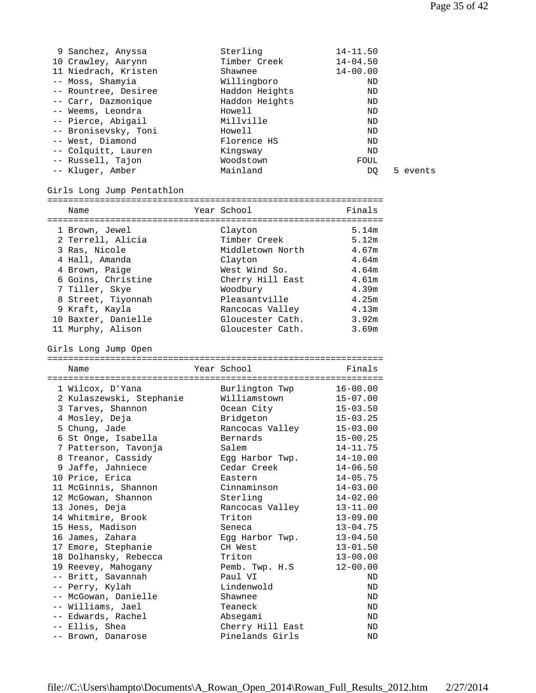5 events

| 9 Sanchez, Anyssa    | Sterling       | $14 - 11.50$ |
|----------------------|----------------|--------------|
| 10 Crawley, Aarynn   | Timber Creek   | $14 - 04.50$ |
| 11 Niedrach, Kristen | Shawnee        | $14 - 00.00$ |
| -- Moss, Shamyia     | Willingboro    | ND           |
| -- Rountree, Desiree | Haddon Heights | ND           |
| -- Carr, Dazmonique  | Haddon Heights | ND           |
| -- Weems, Leondra    | Howell         | ND           |
| -- Pierce, Abigail   | Millville      | ND           |
| -- Bronisevsky, Toni | Howell         | ND           |
| -- West, Diamond     | Florence HS    | ND           |
| -- Colquitt, Lauren  | Kingsway       | ND           |
| -- Russell, Tajon    | Woodstown      | FOUL         |
| -- Kluger, Amber     | Mainland       | DO           |

## Girls Long Jump Pentathlon

| Name                | Year School      | Finals |
|---------------------|------------------|--------|
|                     |                  |        |
| 1 Brown, Jewel      | Clayton          | 5.14m  |
| 2 Terrell, Alicia   | Timber Creek     | 5.12m  |
| 3 Ras, Nicole       | Middletown North | 4.67m  |
| 4 Hall, Amanda      | Clayton          | 4.64m  |
| 4 Brown, Paige      | West Wind So.    | 4.64m  |
| 6 Goins, Christine  | Cherry Hill East | 4.61m  |
| 7 Tiller, Skye      | Woodbury         | 4.39m  |
| 8 Street, Tiyonnah  | Pleasantville    | 4.25m  |
| 9 Kraft, Kayla      | Rancocas Valley  | 4.13m  |
| 10 Baxter, Danielle | Gloucester Cath. | 3.92m  |
| 11 Murphy, Alison   | Gloucester Cath. | 3.69m  |

Girls Long Jump Open

| Name                     | Year School                    | Finals                       |
|--------------------------|--------------------------------|------------------------------|
|                          |                                |                              |
| 1 Wilcox, D'Yana         | Burlington Twp<br>Williamstown | $16 - 00.00$<br>$15 - 07.00$ |
| 2 Kulaszewski, Stephanie |                                |                              |
| 3 Tarves, Shannon        | Ocean City                     | $15 - 03.50$                 |
| 4 Mosley, Deja           | Bridgeton                      | $15 - 03.25$                 |
| 5 Chung, Jade            | Rancocas Valley                | $15 - 03.00$                 |
| 6 St Onge, Isabella      | Bernards                       | $15 - 00.25$                 |
| 7 Patterson, Tavonja     | Salem                          | $14 - 11.75$                 |
| 8 Treanor, Cassidy       | Egg Harbor Twp.                | $14 - 10.00$                 |
| 9 Jaffe, Jahniece        | Cedar Creek                    | $14 - 06.50$                 |
| 10 Price, Erica          | Eastern                        | $14 - 05.75$                 |
| 11 McGinnis, Shannon     | Cinnaminson                    | $14 - 03.00$                 |
| 12 McGowan, Shannon      | Sterling                       | $14 - 02.00$                 |
| 13 Jones, Deja           | Rancocas Valley                | $13 - 11.00$                 |
| 14 Whitmire, Brook       | Triton                         | $13 - 09.00$                 |
| 15 Hess, Madison         | Seneca                         | $13 - 04.75$                 |
| 16 James, Zahara         | Egg Harbor Twp.                | $13 - 04.50$                 |
| 17 Emore, Stephanie      | CH West                        | $13 - 01.50$                 |
| 18 Dolhansky, Rebecca    | Triton                         | $13 - 00.00$                 |
| 19 Reevey, Mahogany      | Pemb. Twp. H.S                 | $12 - 00.00$                 |
| -- Britt, Savannah       | Paul VI                        | ND                           |
| -- Perry, Kylah          | Lindenwold                     | <b>ND</b>                    |
| -- McGowan, Danielle     | Shawnee                        | ND                           |
| -- Williams, Jael        | Teaneck                        | ND                           |
| -- Edwards, Rachel       | Absegami                       | <b>ND</b>                    |
| -- Ellis, Shea           | Cherry Hill East               | ND                           |
| -- Brown, Danarose       | Pinelands Girls                | ND                           |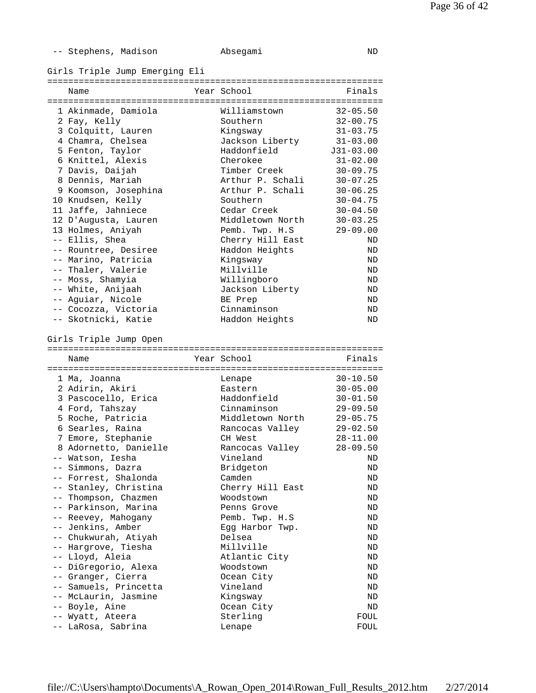| Stephens, | Madison |
|-----------|---------|
|-----------|---------|

Girls Triple Jump Emerging Eli

| Name                                   | Year School      | Finals       |
|----------------------------------------|------------------|--------------|
|                                        |                  |              |
| 1 Akinmade, Damiola                    | Williamstown     | $32 - 05.50$ |
| 2 Fay, Kelly                           | Southern         | $32 - 00.75$ |
| 3 Colquitt, Lauren                     | Kingsway         | $31 - 03.75$ |
| 4 Chamra, Chelsea                      | Jackson Liberty  | $31 - 03.00$ |
| 5 Fenton, Taylor                       | Haddonfield      | $J31-03.00$  |
| 6 Knittel, Alexis                      | Cherokee         | $31 - 02.00$ |
| 7 Davis, Daijah                        | Timber Creek     | $30 - 09.75$ |
| 8 Dennis, Mariah                       | Arthur P. Schali | $30 - 07.25$ |
| 9 Koomson, Josephina                   | Arthur P. Schali | $30 - 06.25$ |
| 10 Knudsen, Kelly                      | Southern         | $30 - 04.75$ |
| 11 Jaffe, Jahniece                     | Cedar Creek      | $30 - 04.50$ |
| 12 D'Augusta, Lauren                   | Middletown North | $30 - 03.25$ |
| 13 Holmes, Aniyah                      | Pemb. Twp. H.S   | $29 - 09.00$ |
| -- Ellis, Shea                         | Cherry Hill East | ND           |
| -- Rountree, Desiree                   | Haddon Heights   | ND           |
| -- Marino, Patricia                    | Kingsway         | ND           |
| -- Thaler, Valerie                     | Millville        | ND           |
| -- Moss, Shamyia                       | Willingboro      | ND           |
| -- White, Anijaah                      | Jackson Liberty  | ND           |
| -- Aguiar, Nicole                      | BE Prep          | ND           |
| -- Cocozza, Victoria                   | Cinnaminson      | ND           |
| -- Skotnicki, Katie                    | Haddon Heights   | ND           |
|                                        |                  |              |
| Girls Triple Jump Open                 |                  |              |
|                                        |                  |              |
|                                        |                  |              |
|                                        |                  |              |
| Name                                   | Year School      | Finals       |
|                                        |                  |              |
| 1 Ma, Joanna                           | Lenape           | $30 - 10.50$ |
| 2 Adirin, Akiri                        | Eastern          | $30 - 05.00$ |
| 3 Pascocello, Erica                    | Haddonfield      | $30 - 01.50$ |
| 4 Ford, Tahszay                        | Cinnaminson      | $29 - 09.50$ |
| 5 Roche, Patricia                      | Middletown North | $29 - 05.75$ |
| 6 Searles, Raina                       | Rancocas Valley  | $29 - 02.50$ |
| 7 Emore, Stephanie                     | CH West          | $28 - 11.00$ |
| 8 Adornetto, Danielle                  | Rancocas Valley  | $28 - 09.50$ |
| -- Watson, Iesha                       | Vineland         | ND           |
| -- Simmons, Dazra                      | Bridgeton        | ND           |
| -- Forrest, Shalonda                   | Camden           | ND           |
| -- Stanley, Christina                  | Cherry Hill East | ND           |
| -- Thompson, Chazmen                   | Woodstown        | ND           |
| -- Parkinson, Marina                   | Penns Grove      | ND           |
| -- Reevey, Mahogany                    | Pemb. Twp. H.S   | ND           |
| -- Jenkins, Amber                      | Egg Harbor Twp.  | ND           |
| -- Chukwurah, Atiyah                   | Delsea           | ND           |
| -- Hargrove, Tiesha                    | Millville        | ND           |
| -- Lloyd, Aleia                        | Atlantic City    | ND           |
| -- DiGregorio, Alexa                   | Woodstown        | ND           |
| -- Granger, Cierra                     | Ocean City       | ND           |
| -- Samuels, Princetta                  | Vineland         | ND           |
| -- McLaurin, Jasmine                   | Kingsway         | ND           |
| -- Boyle, Aine                         | Ocean City       | ND           |
| -- Wyatt, Ateera<br>-- LaRosa, Sabrina | Sterling         | FOUL         |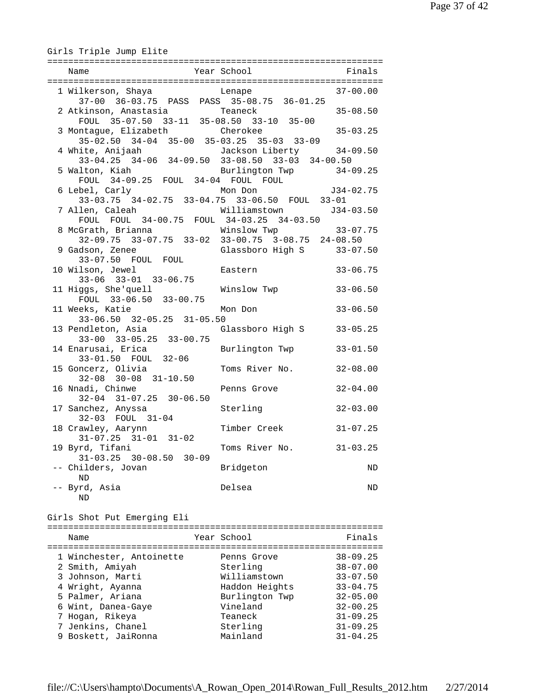| Girls Triple Jump Elite                                                                                      |                                |                              |
|--------------------------------------------------------------------------------------------------------------|--------------------------------|------------------------------|
|                                                                                                              |                                |                              |
| 1 Wilkerson, Shaya         Lenape                 37-00.00<br>37-00 36-03.75 PASS PASS 35-08.75 36-01.25     |                                |                              |
|                                                                                                              |                                |                              |
| 3 Montague, Elizabeth Cherokee<br>35-02.50 34-04 35-00 35-03.25 35-03 33-09                                  |                                | $35 - 03.25$                 |
| 4 White, Anijaah<br>ite, Anijaah 11 Jackson Liberty 34-05<br>33-04.25 34-06 34-09.50 33-08.50 33-03 34-00.50 | Jackson Liberty 34-09.50       |                              |
| 5 Walton, Kiah<br>FOUL 34-09.25 FOUL 34-04 FOUL FOUL<br>bel, Carly Mon Don 534-02.75                         | Burlington Twp 34-09.25        |                              |
| 6 Lebel, Carly<br>33-03.75 34-02.75 33-04.75 33-06.50 FOUL 33-01                                             |                                |                              |
| 7 Allen, Caleah<br>FOUL FOUL 34-00.75 FOUL 34-03.25 34-03.50                                                 | Williamstown J34-03.50         |                              |
| 8 McGrath, Brianna<br>32-09.75 33-07.75 33-02 33-00.75 3-08.75 24-08.50                                      | Winslow Twp                    | $33 - 07.75$                 |
| 9 Gadson, Zenee<br>33-07.50 FOUL FOUL                                                                        | Glassboro High S 33-07.50      |                              |
| 10 Wilson, Jewel<br>$33-06$ $33-01$ $33-06.75$                                                               | Eastern                        | $33 - 06.75$                 |
| 11 Higgs, She'quell<br>FOUL 33-06.50 33-00.75                                                                | Winslow Twp                    | $33 - 06.50$                 |
| 11 Weeks, Katie<br>$33-06.50$ $32-05.25$ $31-05.50$                                                          | Mon Don                        | $33 - 06.50$                 |
| 13 Pendleton, Asia (Glassboro High S<br>$33-00$ $33-05.25$ $33-00.75$                                        |                                | $33 - 05.25$                 |
| 14 Enarusai, Erica<br>33-01.50 FOUL 32-06                                                                    | Burlington Twp                 | $33 - 01.50$                 |
| 15 Goncerz, Olivia<br>$32-08$ $30-08$ $31-10.50$                                                             | Toms River No.                 | $32 - 08.00$                 |
| 16 Nnadi, Chinwe<br>$32-04$ $31-07.25$ $30-06.50$                                                            | Penns Grove                    | $32 - 04.00$                 |
| 17 Sanchez, Anyssa<br>$32-03$ FOUL $31-04$                                                                   | Sterling                       | $32 - 03.00$                 |
| 18 Crawley, Aarynn<br>$31-07.25$ $31-01$ $31-02$                                                             | Timber Creek 31-07.25          |                              |
| 19 Byrd, Tifani<br>$31 - 03.25$<br>$30 - 08.50$ $30 - 09$                                                    | Toms River No.                 | $31 - 03.25$                 |
| -- Childers, Jovan<br>ND                                                                                     | Bridgeton                      | ND                           |
| -- Byrd, Asia<br>ND                                                                                          | Delsea                         | ND                           |
| Girls Shot Put Emerging Eli                                                                                  |                                |                              |
| Name                                                                                                         | Year School                    | Finals                       |
| 1 Winchester, Antoinette                                                                                     | Penns Grove                    | $38 - 09.25$                 |
| 2 Smith, Amiyah                                                                                              | Sterling                       | $38 - 07.00$                 |
| 3 Johnson, Marti<br>4 Wright, Ayanna                                                                         | Williamstown<br>Haddon Heights | $33 - 07.50$<br>$33 - 04.75$ |

4 Wright, Ayanna Haddon Heights 33-04.75

 6 Wint, Danea-Gaye Vineland 32-00.25 7 Hogan, Rikeya Teaneck 31-09.25 7 Jenkins, Chanel Sterling 31-09.25

5 Palmer, Ariana

9 Boskett, JaiRonna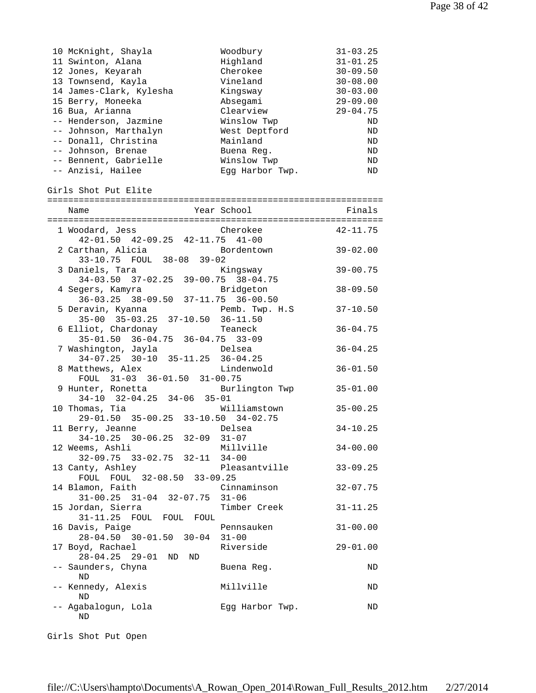| 10 McKnight, Shayla<br>11 Swinton, Alana<br>12 Jones, Keyarah<br>13 Townsend, Kayla<br>14 James-Clark, Kylesha<br>15 Berry, Moneeka<br>16 Bua, Arianna<br>-- Henderson, Jazmine<br>-- Johnson, Marthalyn<br>-- Donall, Christina<br>-- Johnson, Brenae<br>-- Bennent, Gabrielle<br>-- Anzisi, Hailee | Woodbury<br>Highland<br>Cherokee<br>Vineland<br>Kingsway<br>Absegami<br>Clearview<br>Winslow Twp<br>West Deptford<br>Mainland<br>Buena Req.<br>Winslow Twp<br>Eqq Harbor Twp. | $31 - 03.25$<br>$31 - 01.25$<br>$30 - 09.50$<br>$30 - 08.00$<br>$30 - 03.00$<br>$29 - 09.00$<br>$29 - 04.75$<br>ND<br>ND<br>ND<br>ND<br>ND<br>ND |
|------------------------------------------------------------------------------------------------------------------------------------------------------------------------------------------------------------------------------------------------------------------------------------------------------|-------------------------------------------------------------------------------------------------------------------------------------------------------------------------------|--------------------------------------------------------------------------------------------------------------------------------------------------|
| Girls Shot Put Elite                                                                                                                                                                                                                                                                                 |                                                                                                                                                                               |                                                                                                                                                  |
| Name                                                                                                                                                                                                                                                                                                 | Year School                                                                                                                                                                   | Finals                                                                                                                                           |
|                                                                                                                                                                                                                                                                                                      |                                                                                                                                                                               |                                                                                                                                                  |
| 1 Woodard, Jess Cherokee<br>42-01.50 42-09.25 42-11.75 41-00                                                                                                                                                                                                                                         |                                                                                                                                                                               | $42 - 11.75$                                                                                                                                     |
| 2 Carthan, Alicia                                                                                                                                                                                                                                                                                    | Bordentown                                                                                                                                                                    | $39 - 02.00$                                                                                                                                     |
| 33-10.75 FOUL 38-08 39-02                                                                                                                                                                                                                                                                            |                                                                                                                                                                               |                                                                                                                                                  |
| 3 Daniels, Tara<br>34-03.50 37-02.25 39-00.75 38-04.75                                                                                                                                                                                                                                               | Kingsway                                                                                                                                                                      | $39 - 00.75$                                                                                                                                     |
| 4 Segers, Kamyra Bridgeton<br>36-03.25 38-09.50 37-11.75 36-00.50                                                                                                                                                                                                                                    |                                                                                                                                                                               | $38 - 09.50$                                                                                                                                     |
|                                                                                                                                                                                                                                                                                                      |                                                                                                                                                                               |                                                                                                                                                  |
| 5 Deravin, Kyanna<br>35-00 35-03.25 37-10.50 36-11.50                                                                                                                                                                                                                                                | Pemb. Twp. H.S                                                                                                                                                                | $37 - 10.50$                                                                                                                                     |
| 6 Elliot, Chardonay                                                                                                                                                                                                                                                                                  | Teaneck                                                                                                                                                                       | $36 - 04.75$                                                                                                                                     |
| 35-01.50 36-04.75 36-04.75 33-09                                                                                                                                                                                                                                                                     |                                                                                                                                                                               |                                                                                                                                                  |
| 7 Washington, Jayla<br>34-07.25 30-10 35-11.25 36-04.25                                                                                                                                                                                                                                              | Delsea                                                                                                                                                                        | $36 - 04.25$                                                                                                                                     |
| 8 Matthews, Alex                                                                                                                                                                                                                                                                                     | Lindenwold                                                                                                                                                                    | $36 - 01.50$                                                                                                                                     |
| FOUL 31-03 36-01.50 31-00.75                                                                                                                                                                                                                                                                         |                                                                                                                                                                               |                                                                                                                                                  |
| 9 Hunter, Ronetta<br>34-10 32-04.25 34-06 35-01                                                                                                                                                                                                                                                      | Burlington Twp                                                                                                                                                                | $35 - 01.00$                                                                                                                                     |
| 10 Thomas, Tia                                                                                                                                                                                                                                                                                       | Williamstown                                                                                                                                                                  | $35 - 00.25$                                                                                                                                     |
| 29-01.50 35-00.25 33-10.50 34-02.75                                                                                                                                                                                                                                                                  |                                                                                                                                                                               |                                                                                                                                                  |
| 11 Berry, Jeanne                                                                                                                                                                                                                                                                                     | Delsea                                                                                                                                                                        | $34 - 10.25$                                                                                                                                     |
| 34-10.25 30-06.25 32-09 31-07                                                                                                                                                                                                                                                                        |                                                                                                                                                                               |                                                                                                                                                  |
| 12 Weems, Ashli<br>$32-09.75$ $33-02.75$ $32-11$                                                                                                                                                                                                                                                     | Millville<br>$34 - 00$                                                                                                                                                        | $34 - 00.00$                                                                                                                                     |
| 13 Canty, Ashley                                                                                                                                                                                                                                                                                     | Pleasantville                                                                                                                                                                 | $33 - 09.25$                                                                                                                                     |
| FOUL FOUL 32-08.50 33-09.25                                                                                                                                                                                                                                                                          |                                                                                                                                                                               |                                                                                                                                                  |
| 14 Blamon, Faith<br>$31-00.25$ $31-04$ $32-07.75$                                                                                                                                                                                                                                                    | Cinnaminson<br>$31 - 06$                                                                                                                                                      | $32 - 07.75$                                                                                                                                     |
| 15 Jordan, Sierra                                                                                                                                                                                                                                                                                    | Timber Creek                                                                                                                                                                  | $31 - 11.25$                                                                                                                                     |
| 31-11.25 FOUL FOUL FOUL                                                                                                                                                                                                                                                                              |                                                                                                                                                                               |                                                                                                                                                  |
| 16 Davis, Paige                                                                                                                                                                                                                                                                                      | Pennsauken                                                                                                                                                                    | $31 - 00.00$                                                                                                                                     |
| 28-04.50 30-01.50 30-04<br>17 Boyd, Rachael                                                                                                                                                                                                                                                          | $31 - 00$<br>Riverside                                                                                                                                                        | $29 - 01.00$                                                                                                                                     |
| $28 - 04.25$ 29-01<br>ND<br>ND                                                                                                                                                                                                                                                                       |                                                                                                                                                                               |                                                                                                                                                  |
| -- Saunders, Chyna                                                                                                                                                                                                                                                                                   | Buena Reg.                                                                                                                                                                    | ND                                                                                                                                               |
| ND<br>-- Kennedy, Alexis                                                                                                                                                                                                                                                                             | Millville                                                                                                                                                                     | ND                                                                                                                                               |
| ND                                                                                                                                                                                                                                                                                                   |                                                                                                                                                                               |                                                                                                                                                  |
| -- Agabalogun, Lola<br>ND                                                                                                                                                                                                                                                                            | Egg Harbor Twp.                                                                                                                                                               | ND                                                                                                                                               |

Girls Shot Put Open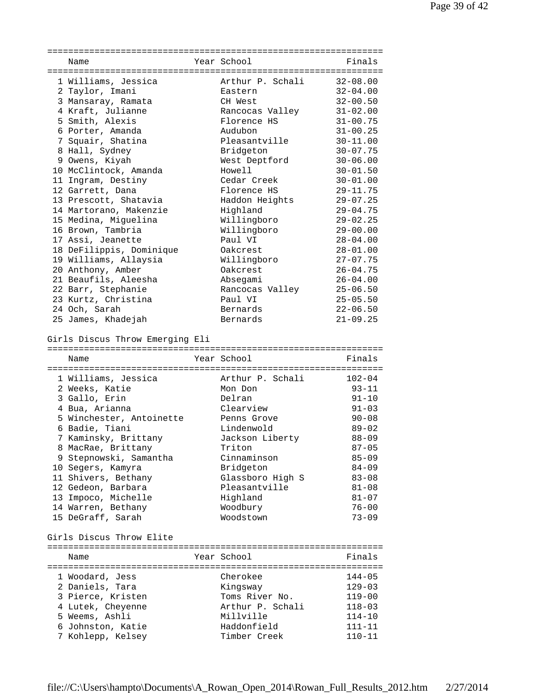| Name                                   | Year School                 | Finals                   |
|----------------------------------------|-----------------------------|--------------------------|
|                                        |                             |                          |
| 1 Williams, Jessica                    | Arthur P. Schali 32-08.00   |                          |
| 2 Taylor, Imani                        | Eastern                     | $32 - 04.00$             |
| 3 Mansaray, Ramata                     | CH West                     | $32 - 00.50$             |
| 4 Kraft, Julianne                      | Rancocas Valley             | $31 - 02.00$             |
| 5 Smith, Alexis                        | Florence HS                 | $31 - 00.75$             |
| 6 Porter, Amanda                       | Audubon                     | $31 - 00.25$             |
| 7 Squair, Shatina                      | Pleasantville               | $30 - 11.00$             |
|                                        |                             |                          |
| 8 Hall, Sydney                         | Bridgeton                   | $30 - 07.75$             |
| 9 Owens, Kiyah                         | West Deptford               | $30 - 06.00$             |
| 10 McClintock, Amanda                  | Howell                      | $30 - 01.50$             |
| 11 Ingram, Destiny                     | Cedar Creek                 | $30 - 01.00$             |
| 12 Garrett, Dana                       | Florence HS                 | $29 - 11.75$             |
| 13 Prescott, Shatavia                  | Haddon Heights              | $29 - 07.25$             |
| 14 Martorano, Makenzie                 | Highland                    | $29 - 04.75$             |
| 15 Medina, Miguelina                   | Willingboro                 | $29 - 02.25$             |
| 16 Brown, Tambria                      | Willingboro                 | $29 - 00.00$             |
| 17 Assi, Jeanette                      | Paul VI                     | $28 - 04.00$             |
| 18 DeFilippis, Dominique               | Oakcrest                    | $28 - 01.00$             |
| 19 Williams, Allaysia                  | Willingboro                 | $27 - 07.75$             |
| 20 Anthony, Amber                      | Oakcrest                    | $26 - 04.75$             |
| 21 Beaufils, Aleesha                   |                             | $26 - 04.00$             |
|                                        | Absegami                    |                          |
| 22 Barr, Stephanie                     | Rancocas Valley             | $25 - 06.50$             |
| 23 Kurtz, Christina                    | Paul VI                     | $25 - 05.50$             |
| 24 Och, Sarah                          | Bernards                    | $22 - 06.50$             |
| 25 James, Khadejah                     | Bernards                    | $21 - 09.25$             |
| Girls Discus Throw Emerging Eli        |                             |                          |
|                                        |                             |                          |
| Name                                   | Year School                 | Finals                   |
|                                        |                             |                          |
| 1 Williams, Jessica                    | Arthur P. Schali            | $102 - 04$               |
| 2 Weeks, Katie                         | Mon Don                     | $93 - 11$                |
| 3 Gallo, Erin                          | Delran                      | $91 - 10$                |
| 4 Bua, Arianna                         | Clearview                   | $91 - 03$                |
| 5 Winchester, Antoinette               | Penns Grove                 | $90 - 08$                |
| 6 Badie, Tiani                         | Lindenwold                  | $89 - 02$                |
| 7 Kaminsky, Brittany                   | Jackson Liberty             | $88 - 09$                |
| 8 MacRae, Brittany                     | Triton                      | $87 - 05$                |
| 9 Stepnowski, Samantha                 | Cinnaminson                 | $85 - 09$                |
| 10 Segers, Kamyra                      | Bridgeton                   | $84 - 09$                |
| 11 Shivers, Bethany                    | Glassboro High S            | $83 - 08$                |
|                                        | Pleasantville               |                          |
| 12 Gedeon, Barbara                     |                             | $81 - 08$                |
| 13 Impoco, Michelle                    | Highland                    | $81 - 07$                |
| 14 Warren, Bethany                     | Woodbury                    | $76 - 00$                |
| 15 DeGraff, Sarah                      | Woodstown                   | $73 - 09$                |
|                                        |                             |                          |
| Girls Discus Throw Elite               |                             |                          |
|                                        |                             |                          |
| Name                                   | Year School                 | Finals                   |
|                                        |                             |                          |
| 1 Woodard, Jess                        | Cherokee                    | $144 - 05$               |
| 2 Daniels, Tara                        | Kingsway                    | $129 - 03$               |
| 3 Pierce, Kristen                      | Toms River No.              | $119 - 00$               |
| 4 Lutek, Cheyenne                      | Arthur P. Schali            | $118 - 03$               |
| 5 Weems, Ashli                         | Millville                   | $114 - 10$               |
| 6 Johnston, Katie<br>7 Kohlepp, Kelsey | Haddonfield<br>Timber Creek | $111 - 11$<br>$110 - 11$ |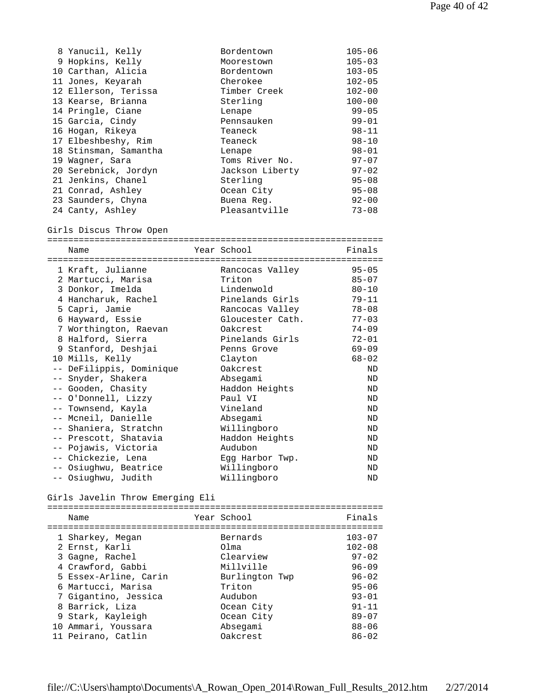| 8 Yanucil, Kelly      | Bordentown      | $105 - 06$ |
|-----------------------|-----------------|------------|
| 9 Hopkins, Kelly      | Moorestown      | $105 - 03$ |
| 10 Carthan, Alicia    | Bordentown      | $103 - 05$ |
| 11 Jones, Keyarah     | Cherokee        | $102 - 05$ |
| 12 Ellerson, Terissa  | Timber Creek    | $102 - 00$ |
| 13 Kearse, Brianna    | Sterling        | $100 - 00$ |
| 14 Pringle, Ciane     | Lenape          | $99 - 05$  |
| 15 Garcia, Cindy      | Pennsauken      | $99 - 01$  |
| 16 Hogan, Rikeya      | Teaneck         | $98 - 11$  |
| 17 Elbeshbeshy, Rim   | Teaneck         | $98 - 10$  |
| 18 Stinsman, Samantha | Lenape          | $98 - 01$  |
| 19 Waqner, Sara       | Toms River No.  | $97 - 07$  |
| 20 Serebnick, Jordyn  | Jackson Liberty | $97 - 02$  |
| 21 Jenkins, Chanel    | Sterling        | $95 - 08$  |
| 21 Conrad, Ashley     | Ocean City      | $95 - 08$  |
| 23 Saunders, Chyna    | Buena Req.      | $92 - 00$  |
| 24 Canty, Ashley      | Pleasantville   | $73 - 08$  |

```
Girls Discus Throw Open
```

| ____<br>___ |            |  |
|-------------|------------|--|
|             | $ -$<br>-- |  |

| 1 Kraft, Julianne        | Rancocas Valley  | $95 - 05$ |
|--------------------------|------------------|-----------|
| 2 Martucci, Marisa       | Triton           | $85 - 07$ |
| 3 Donkor, Imelda         | Lindenwold       | $80 - 10$ |
| 4 Hancharuk, Rachel      | Pinelands Girls  | 79-11     |
| 5 Capri, Jamie           | Rancocas Valley  | $78 - 08$ |
| 6 Hayward, Essie         | Gloucester Cath. | $77 - 03$ |
| 7 Worthington, Raevan    | Oakcrest         | $74 - 09$ |
| 8 Halford, Sierra        | Pinelands Girls  | $72 - 01$ |
| 9 Stanford, Deshjai      | Penns Grove      | $69 - 09$ |
| 10 Mills, Kelly          | Clayton          | $68 - 02$ |
| -- DeFilippis, Dominique | Oakcrest         | ND        |
| -- Snyder, Shakera       | Absegami         | ND        |
| -- Gooden, Chasity       | Haddon Heights   | ND        |
| -- O'Donnell, Lizzy      | Paul VI          | ND        |
| -- Townsend, Kayla       | Vineland         | ND        |
| -- Mcneil, Danielle      | Absegami         | ND        |
| -- Shaniera, Stratchn    | Willingboro      | ND        |
| -- Prescott, Shatavia    | Haddon Heights   | ND        |
| -- Pojawis, Victoria     | Audubon          | ND        |
| -- Chickezie, Lena       | Egg Harbor Twp.  | ND        |
| -- Osiughwu, Beatrice    | Willingboro      | ND        |
| -- Osiughwu, Judith      | Willingboro      | ND        |

Girls Javelin Throw Emerging Eli

| Name                  | Year School    | Finals     |
|-----------------------|----------------|------------|
| 1 Sharkey, Megan      | Bernards       | $103 - 07$ |
| 2 Ernst, Karli        | Olma           | $102 - 08$ |
| 3 Gagne, Rachel       | Clearview      | $97 - 02$  |
| 4 Crawford, Gabbi     | Millville      | $96 - 09$  |
| 5 Essex-Arline, Carin | Burlington Twp | $96 - 02$  |
| 6 Martucci, Marisa    | Triton         | $95 - 06$  |
| 7 Gigantino, Jessica  | Audubon        | $93 - 01$  |
| 8 Barrick, Liza       | Ocean City     | $91 - 11$  |
| 9 Stark, Kayleigh     | Ocean City     | $89 - 07$  |
| 10 Ammari, Youssara   | Absegami       | $88 - 06$  |
| 11 Peirano, Catlin    | Oakcrest       | $86 - 02$  |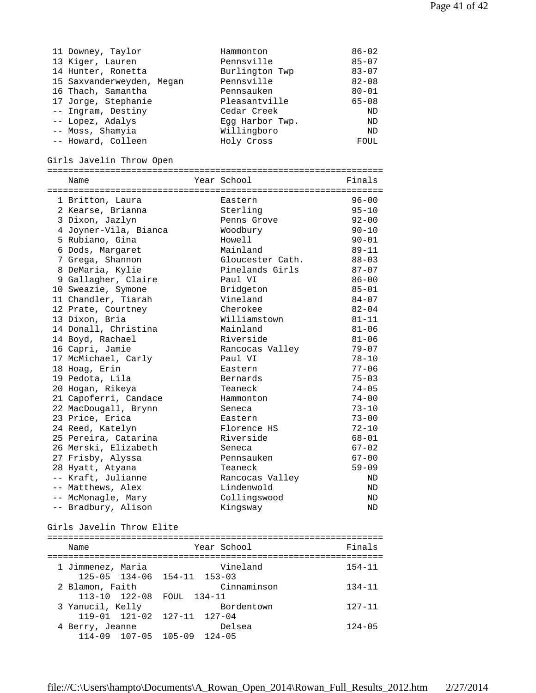| 11 Downey, Taylor         | Hammonton       | $86 - 02$ |
|---------------------------|-----------------|-----------|
| 13 Kiger, Lauren          | Pennsville      | $85 - 07$ |
| 14 Hunter, Ronetta        | Burlington Twp  | $83 - 07$ |
| 15 Saxvanderweyden, Megan | Pennsville      | $82 - 08$ |
| 16 Thach, Samantha        | Pennsauken      | $80 - 01$ |
| 17 Jorge, Stephanie       | Pleasantville   | $65 - 08$ |
| -- Ingram, Destiny        | Cedar Creek     | ND        |
| -- Lopez, Adalys          | Eqq Harbor Twp. | ND        |
| -- Moss, Shamyia          | Willingboro     | ND        |
| -- Howard, Colleen        | Holy Cross      | FOUL      |

## Girls Javelin Throw Open

| ATITR AQAGTTII TIITOM ODGII |                  |           |
|-----------------------------|------------------|-----------|
| Name                        | Year School      | Finals    |
| 1 Britton, Laura            | Eastern          | $96 - 00$ |
| 2 Kearse, Brianna           | Sterling         | $95 - 10$ |
| 3 Dixon, Jazlyn             | Penns Grove      | $92 - 00$ |
| 4 Joyner-Vila, Bianca       | Woodbury         | $90 - 10$ |
| 5 Rubiano, Gina             | Howell           | $90 - 01$ |
| 6 Dods, Margaret            | Mainland         | $89 - 11$ |
| 7 Grega, Shannon            | Gloucester Cath. | $88 - 03$ |
| 8 DeMaria, Kylie            | Pinelands Girls  | $87 - 07$ |
| 9 Gallagher, Claire         | Paul VI          | $86 - 00$ |
| 10 Sweazie, Symone          | Bridgeton        | $85 - 01$ |
| 11 Chandler, Tiarah         | Vineland         | $84 - 07$ |
| 12 Prate, Courtney          | Cherokee         | $82 - 04$ |
| 13 Dixon, Bria              | Williamstown     | $81 - 11$ |
| 14 Donall, Christina        | Mainland         | $81 - 06$ |
| 14 Boyd, Rachael            | Riverside        | $81 - 06$ |
| 16 Capri, Jamie             | Rancocas Valley  | $79 - 07$ |
| 17 McMichael, Carly         | Paul VI          | $78 - 10$ |
| 18 Hoag, Erin               | Eastern          | $77 - 06$ |
| 19 Pedota, Lila             | Bernards         | $75 - 03$ |
| 20 Hogan, Rikeya            | Teaneck          | $74 - 05$ |
| 21 Capoferri, Candace       | Hammonton        | $74 - 00$ |
| 22 MacDougall, Brynn        | Seneca           | $73 - 10$ |
| 23 Price, Erica             | Eastern          | $73 - 00$ |
| 24 Reed, Katelyn            | Florence HS      | $72 - 10$ |
| 25 Pereira, Catarina        | Riverside        | $68 - 01$ |
| 26 Merski, Elizabeth        | Seneca           | $67 - 02$ |
| 27 Frisby, Alyssa           | Pennsauken       | $67 - 00$ |
| 28 Hyatt, Atyana            | Teaneck          | $59 - 09$ |
| -- Kraft, Julianne          | Rancocas Valley  | ND        |
| -- Matthews, Alex           | Lindenwold       | ND        |
| -- McMonagle, Mary          | Collingswood     | <b>ND</b> |
| -- Bradbury, Alison         | Kingsway         | <b>ND</b> |
|                             |                  |           |

## Girls Javelin Throw Elite

| Name                                             | Year School                   | Finals     |
|--------------------------------------------------|-------------------------------|------------|
| 1 Jimmenez, Maria<br>125-05 134-06 154-11 153-03 | Vineland                      | $154 - 11$ |
| 2 Blamon, Faith<br>$113 - 10$ $122 - 08$         | Cinnaminson<br>FOUL<br>134-11 | $134 - 11$ |
| 3 Yanucil, Kelly<br>119-01 121-02 127-11 127-04  | Bordentown                    | $127 - 11$ |
| 4 Berry, Jeanne<br>114-09 107-05 105-09 124-05   | Delsea                        | $124 - 05$ |